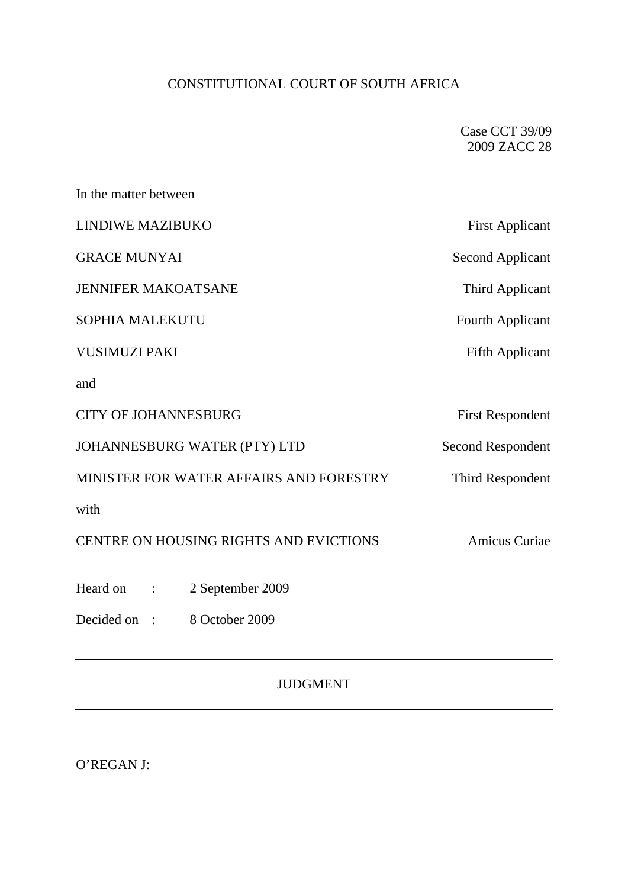# CONSTITUTIONAL COURT OF SOUTH AFRICA

# Case CCT 39/09 2009 ZACC 28

| In the matter between                                            |                         |
|------------------------------------------------------------------|-------------------------|
| LINDIWE MAZIBUKO                                                 | <b>First Applicant</b>  |
| <b>GRACE MUNYAI</b>                                              | <b>Second Applicant</b> |
| <b>JENNIFER MAKOATSANE</b>                                       | Third Applicant         |
| SOPHIA MALEKUTU                                                  | Fourth Applicant        |
| <b>VUSIMUZI PAKI</b>                                             | <b>Fifth Applicant</b>  |
| and                                                              |                         |
| <b>CITY OF JOHANNESBURG</b>                                      | <b>First Respondent</b> |
| JOHANNESBURG WATER (PTY) LTD                                     | Second Respondent       |
| MINISTER FOR WATER AFFAIRS AND FORESTRY                          | Third Respondent        |
| with                                                             |                         |
| CENTRE ON HOUSING RIGHTS AND EVICTIONS                           | <b>Amicus Curiae</b>    |
| Heard on :<br>2 September 2009<br>Decided on :<br>8 October 2009 |                         |
|                                                                  |                         |

JUDGMENT

O'REGAN J: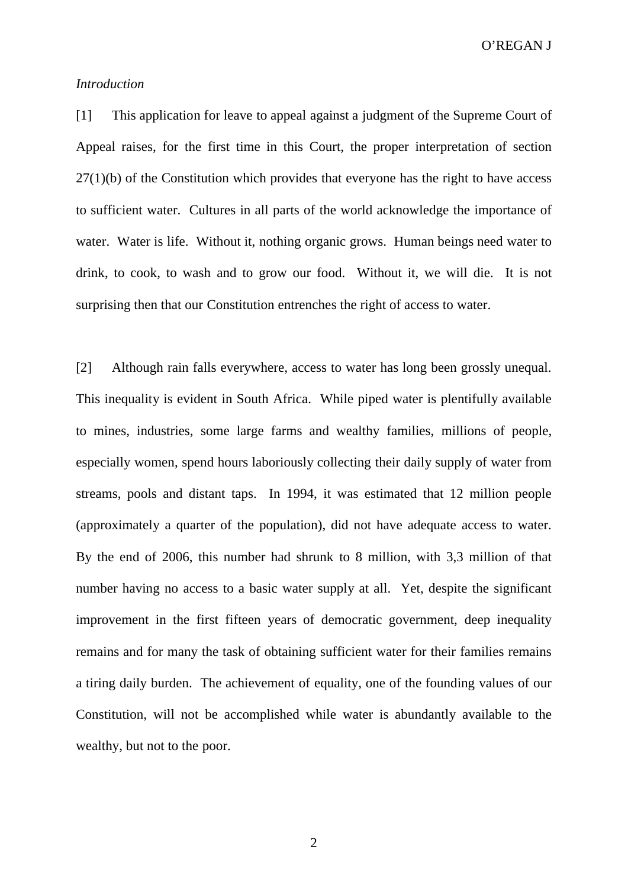O'REGAN J

### *Introduction*

[1] This application for leave to appeal against a judgment of the Supreme Court of Appeal raises, for the first time in this Court, the proper interpretation of section  $27(1)(b)$  of the Constitution which provides that everyone has the right to have access to sufficient water. Cultures in all parts of the world acknowledge the importance of water. Water is life. Without it, nothing organic grows. Human beings need water to drink, to cook, to wash and to grow our food. Without it, we will die. It is not surprising then that our Constitution entrenches the right of access to water.

[2] Although rain falls everywhere, access to water has long been grossly unequal. This inequality is evident in South Africa. While piped water is plentifully available to mines, industries, some large farms and wealthy families, millions of people, especially women, spend hours laboriously collecting their daily supply of water from streams, pools and distant taps. In 1994, it was estimated that 12 million people (approximately a quarter of the population), did not have adequate access to water. By the end of 2006, this number had shrunk to 8 million, with 3,3 million of that number having no access to a basic water supply at all. Yet, despite the significant improvement in the first fifteen years of democratic government, deep inequality remains and for many the task of obtaining sufficient water for their families remains a tiring daily burden. The achievement of equality, one of the founding values of our Constitution, will not be accomplished while water is abundantly available to the wealthy, but not to the poor.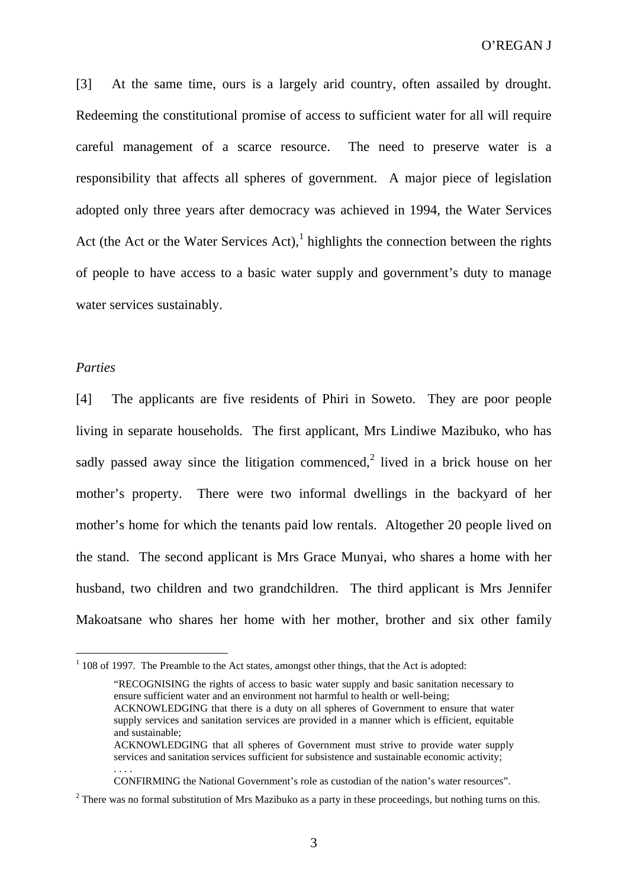[3] At the same time, ours is a largely arid country, often assailed by drought. Redeeming the constitutional promise of access to sufficient water for all will require careful management of a scarce resource. The need to preserve water is a responsibility that affects all spheres of government. A major piece of legislation adopted only three years after democracy was achieved in 1994, the Water Services Act (the Act or the Water Services Act), $\frac{1}{1}$  highlights the connection between the rights of people to have access to a basic water supply and government's duty to manage water services sustainably.

### *Parties*

 $\overline{a}$ 

. . . .

[4] The applicants are five residents of Phiri in Soweto. They are poor people living in separate households. The first applicant, Mrs Lindiwe Mazibuko, who has sadly passed away since the litigation commenced,<sup>2</sup> lived in a brick house on her mother's property. There were two informal dwellings in the backyard of her mother's home for which the tenants paid low rentals. Altogether 20 people lived on the stand. The second applicant is Mrs Grace Munyai, who shares a home with her husband, two children and two grandchildren. The third applicant is Mrs Jennifer Makoatsane who shares her home with her mother, brother and six other family

"RECOGNISING the rights of access to basic water supply and basic sanitation necessary to ensure sufficient water and an environment not harmful to health or well-being; ACKNOWLEDGING that there is a duty on all spheres of Government to ensure that water supply services and sanitation services are provided in a manner which is efficient, equitable and sustainable; ACKNOWLEDGING that all spheres of Government must strive to provide water supply services and sanitation services sufficient for subsistence and sustainable economic activity;

 $1$  108 of 1997. The Preamble to the Act states, amongst other things, that the Act is adopted:

CONFIRMING the National Government's role as custodian of the nation's water resources".

 $2$  There was no formal substitution of Mrs Mazibuko as a party in these proceedings, but nothing turns on this.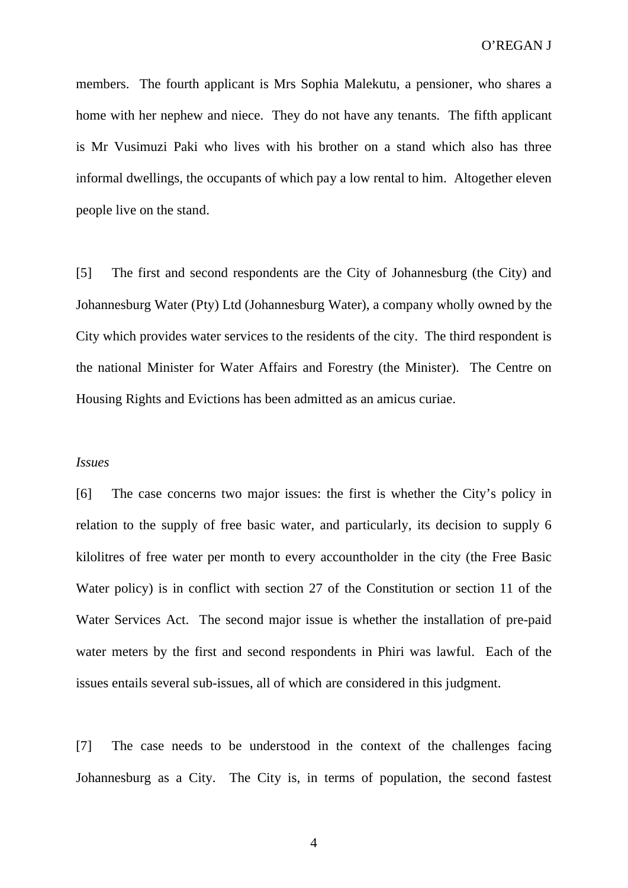members. The fourth applicant is Mrs Sophia Malekutu, a pensioner, who shares a home with her nephew and niece. They do not have any tenants. The fifth applicant is Mr Vusimuzi Paki who lives with his brother on a stand which also has three informal dwellings, the occupants of which pay a low rental to him. Altogether eleven people live on the stand.

[5] The first and second respondents are the City of Johannesburg (the City) and Johannesburg Water (Pty) Ltd (Johannesburg Water), a company wholly owned by the City which provides water services to the residents of the city. The third respondent is the national Minister for Water Affairs and Forestry (the Minister). The Centre on Housing Rights and Evictions has been admitted as an amicus curiae.

### *Issues*

[6] The case concerns two major issues: the first is whether the City's policy in relation to the supply of free basic water, and particularly, its decision to supply 6 kilolitres of free water per month to every accountholder in the city (the Free Basic Water policy) is in conflict with section 27 of the Constitution or section 11 of the Water Services Act. The second major issue is whether the installation of pre-paid water meters by the first and second respondents in Phiri was lawful. Each of the issues entails several sub-issues, all of which are considered in this judgment.

[7] The case needs to be understood in the context of the challenges facing Johannesburg as a City. The City is, in terms of population, the second fastest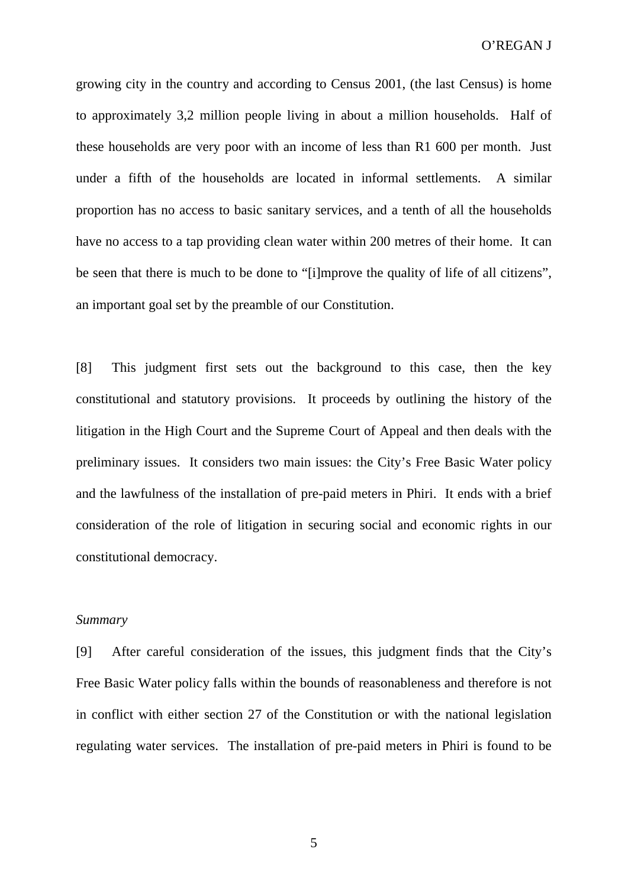growing city in the country and according to Census 2001, (the last Census) is home to approximately 3,2 million people living in about a million households. Half of these households are very poor with an income of less than R1 600 per month. Just under a fifth of the households are located in informal settlements. A similar proportion has no access to basic sanitary services, and a tenth of all the households have no access to a tap providing clean water within 200 metres of their home. It can be seen that there is much to be done to "[i]mprove the quality of life of all citizens", an important goal set by the preamble of our Constitution.

[8] This judgment first sets out the background to this case, then the key constitutional and statutory provisions. It proceeds by outlining the history of the litigation in the High Court and the Supreme Court of Appeal and then deals with the preliminary issues. It considers two main issues: the City's Free Basic Water policy and the lawfulness of the installation of pre-paid meters in Phiri. It ends with a brief consideration of the role of litigation in securing social and economic rights in our constitutional democracy.

## *Summary*

[9] After careful consideration of the issues, this judgment finds that the City's Free Basic Water policy falls within the bounds of reasonableness and therefore is not in conflict with either section 27 of the Constitution or with the national legislation regulating water services. The installation of pre-paid meters in Phiri is found to be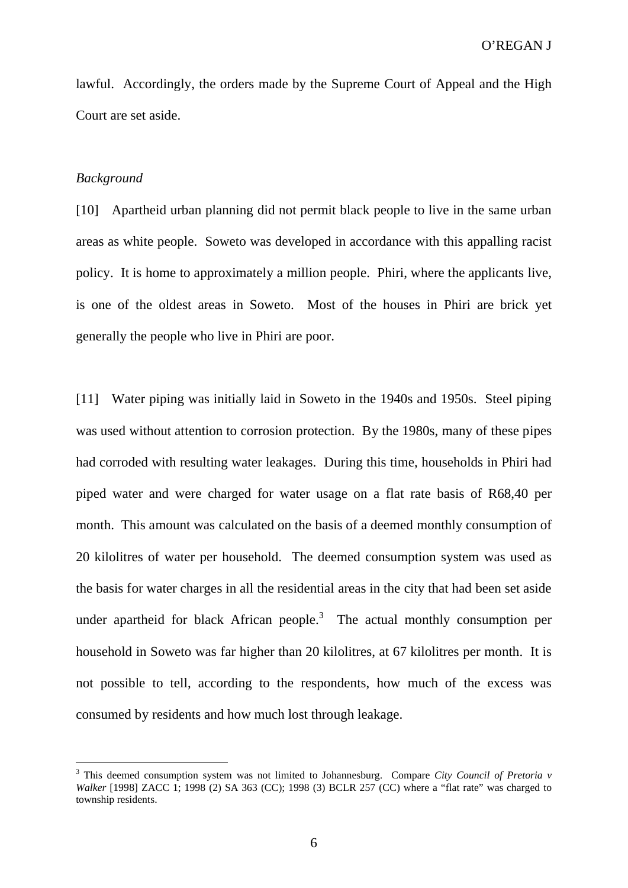lawful. Accordingly, the orders made by the Supreme Court of Appeal and the High Court are set aside.

#### *Background*

 $\overline{a}$ 

[10] Apartheid urban planning did not permit black people to live in the same urban areas as white people. Soweto was developed in accordance with this appalling racist policy. It is home to approximately a million people. Phiri, where the applicants live, is one of the oldest areas in Soweto. Most of the houses in Phiri are brick yet generally the people who live in Phiri are poor.

[11] Water piping was initially laid in Soweto in the 1940s and 1950s. Steel piping was used without attention to corrosion protection. By the 1980s, many of these pipes had corroded with resulting water leakages. During this time, households in Phiri had piped water and were charged for water usage on a flat rate basis of R68,40 per month. This amount was calculated on the basis of a deemed monthly consumption of 20 kilolitres of water per household. The deemed consumption system was used as the basis for water charges in all the residential areas in the city that had been set aside under apartheid for black African people.<sup>3</sup> The actual monthly consumption per household in Soweto was far higher than 20 kilolitres, at 67 kilolitres per month. It is not possible to tell, according to the respondents, how much of the excess was consumed by residents and how much lost through leakage.

<sup>&</sup>lt;sup>3</sup> This deemed consumption system was not limited to Johannesburg. Compare *City Council of Pretoria v Walker* [1998] ZACC 1; 1998 (2) SA 363 (CC); 1998 (3) BCLR 257 (CC) where a "flat rate" was charged to township residents.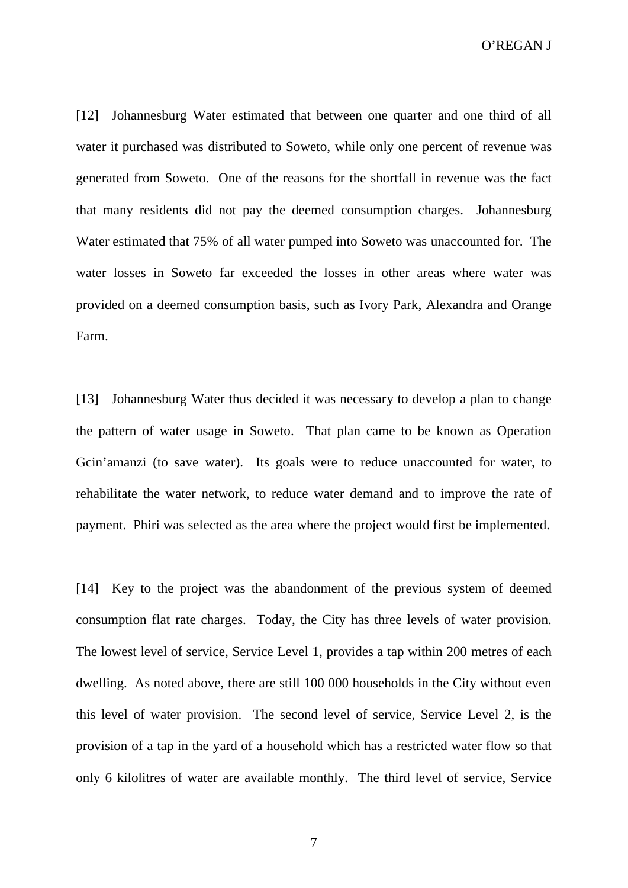O'REGAN J

[12] Johannesburg Water estimated that between one quarter and one third of all water it purchased was distributed to Soweto, while only one percent of revenue was generated from Soweto. One of the reasons for the shortfall in revenue was the fact that many residents did not pay the deemed consumption charges. Johannesburg Water estimated that 75% of all water pumped into Soweto was unaccounted for. The water losses in Soweto far exceeded the losses in other areas where water was provided on a deemed consumption basis, such as Ivory Park, Alexandra and Orange Farm.

[13] Johannesburg Water thus decided it was necessary to develop a plan to change the pattern of water usage in Soweto. That plan came to be known as Operation Gcin'amanzi (to save water). Its goals were to reduce unaccounted for water, to rehabilitate the water network, to reduce water demand and to improve the rate of payment. Phiri was selected as the area where the project would first be implemented.

[14] Key to the project was the abandonment of the previous system of deemed consumption flat rate charges. Today, the City has three levels of water provision. The lowest level of service, Service Level 1, provides a tap within 200 metres of each dwelling. As noted above, there are still 100 000 households in the City without even this level of water provision. The second level of service, Service Level 2, is the provision of a tap in the yard of a household which has a restricted water flow so that only 6 kilolitres of water are available monthly. The third level of service, Service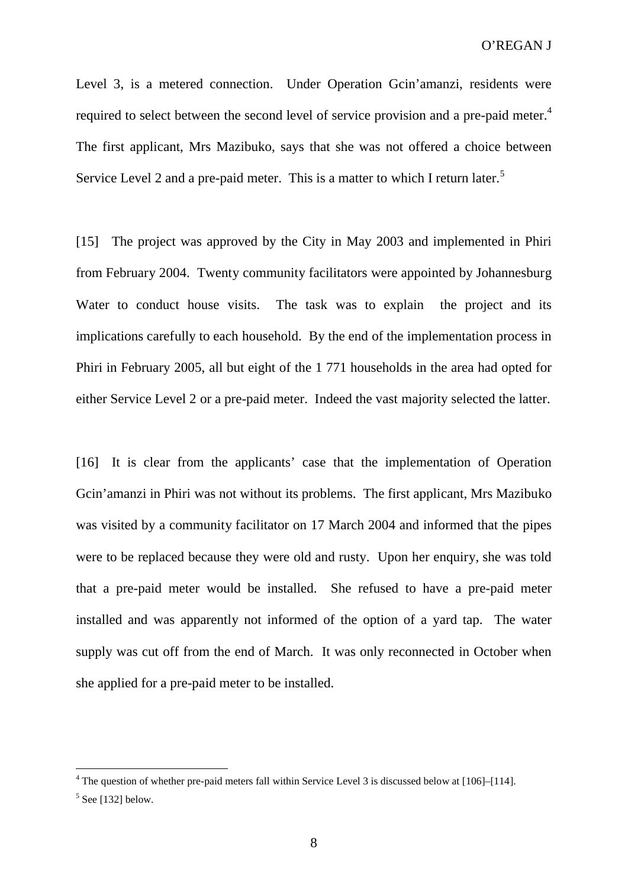Level 3, is a metered connection. Under Operation Gcin'amanzi, residents were required to select between the second level of service provision and a pre-paid meter. $4$ The first applicant, Mrs Mazibuko, says that she was not offered a choice between Service Level 2 and a pre-paid meter. This is a matter to which I return later.<sup>5</sup>

[15] The project was approved by the City in May 2003 and implemented in Phiri from February 2004. Twenty community facilitators were appointed by Johannesburg Water to conduct house visits. The task was to explain the project and its implications carefully to each household. By the end of the implementation process in Phiri in February 2005, all but eight of the 1 771 households in the area had opted for either Service Level 2 or a pre-paid meter. Indeed the vast majority selected the latter.

[16] It is clear from the applicants' case that the implementation of Operation Gcin'amanzi in Phiri was not without its problems. The first applicant, Mrs Mazibuko was visited by a community facilitator on 17 March 2004 and informed that the pipes were to be replaced because they were old and rusty. Upon her enquiry, she was told that a pre-paid meter would be installed. She refused to have a pre-paid meter installed and was apparently not informed of the option of a yard tap. The water supply was cut off from the end of March. It was only reconnected in October when she applied for a pre-paid meter to be installed.

The question of whether pre-paid meters fall within Service Level 3 is discussed below at [106]–[114].

 $<sup>5</sup>$  See [132] below.</sup>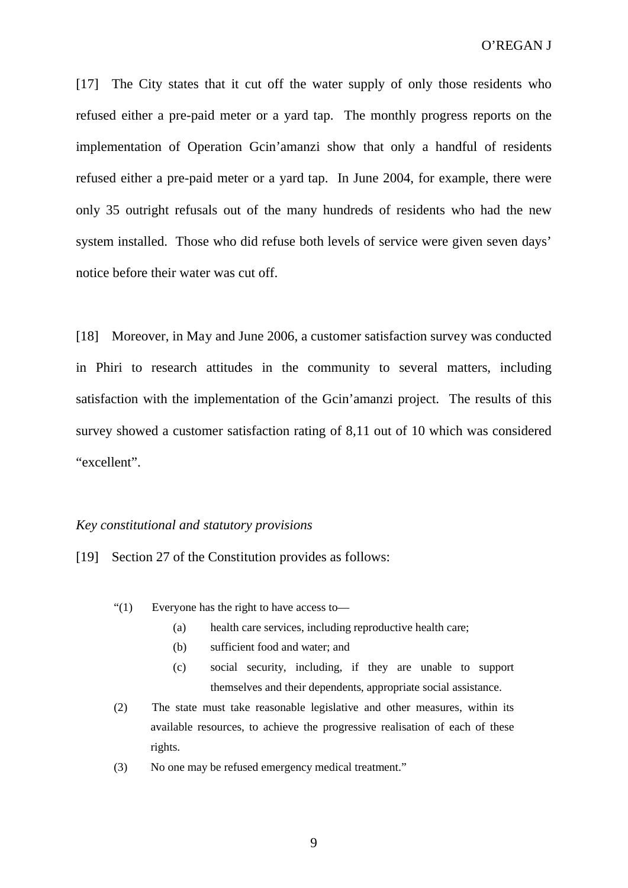[17] The City states that it cut off the water supply of only those residents who refused either a pre-paid meter or a yard tap. The monthly progress reports on the implementation of Operation Gcin'amanzi show that only a handful of residents refused either a pre-paid meter or a yard tap. In June 2004, for example, there were only 35 outright refusals out of the many hundreds of residents who had the new system installed. Those who did refuse both levels of service were given seven days' notice before their water was cut off.

[18] Moreover, in May and June 2006, a customer satisfaction survey was conducted in Phiri to research attitudes in the community to several matters, including satisfaction with the implementation of the Gcin'amanzi project. The results of this survey showed a customer satisfaction rating of 8,11 out of 10 which was considered "excellent".

### *Key constitutional and statutory provisions*

- [19] Section 27 of the Constitution provides as follows:
	- "(1) Everyone has the right to have access to—
		- (a) health care services, including reproductive health care;
		- (b) sufficient food and water; and
		- (c) social security, including, if they are unable to support themselves and their dependents, appropriate social assistance.
	- (2) The state must take reasonable legislative and other measures, within its available resources, to achieve the progressive realisation of each of these rights.
	- (3) No one may be refused emergency medical treatment."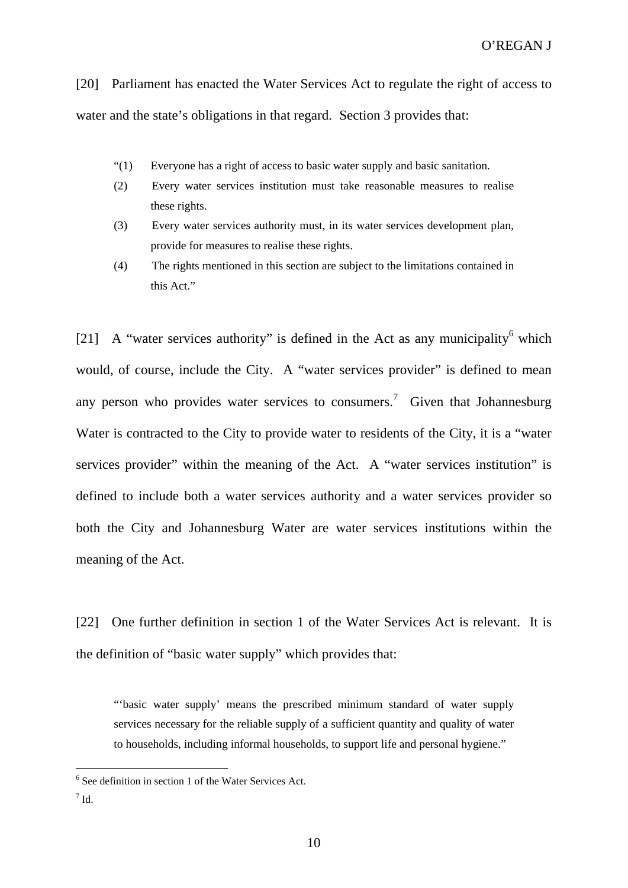[20] Parliament has enacted the Water Services Act to regulate the right of access to water and the state's obligations in that regard. Section 3 provides that:

- "(1) Everyone has a right of access to basic water supply and basic sanitation.
- (2) Every water services institution must take reasonable measures to realise these rights.
- (3) Every water services authority must, in its water services development plan, provide for measures to realise these rights.
- (4) The rights mentioned in this section are subject to the limitations contained in this Act."

[21] A "water services authority" is defined in the Act as any municipality<sup>6</sup> which would, of course, include the City. A "water services provider" is defined to mean any person who provides water services to consumers.<sup>7</sup> Given that Johannesburg Water is contracted to the City to provide water to residents of the City, it is a "water services provider" within the meaning of the Act. A "water services institution" is defined to include both a water services authority and a water services provider so both the City and Johannesburg Water are water services institutions within the meaning of the Act.

[22] One further definition in section 1 of the Water Services Act is relevant. It is the definition of "basic water supply" which provides that:

"'basic water supply' means the prescribed minimum standard of water supply services necessary for the reliable supply of a sufficient quantity and quality of water to households, including informal households, to support life and personal hygiene."

**EXECUTE:**<br><sup>6</sup> See definition in section 1 of the Water Services Act.

 $^7$  Id.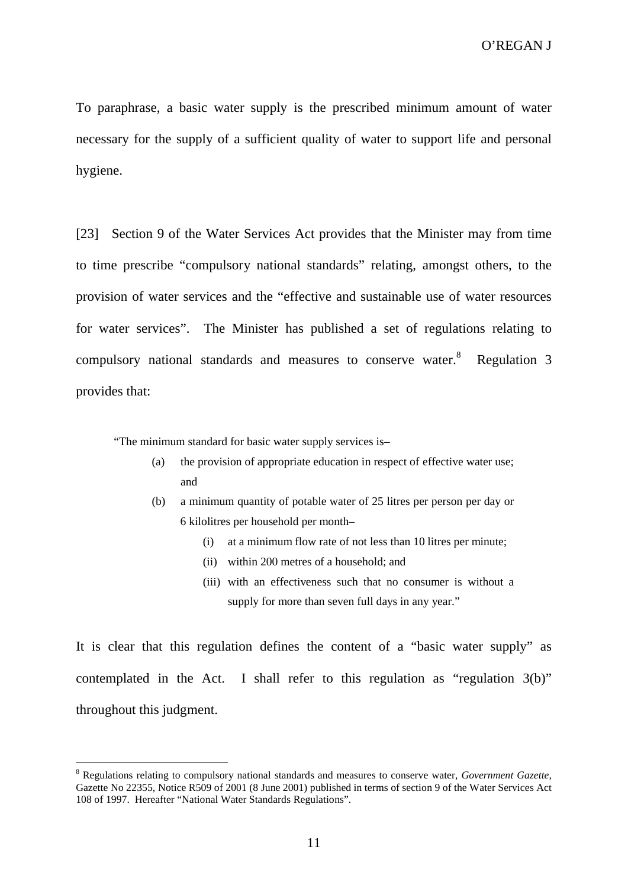To paraphrase, a basic water supply is the prescribed minimum amount of water necessary for the supply of a sufficient quality of water to support life and personal hygiene.

[23] Section 9 of the Water Services Act provides that the Minister may from time to time prescribe "compulsory national standards" relating, amongst others, to the provision of water services and the "effective and sustainable use of water resources for water services". The Minister has published a set of regulations relating to compulsory national standards and measures to conserve water.<sup>8</sup> Regulation 3 provides that:

"The minimum standard for basic water supply services is–

 $\overline{a}$ 

- (a) the provision of appropriate education in respect of effective water use; and
- (b) a minimum quantity of potable water of 25 litres per person per day or 6 kilolitres per household per month–
	- (i) at a minimum flow rate of not less than 10 litres per minute;
	- (ii) within 200 metres of a household; and
	- (iii) with an effectiveness such that no consumer is without a supply for more than seven full days in any year."

It is clear that this regulation defines the content of a "basic water supply" as contemplated in the Act. I shall refer to this regulation as "regulation 3(b)" throughout this judgment.

<sup>8</sup> Regulations relating to compulsory national standards and measures to conserve water, *Government Gazette,*  Gazette No 22355, Notice R509 of 2001 (8 June 2001) published in terms of section 9 of the Water Services Act 108 of 1997. Hereafter "National Water Standards Regulations".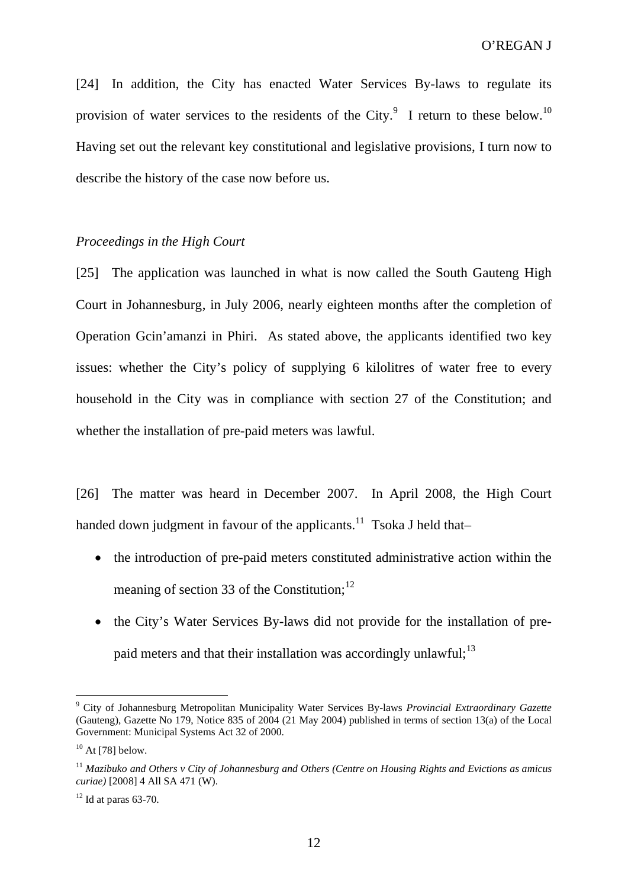[24] In addition, the City has enacted Water Services By-laws to regulate its provision of water services to the residents of the City. $9\,$  I return to these below.<sup>10</sup> Having set out the relevant key constitutional and legislative provisions, I turn now to describe the history of the case now before us.

## *Proceedings in the High Court*

[25] The application was launched in what is now called the South Gauteng High Court in Johannesburg, in July 2006, nearly eighteen months after the completion of Operation Gcin'amanzi in Phiri. As stated above, the applicants identified two key issues: whether the City's policy of supplying 6 kilolitres of water free to every household in the City was in compliance with section 27 of the Constitution; and whether the installation of pre-paid meters was lawful.

[26] The matter was heard in December 2007. In April 2008, the High Court handed down judgment in favour of the applicants.<sup>11</sup> Tsoka J held that–

- the introduction of pre-paid meters constituted administrative action within the meaning of section 33 of the Constitution; $^{12}$
- the City's Water Services By-laws did not provide for the installation of prepaid meters and that their installation was accordingly unlawful; $^{13}$

<sup>9</sup> City of Johannesburg Metropolitan Municipality Water Services By-laws *Provincial Extraordinary Gazette* (Gauteng), Gazette No 179, Notice 835 of 2004 (21 May 2004) published in terms of section 13(a) of the Local Government: Municipal Systems Act 32 of 2000.

 $10$  At [78] below.

<sup>&</sup>lt;sup>11</sup> Mazibuko and Others v City of Johannesburg and Others (Centre on Housing Rights and Evictions as amicus *curiae)* [2008] 4 All SA 471 (W).

 $12$  Id at paras 63-70.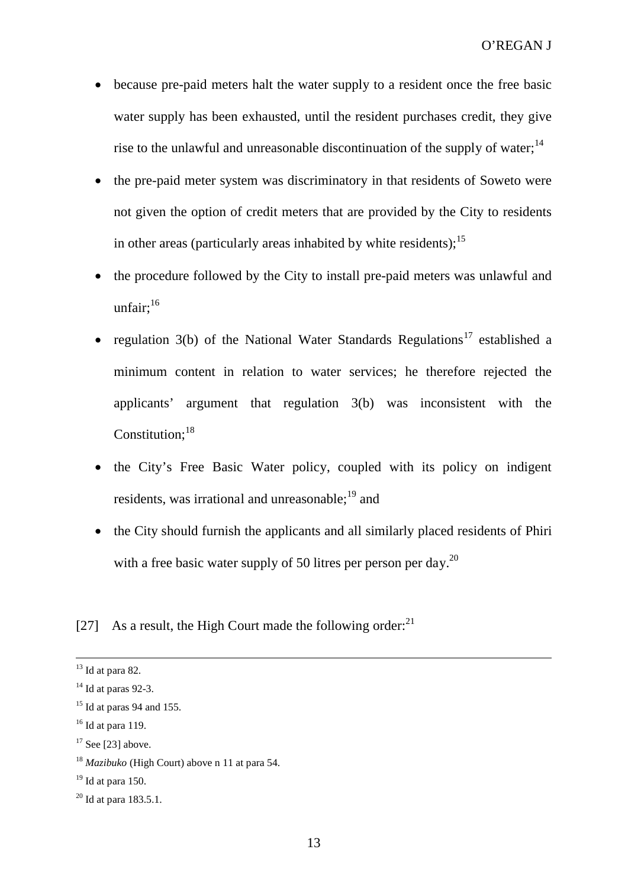- because pre-paid meters halt the water supply to a resident once the free basic water supply has been exhausted, until the resident purchases credit, they give rise to the unlawful and unreasonable discontinuation of the supply of water;  $14$
- the pre-paid meter system was discriminatory in that residents of Soweto were not given the option of credit meters that are provided by the City to residents in other areas (particularly areas inhabited by white residents);<sup>15</sup>
- the procedure followed by the City to install pre-paid meters was unlawful and unfair: $16$
- regulation 3(b) of the National Water Standards Regulations<sup>17</sup> established a minimum content in relation to water services; he therefore rejected the applicants' argument that regulation 3(b) was inconsistent with the Constitution:<sup>18</sup>
- the City's Free Basic Water policy, coupled with its policy on indigent residents, was irrational and unreasonable; $^{19}$  and
- the City should furnish the applicants and all similarly placed residents of Phiri with a free basic water supply of 50 litres per person per day.<sup>20</sup>

# [27] As a result, the High Court made the following order:  $2^{11}$

 $13$  Id at para 82.

 $14$  Id at paras 92-3.

 $15$  Id at paras 94 and 155.

 $16$  Id at para 119.

 $17$  See [23] above.

<sup>18</sup> *Mazibuko* (High Court) above n 11 at para 54.

 $19$  Id at para 150.

 $20$  Id at para 183.5.1.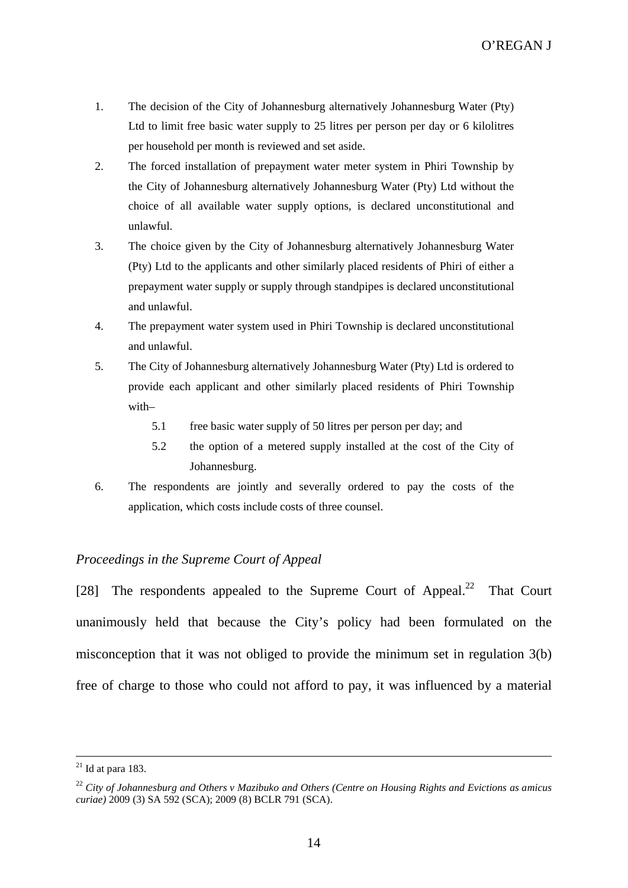O'REGAN J

- 1. The decision of the City of Johannesburg alternatively Johannesburg Water (Pty) Ltd to limit free basic water supply to 25 litres per person per day or 6 kilolitres per household per month is reviewed and set aside.
- 2. The forced installation of prepayment water meter system in Phiri Township by the City of Johannesburg alternatively Johannesburg Water (Pty) Ltd without the choice of all available water supply options, is declared unconstitutional and unlawful.
- 3. The choice given by the City of Johannesburg alternatively Johannesburg Water (Pty) Ltd to the applicants and other similarly placed residents of Phiri of either a prepayment water supply or supply through standpipes is declared unconstitutional and unlawful.
- 4. The prepayment water system used in Phiri Township is declared unconstitutional and unlawful.
- 5. The City of Johannesburg alternatively Johannesburg Water (Pty) Ltd is ordered to provide each applicant and other similarly placed residents of Phiri Township with–
	- 5.1 free basic water supply of 50 litres per person per day; and
	- 5.2 the option of a metered supply installed at the cost of the City of Johannesburg.
- 6. The respondents are jointly and severally ordered to pay the costs of the application, which costs include costs of three counsel.

# *Proceedings in the Supreme Court of Appeal*

[28] The respondents appealed to the Supreme Court of Appeal.<sup>22</sup> That Court unanimously held that because the City's policy had been formulated on the misconception that it was not obliged to provide the minimum set in regulation 3(b) free of charge to those who could not afford to pay, it was influenced by a material

 $21$  Id at para 183.

<sup>22</sup> *City of Johannesburg and Others v Mazibuko and Others (Centre on Housing Rights and Evictions as amicus curiae)* 2009 (3) SA 592 (SCA); 2009 (8) BCLR 791 (SCA).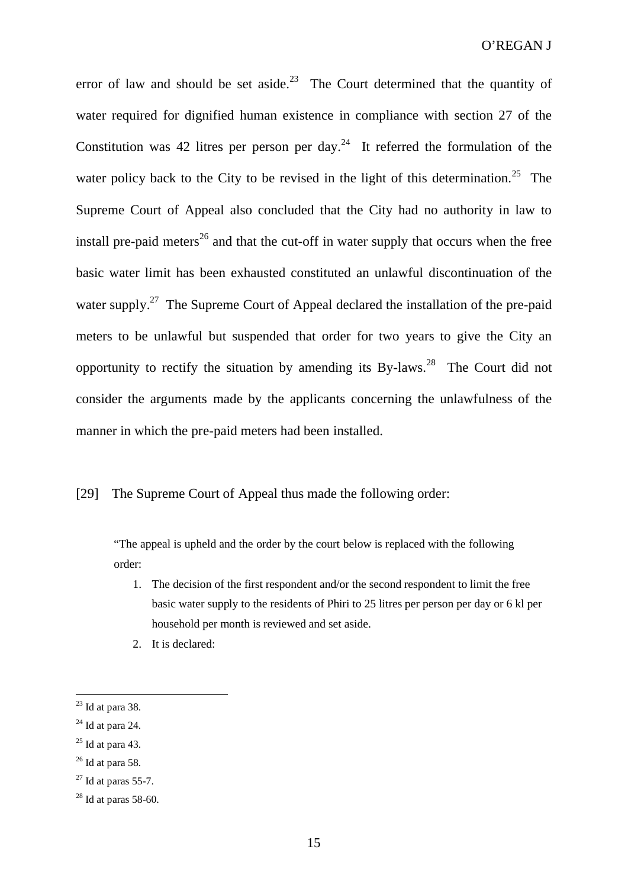error of law and should be set aside.<sup>23</sup> The Court determined that the quantity of water required for dignified human existence in compliance with section 27 of the Constitution was 42 litres per person per day.<sup>24</sup> It referred the formulation of the water policy back to the City to be revised in the light of this determination.<sup>25</sup> The Supreme Court of Appeal also concluded that the City had no authority in law to install pre-paid meters<sup>26</sup> and that the cut-off in water supply that occurs when the free basic water limit has been exhausted constituted an unlawful discontinuation of the water supply.<sup>27</sup> The Supreme Court of Appeal declared the installation of the pre-paid meters to be unlawful but suspended that order for two years to give the City an opportunity to rectify the situation by amending its By-laws.<sup>28</sup> The Court did not consider the arguments made by the applicants concerning the unlawfulness of the manner in which the pre-paid meters had been installed.

# [29] The Supreme Court of Appeal thus made the following order:

"The appeal is upheld and the order by the court below is replaced with the following order:

- 1. The decision of the first respondent and/or the second respondent to limit the free basic water supply to the residents of Phiri to 25 litres per person per day or 6 kl per household per month is reviewed and set aside.
- 2. It is declared:

 $23$  Id at para 38.

 $24$  Id at para 24.

 $25$  Id at para 43.

 $26$  Id at para 58.

 $^{27}$  Id at paras 55-7.

 $28$  Id at paras 58-60.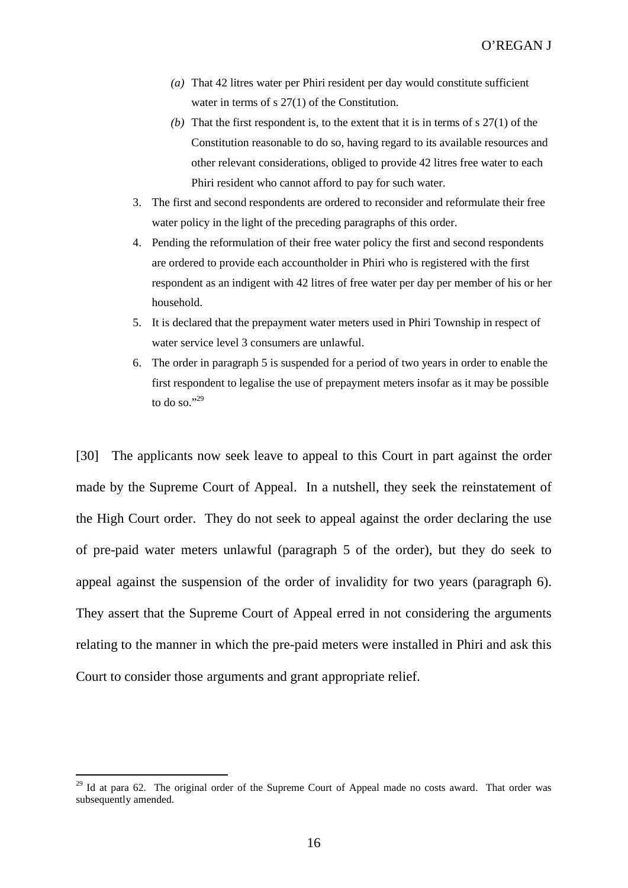- *(a)* That 42 litres water per Phiri resident per day would constitute sufficient water in terms of s 27(1) of the Constitution.
- *(b)* That the first respondent is, to the extent that it is in terms of s 27(1) of the Constitution reasonable to do so, having regard to its available resources and other relevant considerations, obliged to provide 42 litres free water to each Phiri resident who cannot afford to pay for such water.
- 3. The first and second respondents are ordered to reconsider and reformulate their free water policy in the light of the preceding paragraphs of this order.
- 4. Pending the reformulation of their free water policy the first and second respondents are ordered to provide each accountholder in Phiri who is registered with the first respondent as an indigent with 42 litres of free water per day per member of his or her household.
- 5. It is declared that the prepayment water meters used in Phiri Township in respect of water service level 3 consumers are unlawful.
- 6. The order in paragraph 5 is suspended for a period of two years in order to enable the first respondent to legalise the use of prepayment meters insofar as it may be possible to do so." $^{29}$

[30] The applicants now seek leave to appeal to this Court in part against the order made by the Supreme Court of Appeal. In a nutshell, they seek the reinstatement of the High Court order. They do not seek to appeal against the order declaring the use of pre-paid water meters unlawful (paragraph 5 of the order), but they do seek to appeal against the suspension of the order of invalidity for two years (paragraph 6). They assert that the Supreme Court of Appeal erred in not considering the arguments relating to the manner in which the pre-paid meters were installed in Phiri and ask this Court to consider those arguments and grant appropriate relief.

 $29$  Id at para 62. The original order of the Supreme Court of Appeal made no costs award. That order was subsequently amended.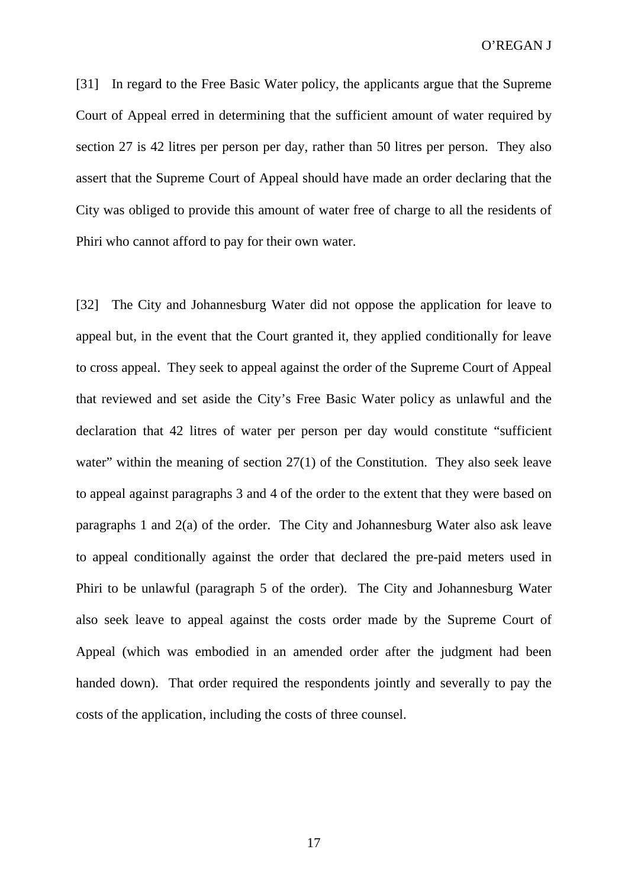[31] In regard to the Free Basic Water policy, the applicants argue that the Supreme Court of Appeal erred in determining that the sufficient amount of water required by section 27 is 42 litres per person per day, rather than 50 litres per person. They also assert that the Supreme Court of Appeal should have made an order declaring that the City was obliged to provide this amount of water free of charge to all the residents of Phiri who cannot afford to pay for their own water.

[32] The City and Johannesburg Water did not oppose the application for leave to appeal but, in the event that the Court granted it, they applied conditionally for leave to cross appeal. They seek to appeal against the order of the Supreme Court of Appeal that reviewed and set aside the City's Free Basic Water policy as unlawful and the declaration that 42 litres of water per person per day would constitute "sufficient water" within the meaning of section 27(1) of the Constitution. They also seek leave to appeal against paragraphs 3 and 4 of the order to the extent that they were based on paragraphs 1 and 2(a) of the order. The City and Johannesburg Water also ask leave to appeal conditionally against the order that declared the pre-paid meters used in Phiri to be unlawful (paragraph 5 of the order). The City and Johannesburg Water also seek leave to appeal against the costs order made by the Supreme Court of Appeal (which was embodied in an amended order after the judgment had been handed down). That order required the respondents jointly and severally to pay the costs of the application, including the costs of three counsel.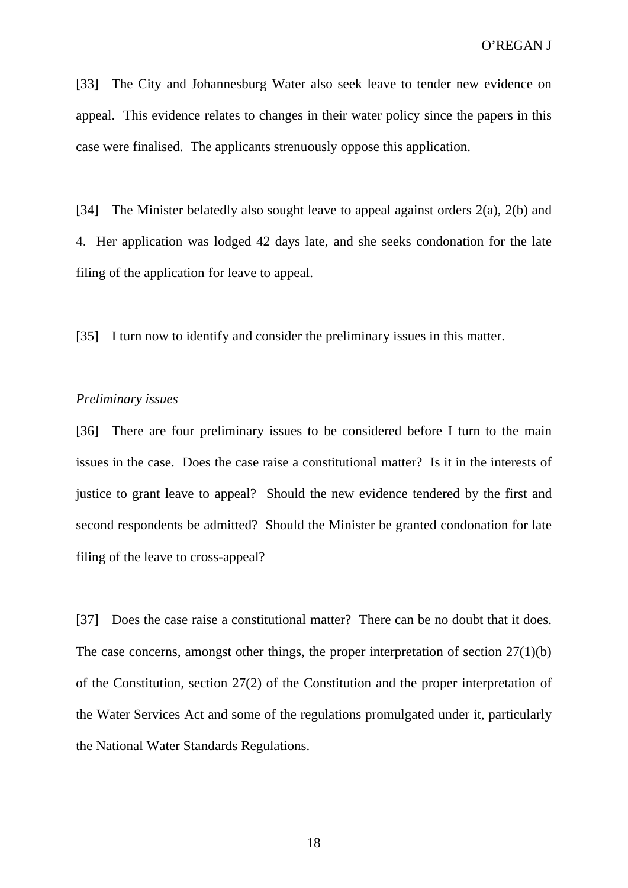[33] The City and Johannesburg Water also seek leave to tender new evidence on appeal. This evidence relates to changes in their water policy since the papers in this case were finalised. The applicants strenuously oppose this application.

[34] The Minister belatedly also sought leave to appeal against orders 2(a), 2(b) and 4. Her application was lodged 42 days late, and she seeks condonation for the late filing of the application for leave to appeal.

[35] I turn now to identify and consider the preliminary issues in this matter.

## *Preliminary issues*

[36] There are four preliminary issues to be considered before I turn to the main issues in the case. Does the case raise a constitutional matter? Is it in the interests of justice to grant leave to appeal? Should the new evidence tendered by the first and second respondents be admitted? Should the Minister be granted condonation for late filing of the leave to cross-appeal?

[37] Does the case raise a constitutional matter? There can be no doubt that it does. The case concerns, amongst other things, the proper interpretation of section 27(1)(b) of the Constitution, section 27(2) of the Constitution and the proper interpretation of the Water Services Act and some of the regulations promulgated under it, particularly the National Water Standards Regulations.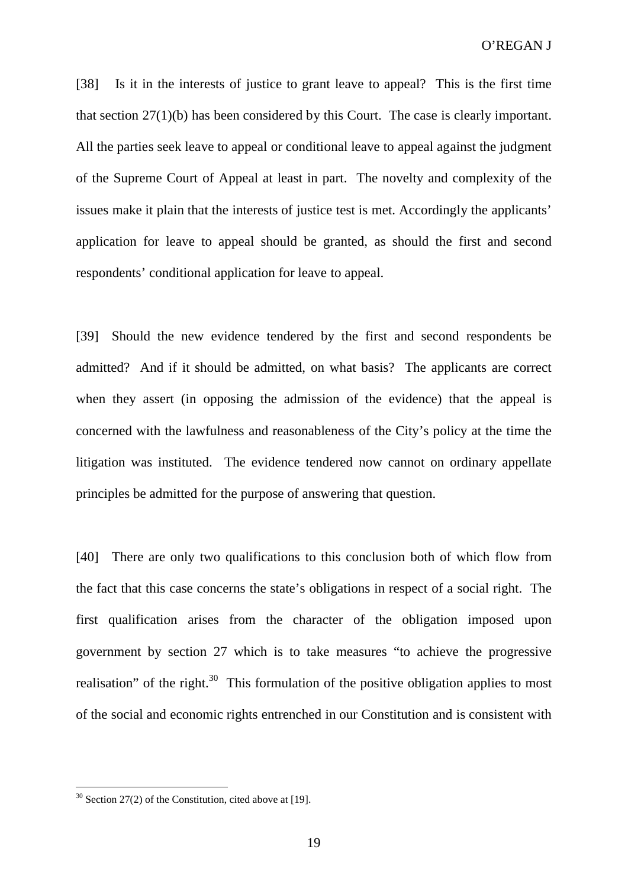[38] Is it in the interests of justice to grant leave to appeal? This is the first time that section 27(1)(b) has been considered by this Court. The case is clearly important. All the parties seek leave to appeal or conditional leave to appeal against the judgment of the Supreme Court of Appeal at least in part. The novelty and complexity of the issues make it plain that the interests of justice test is met. Accordingly the applicants' application for leave to appeal should be granted, as should the first and second respondents' conditional application for leave to appeal.

[39] Should the new evidence tendered by the first and second respondents be admitted? And if it should be admitted, on what basis? The applicants are correct when they assert (in opposing the admission of the evidence) that the appeal is concerned with the lawfulness and reasonableness of the City's policy at the time the litigation was instituted. The evidence tendered now cannot on ordinary appellate principles be admitted for the purpose of answering that question.

[40] There are only two qualifications to this conclusion both of which flow from the fact that this case concerns the state's obligations in respect of a social right. The first qualification arises from the character of the obligation imposed upon government by section 27 which is to take measures "to achieve the progressive realisation" of the right. $30$  This formulation of the positive obligation applies to most of the social and economic rights entrenched in our Constitution and is consistent with

 $30$  Section 27(2) of the Constitution, cited above at [19].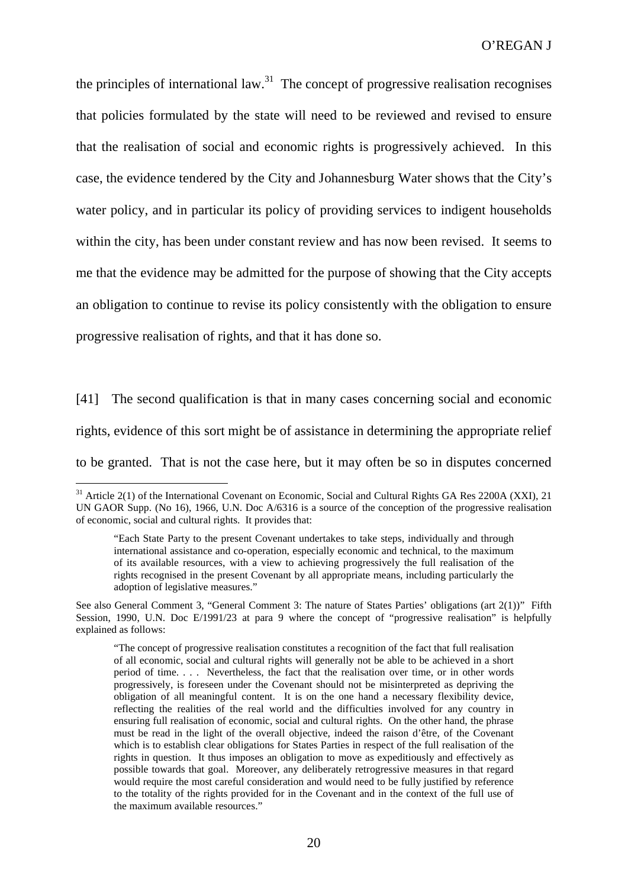the principles of international law.<sup>31</sup> The concept of progressive realisation recognises that policies formulated by the state will need to be reviewed and revised to ensure that the realisation of social and economic rights is progressively achieved. In this case, the evidence tendered by the City and Johannesburg Water shows that the City's water policy, and in particular its policy of providing services to indigent households within the city, has been under constant review and has now been revised. It seems to me that the evidence may be admitted for the purpose of showing that the City accepts an obligation to continue to revise its policy consistently with the obligation to ensure progressive realisation of rights, and that it has done so.

[41] The second qualification is that in many cases concerning social and economic rights, evidence of this sort might be of assistance in determining the appropriate relief to be granted. That is not the case here, but it may often be so in disputes concerned

<sup>&</sup>lt;sup>31</sup> Article 2(1) of the International Covenant on Economic, Social and Cultural Rights GA Res 2200A (XXI), 21 UN GAOR Supp. (No 16), 1966, U.N. Doc A/6316 is a source of the conception of the progressive realisation of economic, social and cultural rights. It provides that:

<sup>&</sup>quot;Each State Party to the present Covenant undertakes to take steps, individually and through international assistance and co-operation, especially economic and technical, to the maximum of its available resources, with a view to achieving progressively the full realisation of the rights recognised in the present Covenant by all appropriate means, including particularly the adoption of legislative measures."

See also General Comment 3, "General Comment 3: The nature of States Parties' obligations (art 2(1))" Fifth Session, 1990, U.N. Doc E/1991/23 at para 9 where the concept of "progressive realisation" is helpfully explained as follows:

<sup>&</sup>quot;The concept of progressive realisation constitutes a recognition of the fact that full realisation of all economic, social and cultural rights will generally not be able to be achieved in a short period of time. . . . Nevertheless, the fact that the realisation over time, or in other words progressively, is foreseen under the Covenant should not be misinterpreted as depriving the obligation of all meaningful content. It is on the one hand a necessary flexibility device, reflecting the realities of the real world and the difficulties involved for any country in ensuring full realisation of economic, social and cultural rights. On the other hand, the phrase must be read in the light of the overall objective, indeed the raison d'être, of the Covenant which is to establish clear obligations for States Parties in respect of the full realisation of the rights in question. It thus imposes an obligation to move as expeditiously and effectively as possible towards that goal. Moreover, any deliberately retrogressive measures in that regard would require the most careful consideration and would need to be fully justified by reference to the totality of the rights provided for in the Covenant and in the context of the full use of the maximum available resources."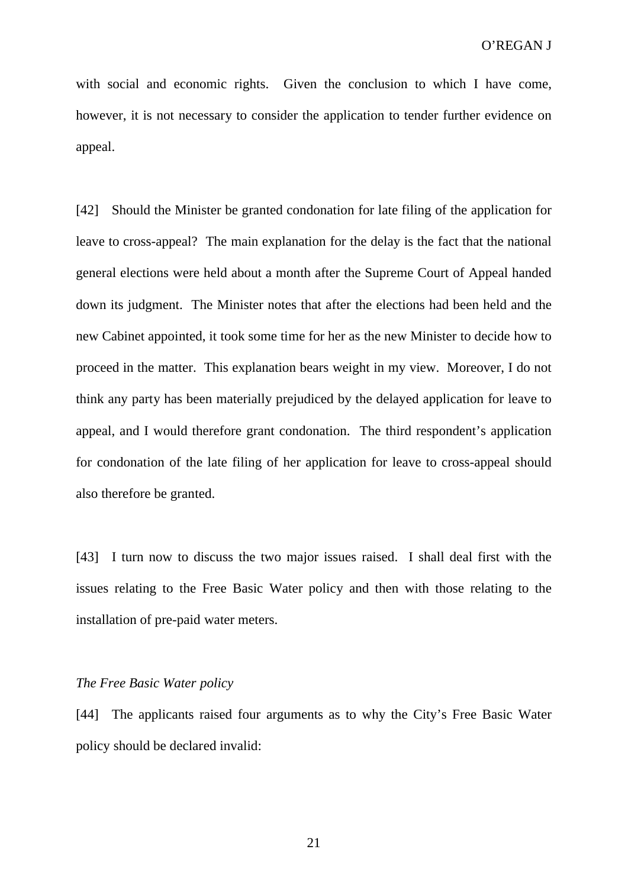with social and economic rights. Given the conclusion to which I have come, however, it is not necessary to consider the application to tender further evidence on appeal.

[42] Should the Minister be granted condonation for late filing of the application for leave to cross-appeal? The main explanation for the delay is the fact that the national general elections were held about a month after the Supreme Court of Appeal handed down its judgment. The Minister notes that after the elections had been held and the new Cabinet appointed, it took some time for her as the new Minister to decide how to proceed in the matter. This explanation bears weight in my view. Moreover, I do not think any party has been materially prejudiced by the delayed application for leave to appeal, and I would therefore grant condonation. The third respondent's application for condonation of the late filing of her application for leave to cross-appeal should also therefore be granted.

[43] I turn now to discuss the two major issues raised. I shall deal first with the issues relating to the Free Basic Water policy and then with those relating to the installation of pre-paid water meters.

### *The Free Basic Water policy*

[44] The applicants raised four arguments as to why the City's Free Basic Water policy should be declared invalid: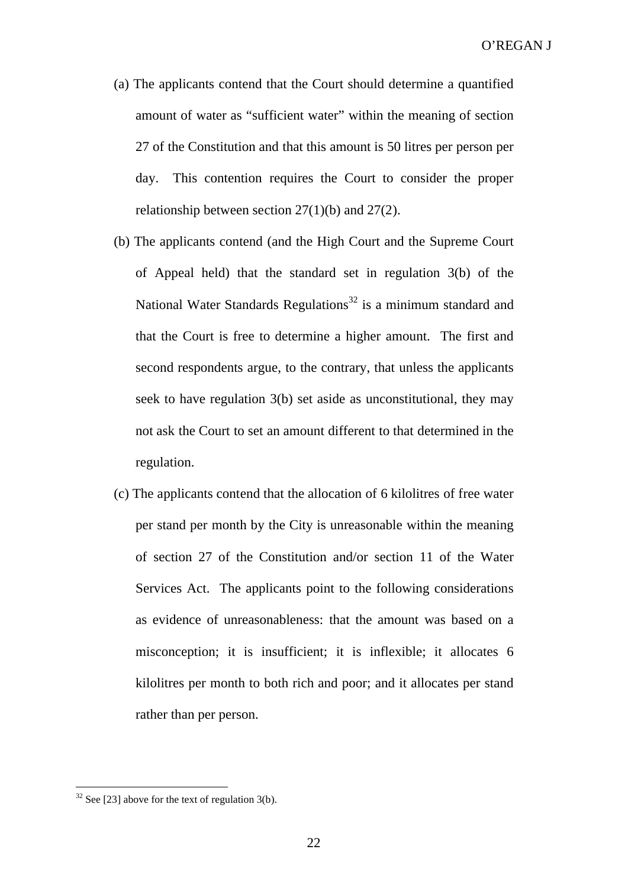O'REGAN J

- (a) The applicants contend that the Court should determine a quantified amount of water as "sufficient water" within the meaning of section 27 of the Constitution and that this amount is 50 litres per person per day. This contention requires the Court to consider the proper relationship between section 27(1)(b) and 27(2).
- (b) The applicants contend (and the High Court and the Supreme Court of Appeal held) that the standard set in regulation 3(b) of the National Water Standards Regulations<sup>32</sup> is a minimum standard and that the Court is free to determine a higher amount. The first and second respondents argue, to the contrary, that unless the applicants seek to have regulation 3(b) set aside as unconstitutional, they may not ask the Court to set an amount different to that determined in the regulation.
- (c) The applicants contend that the allocation of 6 kilolitres of free water per stand per month by the City is unreasonable within the meaning of section 27 of the Constitution and/or section 11 of the Water Services Act. The applicants point to the following considerations as evidence of unreasonableness: that the amount was based on a misconception; it is insufficient; it is inflexible; it allocates 6 kilolitres per month to both rich and poor; and it allocates per stand rather than per person.

 $32$  See [23] above for the text of regulation 3(b).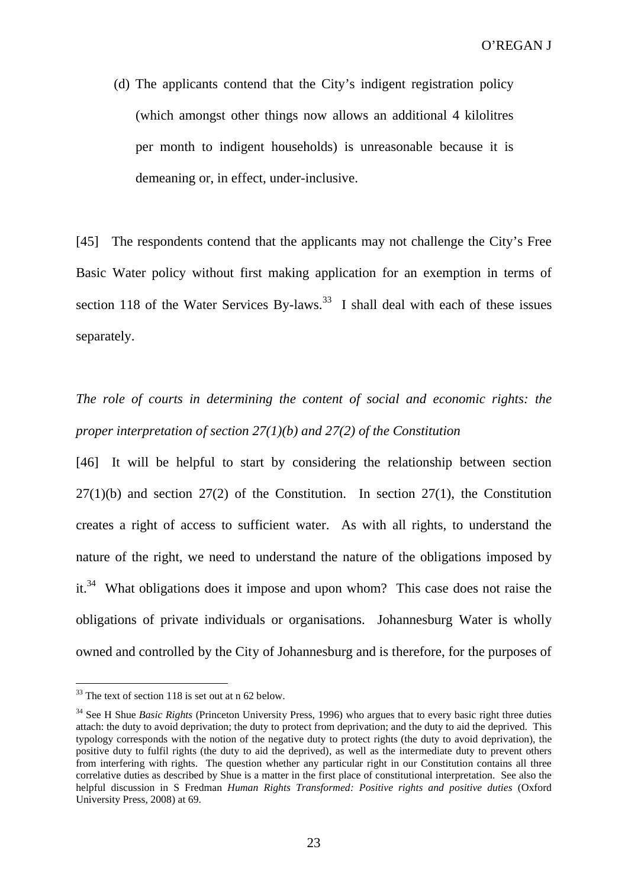(d) The applicants contend that the City's indigent registration policy (which amongst other things now allows an additional 4 kilolitres per month to indigent households) is unreasonable because it is demeaning or, in effect, under-inclusive.

[45] The respondents contend that the applicants may not challenge the City's Free Basic Water policy without first making application for an exemption in terms of section 118 of the Water Services By-laws.<sup>33</sup> I shall deal with each of these issues separately.

# *The role of courts in determining the content of social and economic rights: the proper interpretation of section 27(1)(b) and 27(2) of the Constitution*

[46] It will be helpful to start by considering the relationship between section  $27(1)(b)$  and section  $27(2)$  of the Constitution. In section  $27(1)$ , the Constitution creates a right of access to sufficient water. As with all rights, to understand the nature of the right, we need to understand the nature of the obligations imposed by it.34 What obligations does it impose and upon whom? This case does not raise the obligations of private individuals or organisations. Johannesburg Water is wholly owned and controlled by the City of Johannesburg and is therefore, for the purposes of

 $33$  The text of section 118 is set out at n 62 below.

<sup>&</sup>lt;sup>34</sup> See H Shue *Basic Rights* (Princeton University Press, 1996) who argues that to every basic right three duties attach: the duty to avoid deprivation; the duty to protect from deprivation; and the duty to aid the deprived. This typology corresponds with the notion of the negative duty to protect rights (the duty to avoid deprivation), the positive duty to fulfil rights (the duty to aid the deprived), as well as the intermediate duty to prevent others from interfering with rights. The question whether any particular right in our Constitution contains all three correlative duties as described by Shue is a matter in the first place of constitutional interpretation. See also the helpful discussion in S Fredman *Human Rights Transformed: Positive rights and positive duties* (Oxford University Press, 2008) at 69.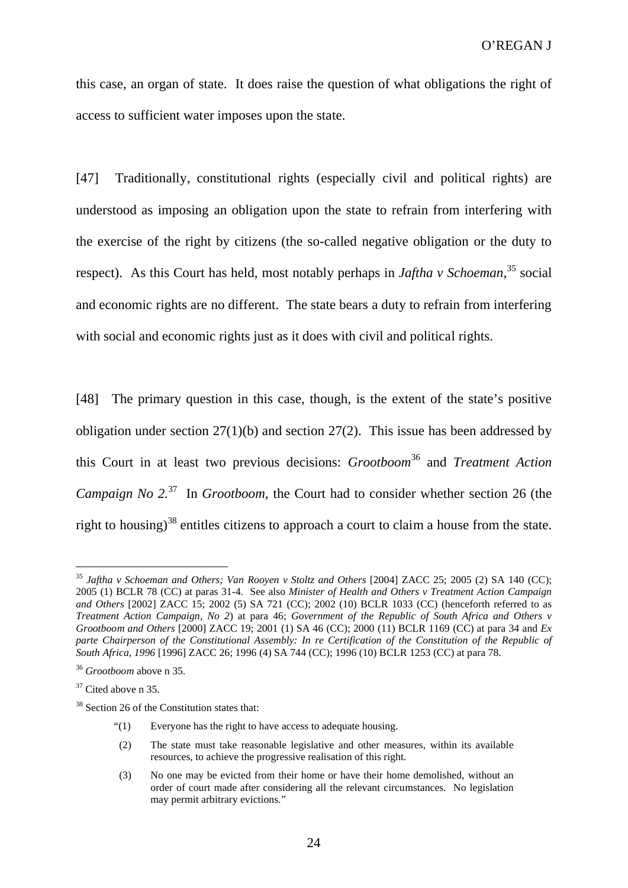this case, an organ of state. It does raise the question of what obligations the right of access to sufficient water imposes upon the state.

[47] Traditionally, constitutional rights (especially civil and political rights) are understood as imposing an obligation upon the state to refrain from interfering with the exercise of the right by citizens (the so-called negative obligation or the duty to respect). As this Court has held, most notably perhaps in *Jaftha v Schoeman*, <sup>35</sup> social and economic rights are no different. The state bears a duty to refrain from interfering with social and economic rights just as it does with civil and political rights.

[48] The primary question in this case, though, is the extent of the state's positive obligation under section 27(1)(b) and section 27(2). This issue has been addressed by this Court in at least two previous decisions: *Grootboom*<sup>36</sup> and *Treatment Action Campaign No 2.*<sup>37</sup> In *Grootboom,* the Court had to consider whether section 26 (the right to housing)<sup>38</sup> entitles citizens to approach a court to claim a house from the state.

- "(1) Everyone has the right to have access to adequate housing.
- (2) The state must take reasonable legislative and other measures, within its available resources, to achieve the progressive realisation of this right.

<sup>35</sup> *Jaftha v Schoeman and Others; Van Rooyen v Stoltz and Others* [2004] ZACC 25; 2005 (2) SA 140 (CC); 2005 (1) BCLR 78 (CC) at paras 31-4. See also *Minister of Health and Others v Treatment Action Campaign and Others* [2002] ZACC 15; 2002 (5) SA 721 (CC); 2002 (10) BCLR 1033 (CC) (henceforth referred to as *Treatment Action Campaign, No 2*) at para 46; *Government of the Republic of South Africa and Others v Grootboom and Others* [2000] ZACC 19; 2001 (1) SA 46 (CC); 2000 (11) BCLR 1169 (CC) at para 34 and *Ex parte Chairperson of the Constitutional Assembly: In re Certification of the Constitution of the Republic of South Africa, 1996* [1996] ZACC 26; 1996 (4) SA 744 (CC); 1996 (10) BCLR 1253 (CC) at para 78.

<sup>36</sup> *Grootboom* above n 35.

 $37$  Cited above n 35.

<sup>&</sup>lt;sup>38</sup> Section 26 of the Constitution states that:

 <sup>(3)</sup> No one may be evicted from their home or have their home demolished, without an order of court made after considering all the relevant circumstances. No legislation may permit arbitrary evictions."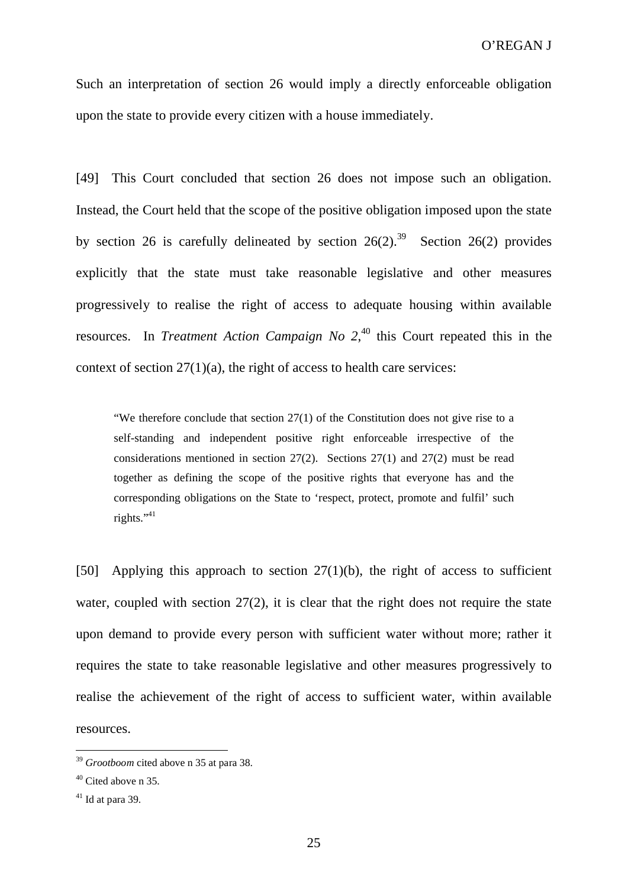Such an interpretation of section 26 would imply a directly enforceable obligation upon the state to provide every citizen with a house immediately.

[49] This Court concluded that section 26 does not impose such an obligation. Instead, the Court held that the scope of the positive obligation imposed upon the state by section 26 is carefully delineated by section  $26(2).^{39}$  Section 26(2) provides explicitly that the state must take reasonable legislative and other measures progressively to realise the right of access to adequate housing within available resources. In *Treatment Action Campaign No 2*, <sup>40</sup> this Court repeated this in the context of section  $27(1)(a)$ , the right of access to health care services:

"We therefore conclude that section  $27(1)$  of the Constitution does not give rise to a self-standing and independent positive right enforceable irrespective of the considerations mentioned in section  $27(2)$ . Sections  $27(1)$  and  $27(2)$  must be read together as defining the scope of the positive rights that everyone has and the corresponding obligations on the State to 'respect, protect, promote and fulfil' such rights."<sup>41</sup>

[50] Applying this approach to section 27(1)(b), the right of access to sufficient water, coupled with section 27(2), it is clear that the right does not require the state upon demand to provide every person with sufficient water without more; rather it requires the state to take reasonable legislative and other measures progressively to realise the achievement of the right of access to sufficient water, within available resources.

<sup>39</sup> *Grootboom* cited above n 35 at para 38.

 $40$  Cited above n 35.

 $41$  Id at para 39.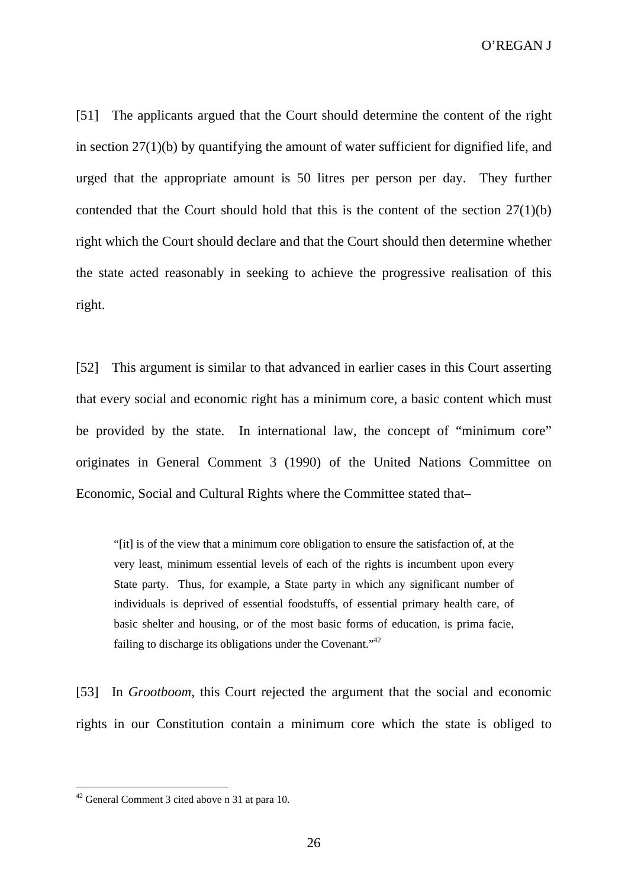O'REGAN J

[51] The applicants argued that the Court should determine the content of the right in section 27(1)(b) by quantifying the amount of water sufficient for dignified life, and urged that the appropriate amount is 50 litres per person per day. They further contended that the Court should hold that this is the content of the section 27(1)(b) right which the Court should declare and that the Court should then determine whether the state acted reasonably in seeking to achieve the progressive realisation of this right.

[52] This argument is similar to that advanced in earlier cases in this Court asserting that every social and economic right has a minimum core, a basic content which must be provided by the state. In international law, the concept of "minimum core" originates in General Comment 3 (1990) of the United Nations Committee on Economic, Social and Cultural Rights where the Committee stated that–

"[it] is of the view that a minimum core obligation to ensure the satisfaction of, at the very least, minimum essential levels of each of the rights is incumbent upon every State party. Thus, for example, a State party in which any significant number of individuals is deprived of essential foodstuffs, of essential primary health care, of basic shelter and housing, or of the most basic forms of education, is prima facie, failing to discharge its obligations under the Covenant."42

[53] In *Grootboom*, this Court rejected the argument that the social and economic rights in our Constitution contain a minimum core which the state is obliged to

<sup>42</sup> General Comment 3 cited above n 31 at para 10.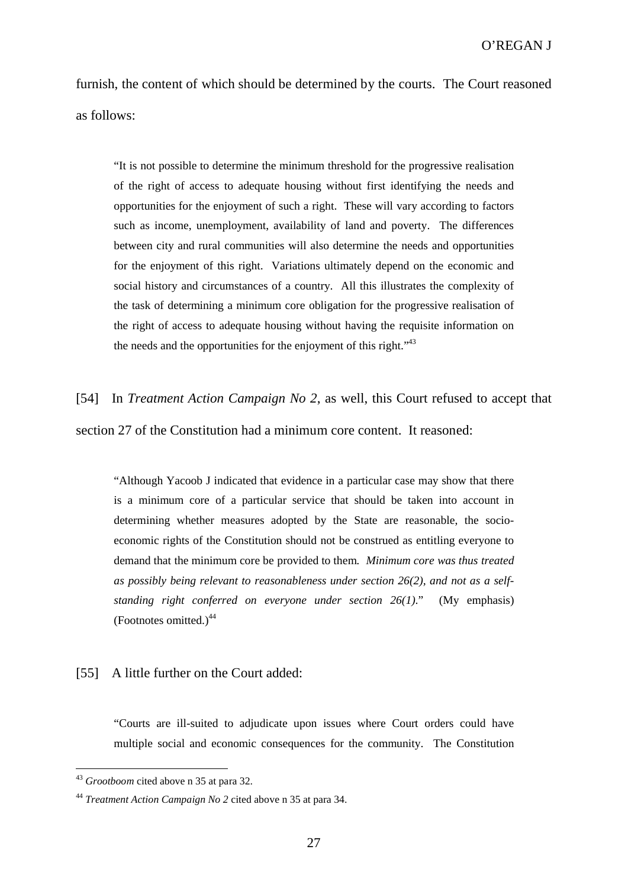furnish, the content of which should be determined by the courts. The Court reasoned as follows:

"It is not possible to determine the minimum threshold for the progressive realisation of the right of access to adequate housing without first identifying the needs and opportunities for the enjoyment of such a right. These will vary according to factors such as income, unemployment, availability of land and poverty. The differences between city and rural communities will also determine the needs and opportunities for the enjoyment of this right. Variations ultimately depend on the economic and social history and circumstances of a country. All this illustrates the complexity of the task of determining a minimum core obligation for the progressive realisation of the right of access to adequate housing without having the requisite information on the needs and the opportunities for the enjoyment of this right." $43$ 

[54] In *Treatment Action Campaign No 2*, as well, this Court refused to accept that section 27 of the Constitution had a minimum core content. It reasoned:

"Although Yacoob J indicated that evidence in a particular case may show that there is a minimum core of a particular service that should be taken into account in determining whether measures adopted by the State are reasonable, the socioeconomic rights of the Constitution should not be construed as entitling everyone to demand that the minimum core be provided to them*. Minimum core was thus treated as possibly being relevant to reasonableness under section 26(2), and not as a selfstanding right conferred on everyone under section 26(1)*." (My emphasis) (Footnotes omitted.) $44$ 

#### [55] A little further on the Court added:

"Courts are ill-suited to adjudicate upon issues where Court orders could have multiple social and economic consequences for the community. The Constitution

<sup>43</sup> *Grootboom* cited above n 35 at para 32.

<sup>44</sup> *Treatment Action Campaign No 2* cited above n 35 at para 34.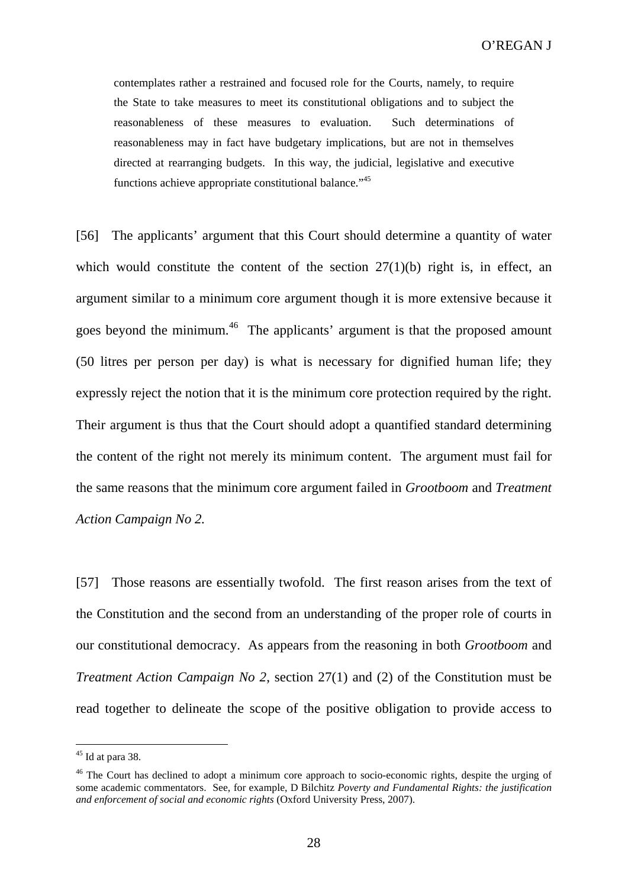contemplates rather a restrained and focused role for the Courts, namely, to require the State to take measures to meet its constitutional obligations and to subject the reasonableness of these measures to evaluation. Such determinations of reasonableness may in fact have budgetary implications, but are not in themselves directed at rearranging budgets. In this way, the judicial, legislative and executive functions achieve appropriate constitutional balance."<sup>45</sup>

[56] The applicants' argument that this Court should determine a quantity of water which would constitute the content of the section  $27(1)(b)$  right is, in effect, an argument similar to a minimum core argument though it is more extensive because it goes beyond the minimum.<sup>46</sup> The applicants' argument is that the proposed amount (50 litres per person per day) is what is necessary for dignified human life; they expressly reject the notion that it is the minimum core protection required by the right. Their argument is thus that the Court should adopt a quantified standard determining the content of the right not merely its minimum content. The argument must fail for the same reasons that the minimum core argument failed in *Grootboom* and *Treatment Action Campaign No 2.* 

[57] Those reasons are essentially twofold. The first reason arises from the text of the Constitution and the second from an understanding of the proper role of courts in our constitutional democracy. As appears from the reasoning in both *Grootboom* and *Treatment Action Campaign No 2*, section 27(1) and (2) of the Constitution must be read together to delineate the scope of the positive obligation to provide access to

 $45$  Id at para 38.

<sup>&</sup>lt;sup>46</sup> The Court has declined to adopt a minimum core approach to socio-economic rights, despite the urging of some academic commentators. See, for example, D Bilchitz *Poverty and Fundamental Rights: the justification and enforcement of social and economic rights* (Oxford University Press, 2007).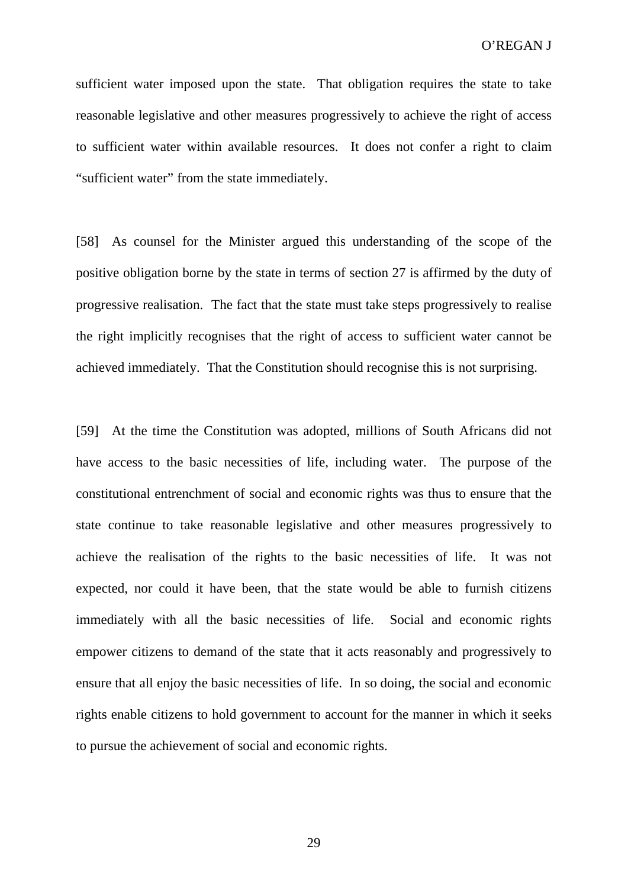sufficient water imposed upon the state. That obligation requires the state to take reasonable legislative and other measures progressively to achieve the right of access to sufficient water within available resources. It does not confer a right to claim "sufficient water" from the state immediately.

[58] As counsel for the Minister argued this understanding of the scope of the positive obligation borne by the state in terms of section 27 is affirmed by the duty of progressive realisation. The fact that the state must take steps progressively to realise the right implicitly recognises that the right of access to sufficient water cannot be achieved immediately. That the Constitution should recognise this is not surprising.

[59] At the time the Constitution was adopted, millions of South Africans did not have access to the basic necessities of life, including water. The purpose of the constitutional entrenchment of social and economic rights was thus to ensure that the state continue to take reasonable legislative and other measures progressively to achieve the realisation of the rights to the basic necessities of life. It was not expected, nor could it have been, that the state would be able to furnish citizens immediately with all the basic necessities of life. Social and economic rights empower citizens to demand of the state that it acts reasonably and progressively to ensure that all enjoy the basic necessities of life. In so doing, the social and economic rights enable citizens to hold government to account for the manner in which it seeks to pursue the achievement of social and economic rights.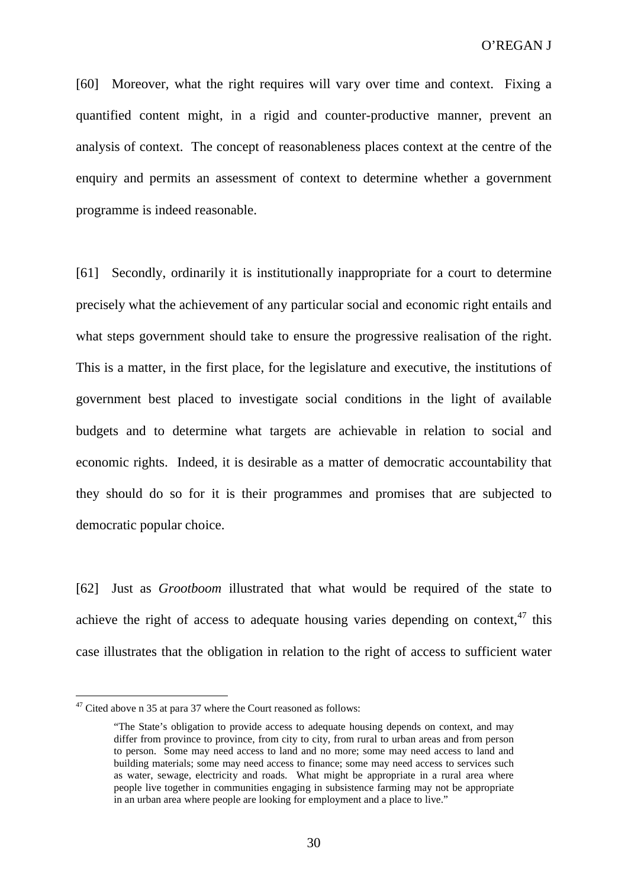[60] Moreover, what the right requires will vary over time and context. Fixing a quantified content might, in a rigid and counter-productive manner, prevent an analysis of context. The concept of reasonableness places context at the centre of the enquiry and permits an assessment of context to determine whether a government programme is indeed reasonable.

[61] Secondly, ordinarily it is institutionally inappropriate for a court to determine precisely what the achievement of any particular social and economic right entails and what steps government should take to ensure the progressive realisation of the right. This is a matter, in the first place, for the legislature and executive, the institutions of government best placed to investigate social conditions in the light of available budgets and to determine what targets are achievable in relation to social and economic rights. Indeed, it is desirable as a matter of democratic accountability that they should do so for it is their programmes and promises that are subjected to democratic popular choice.

[62] Just as *Grootboom* illustrated that what would be required of the state to achieve the right of access to adequate housing varies depending on context,  $47$  this case illustrates that the obligation in relation to the right of access to sufficient water

 $47$  Cited above n 35 at para 37 where the Court reasoned as follows:

<sup>&</sup>quot;The State's obligation to provide access to adequate housing depends on context, and may differ from province to province, from city to city, from rural to urban areas and from person to person. Some may need access to land and no more; some may need access to land and building materials; some may need access to finance; some may need access to services such as water, sewage, electricity and roads. What might be appropriate in a rural area where people live together in communities engaging in subsistence farming may not be appropriate in an urban area where people are looking for employment and a place to live."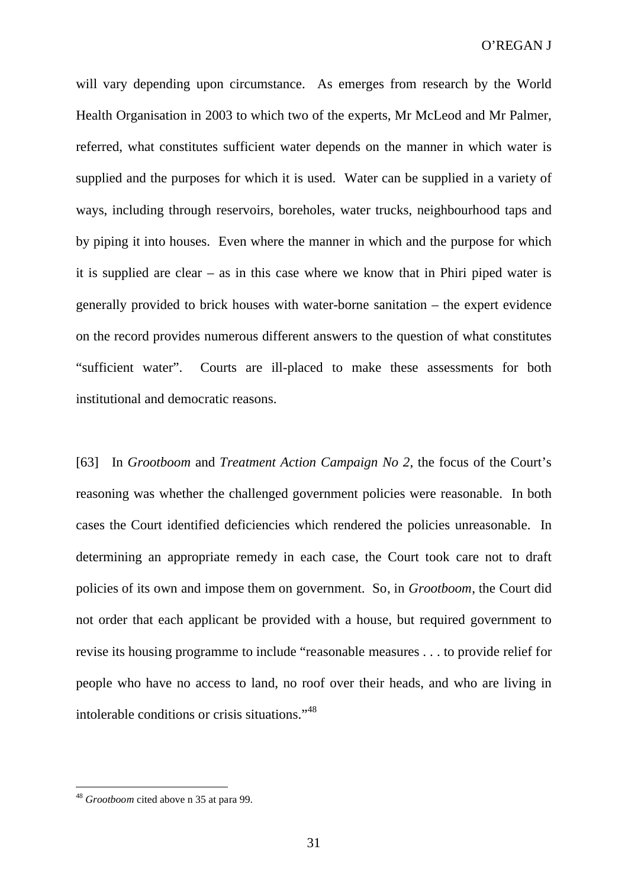will vary depending upon circumstance. As emerges from research by the World Health Organisation in 2003 to which two of the experts, Mr McLeod and Mr Palmer, referred, what constitutes sufficient water depends on the manner in which water is supplied and the purposes for which it is used. Water can be supplied in a variety of ways, including through reservoirs, boreholes, water trucks, neighbourhood taps and by piping it into houses. Even where the manner in which and the purpose for which it is supplied are clear – as in this case where we know that in Phiri piped water is generally provided to brick houses with water-borne sanitation – the expert evidence on the record provides numerous different answers to the question of what constitutes "sufficient water". Courts are ill-placed to make these assessments for both institutional and democratic reasons.

[63] In *Grootboom* and *Treatment Action Campaign No 2*, the focus of the Court's reasoning was whether the challenged government policies were reasonable. In both cases the Court identified deficiencies which rendered the policies unreasonable. In determining an appropriate remedy in each case, the Court took care not to draft policies of its own and impose them on government. So, in *Grootboom*, the Court did not order that each applicant be provided with a house, but required government to revise its housing programme to include "reasonable measures . . . to provide relief for people who have no access to land, no roof over their heads, and who are living in intolerable conditions or crisis situations."<sup>48</sup>

<sup>48</sup> *Grootboom* cited above n 35 at para 99.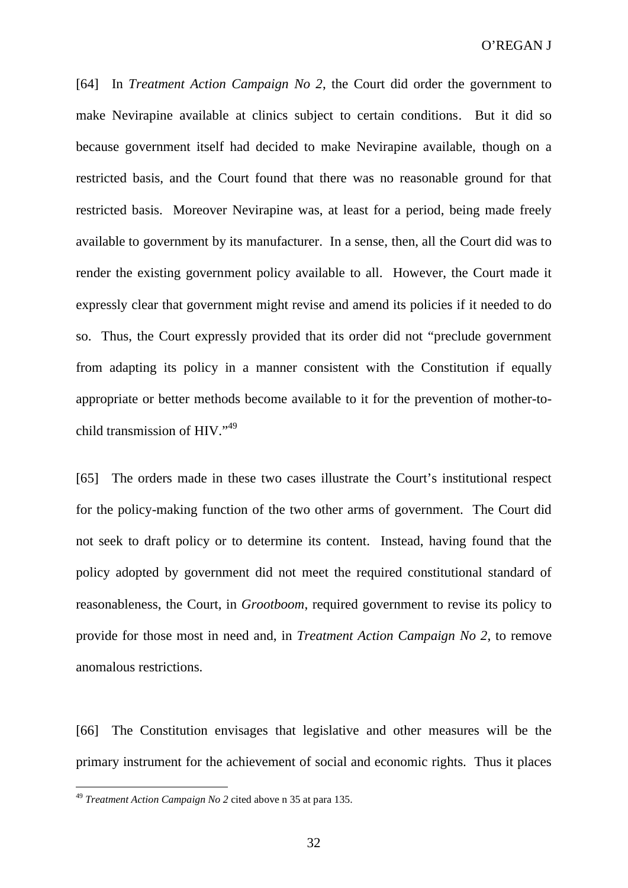[64] In *Treatment Action Campaign No 2*, the Court did order the government to make Nevirapine available at clinics subject to certain conditions. But it did so because government itself had decided to make Nevirapine available, though on a restricted basis, and the Court found that there was no reasonable ground for that restricted basis. Moreover Nevirapine was, at least for a period, being made freely available to government by its manufacturer. In a sense, then, all the Court did was to render the existing government policy available to all. However, the Court made it expressly clear that government might revise and amend its policies if it needed to do so. Thus, the Court expressly provided that its order did not "preclude government from adapting its policy in a manner consistent with the Constitution if equally appropriate or better methods become available to it for the prevention of mother-tochild transmission of HIV."<sup>49</sup>

[65] The orders made in these two cases illustrate the Court's institutional respect for the policy-making function of the two other arms of government. The Court did not seek to draft policy or to determine its content. Instead, having found that the policy adopted by government did not meet the required constitutional standard of reasonableness, the Court, in *Grootboom*, required government to revise its policy to provide for those most in need and, in *Treatment Action Campaign No 2*, to remove anomalous restrictions.

[66] The Constitution envisages that legislative and other measures will be the primary instrument for the achievement of social and economic rights. Thus it places

<sup>49</sup> *Treatment Action Campaign No 2* cited above n 35 at para 135.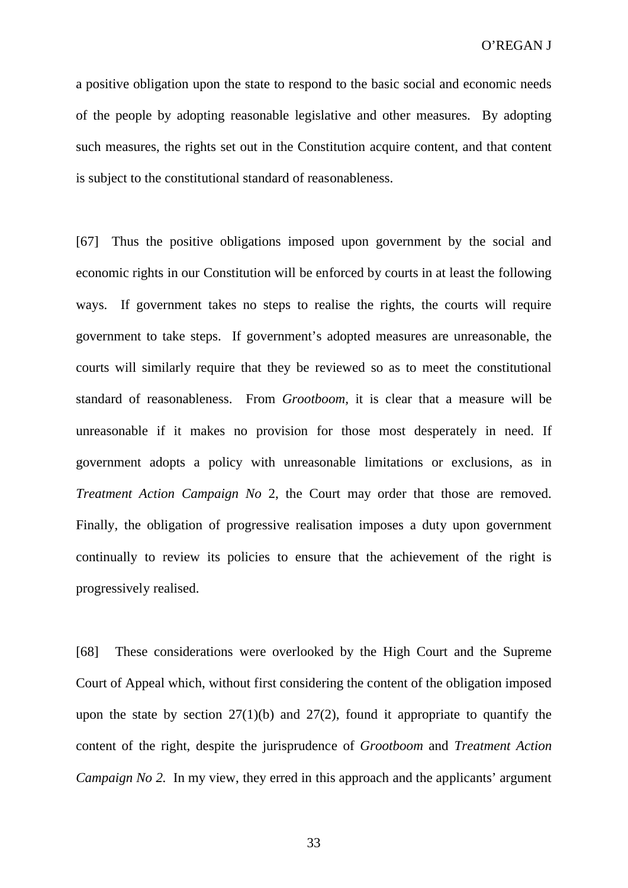a positive obligation upon the state to respond to the basic social and economic needs of the people by adopting reasonable legislative and other measures. By adopting such measures, the rights set out in the Constitution acquire content, and that content is subject to the constitutional standard of reasonableness.

[67] Thus the positive obligations imposed upon government by the social and economic rights in our Constitution will be enforced by courts in at least the following ways. If government takes no steps to realise the rights, the courts will require government to take steps. If government's adopted measures are unreasonable, the courts will similarly require that they be reviewed so as to meet the constitutional standard of reasonableness. From *Grootboom,* it is clear that a measure will be unreasonable if it makes no provision for those most desperately in need. If government adopts a policy with unreasonable limitations or exclusions, as in *Treatment Action Campaign No* 2, the Court may order that those are removed. Finally, the obligation of progressive realisation imposes a duty upon government continually to review its policies to ensure that the achievement of the right is progressively realised.

[68] These considerations were overlooked by the High Court and the Supreme Court of Appeal which, without first considering the content of the obligation imposed upon the state by section  $27(1)(b)$  and  $27(2)$ , found it appropriate to quantify the content of the right, despite the jurisprudence of *Grootboom* and *Treatment Action Campaign No 2.* In my view, they erred in this approach and the applicants' argument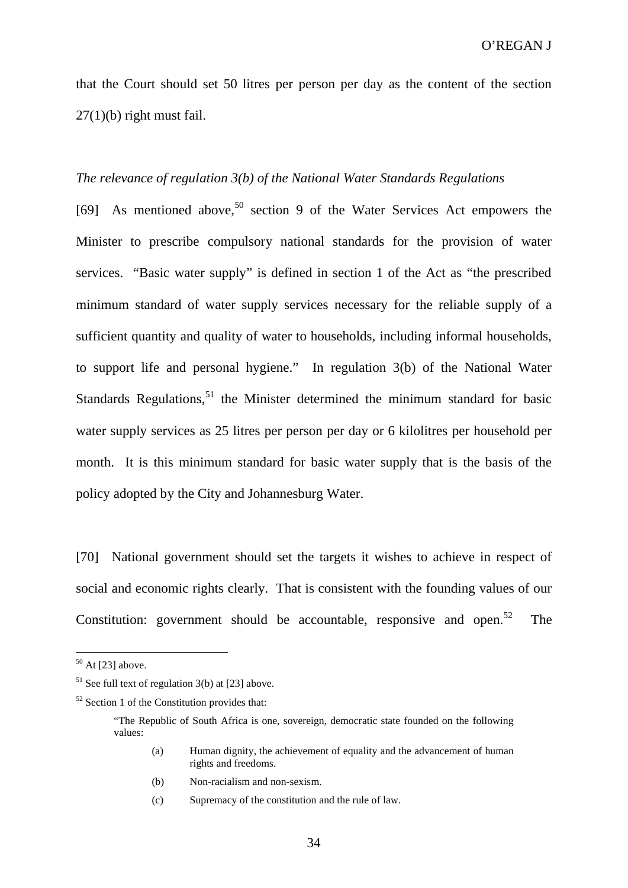that the Court should set 50 litres per person per day as the content of the section  $27(1)(b)$  right must fail.

### *The relevance of regulation 3(b) of the National Water Standards Regulations*

[69] As mentioned above,<sup>50</sup> section 9 of the Water Services Act empowers the Minister to prescribe compulsory national standards for the provision of water services. "Basic water supply" is defined in section 1 of the Act as "the prescribed minimum standard of water supply services necessary for the reliable supply of a sufficient quantity and quality of water to households, including informal households, to support life and personal hygiene." In regulation 3(b) of the National Water Standards Regulations,  $51$  the Minister determined the minimum standard for basic water supply services as 25 litres per person per day or 6 kilolitres per household per month. It is this minimum standard for basic water supply that is the basis of the policy adopted by the City and Johannesburg Water.

[70] National government should set the targets it wishes to achieve in respect of social and economic rights clearly. That is consistent with the founding values of our Constitution: government should be accountable, responsive and open.<sup>52</sup> The

- (a) Human dignity, the achievement of equality and the advancement of human rights and freedoms.
- (b) Non-racialism and non-sexism.
- (c) Supremacy of the constitution and the rule of law.

 $50$  At [23] above.

 $51$  See full text of regulation 3(b) at [23] above.

 $52$  Section 1 of the Constitution provides that:

<sup>&</sup>quot;The Republic of South Africa is one, sovereign, democratic state founded on the following values: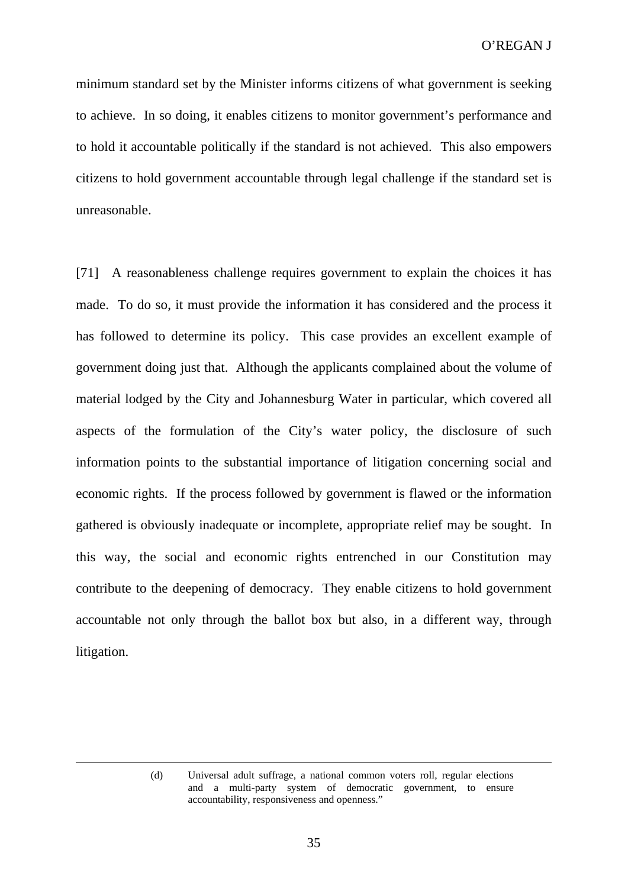minimum standard set by the Minister informs citizens of what government is seeking to achieve. In so doing, it enables citizens to monitor government's performance and to hold it accountable politically if the standard is not achieved. This also empowers citizens to hold government accountable through legal challenge if the standard set is unreasonable.

[71] A reasonableness challenge requires government to explain the choices it has made. To do so, it must provide the information it has considered and the process it has followed to determine its policy. This case provides an excellent example of government doing just that. Although the applicants complained about the volume of material lodged by the City and Johannesburg Water in particular, which covered all aspects of the formulation of the City's water policy, the disclosure of such information points to the substantial importance of litigation concerning social and economic rights. If the process followed by government is flawed or the information gathered is obviously inadequate or incomplete, appropriate relief may be sought. In this way, the social and economic rights entrenched in our Constitution may contribute to the deepening of democracy. They enable citizens to hold government accountable not only through the ballot box but also, in a different way, through litigation.

 <sup>(</sup>d) Universal adult suffrage, a national common voters roll, regular elections and a multi-party system of democratic government, to ensure accountability, responsiveness and openness."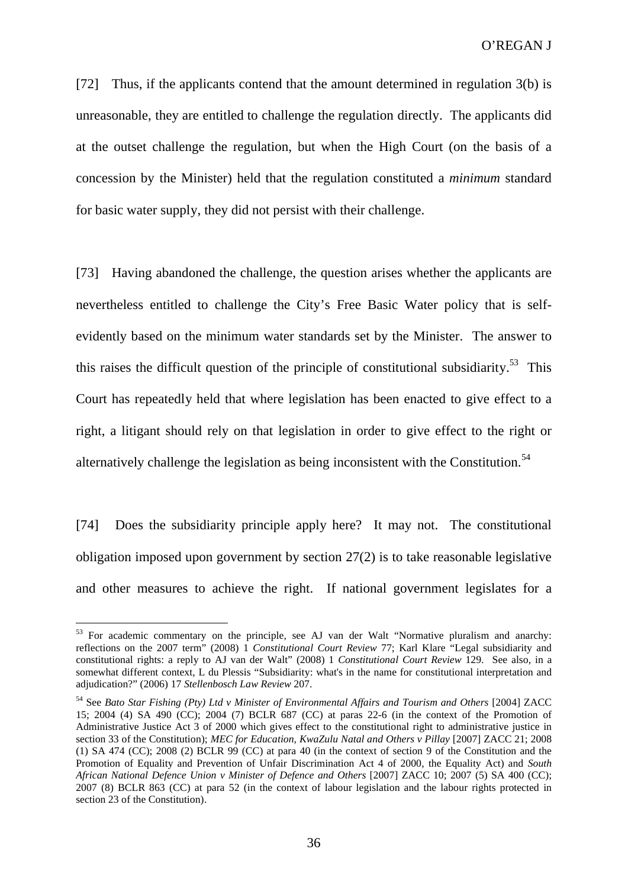[72] Thus, if the applicants contend that the amount determined in regulation 3(b) is unreasonable, they are entitled to challenge the regulation directly. The applicants did at the outset challenge the regulation, but when the High Court (on the basis of a concession by the Minister) held that the regulation constituted a *minimum* standard for basic water supply, they did not persist with their challenge.

[73] Having abandoned the challenge, the question arises whether the applicants are nevertheless entitled to challenge the City's Free Basic Water policy that is selfevidently based on the minimum water standards set by the Minister. The answer to this raises the difficult question of the principle of constitutional subsidiarity.<sup>53</sup> This Court has repeatedly held that where legislation has been enacted to give effect to a right, a litigant should rely on that legislation in order to give effect to the right or alternatively challenge the legislation as being inconsistent with the Constitution.<sup>54</sup>

[74] Does the subsidiarity principle apply here? It may not. The constitutional obligation imposed upon government by section 27(2) is to take reasonable legislative and other measures to achieve the right. If national government legislates for a

<sup>&</sup>lt;sup>53</sup> For academic commentary on the principle, see AJ van der Walt "Normative pluralism and anarchy: reflections on the 2007 term" (2008) 1 *Constitutional Court Review* 77; Karl Klare "Legal subsidiarity and constitutional rights: a reply to AJ van der Walt" (2008) 1 *Constitutional Court Review* 129. See also, in a somewhat different context, L du Plessis "Subsidiarity: what's in the name for constitutional interpretation and adjudication?" (2006) 17 *Stellenbosch Law Review* 207.

<sup>&</sup>lt;sup>54</sup> See *Bato Star Fishing (Pty) Ltd v Minister of Environmental Affairs and Tourism and Others [2004] ZACC* 15; 2004 (4) SA 490 (CC); 2004 (7) BCLR 687 (CC) at paras 22-6 (in the context of the Promotion of Administrative Justice Act 3 of 2000 which gives effect to the constitutional right to administrative justice in section 33 of the Constitution); *MEC for Education, KwaZulu Natal and Others v Pillay* [2007] ZACC 21; 2008 (1) SA 474 (CC); 2008 (2) BCLR 99 (CC) at para 40 (in the context of section 9 of the Constitution and the Promotion of Equality and Prevention of Unfair Discrimination Act 4 of 2000, the Equality Act) and *South African National Defence Union v Minister of Defence and Others* [2007] ZACC 10; 2007 (5) SA 400 (CC); 2007 (8) BCLR 863 (CC) at para 52 (in the context of labour legislation and the labour rights protected in section 23 of the Constitution).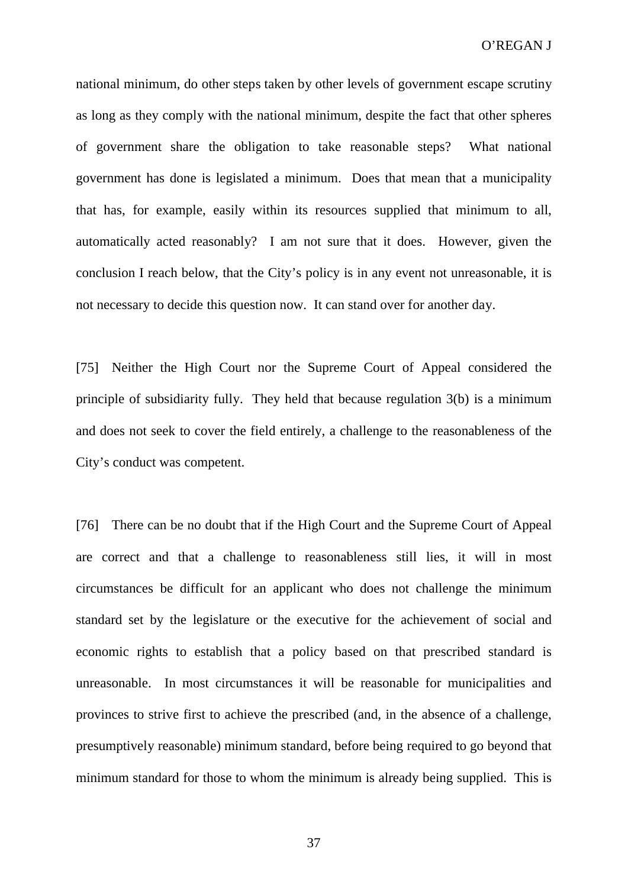national minimum, do other steps taken by other levels of government escape scrutiny as long as they comply with the national minimum, despite the fact that other spheres of government share the obligation to take reasonable steps? What national government has done is legislated a minimum. Does that mean that a municipality that has, for example, easily within its resources supplied that minimum to all, automatically acted reasonably? I am not sure that it does. However, given the conclusion I reach below, that the City's policy is in any event not unreasonable, it is not necessary to decide this question now. It can stand over for another day.

[75] Neither the High Court nor the Supreme Court of Appeal considered the principle of subsidiarity fully. They held that because regulation 3(b) is a minimum and does not seek to cover the field entirely, a challenge to the reasonableness of the City's conduct was competent.

[76] There can be no doubt that if the High Court and the Supreme Court of Appeal are correct and that a challenge to reasonableness still lies, it will in most circumstances be difficult for an applicant who does not challenge the minimum standard set by the legislature or the executive for the achievement of social and economic rights to establish that a policy based on that prescribed standard is unreasonable. In most circumstances it will be reasonable for municipalities and provinces to strive first to achieve the prescribed (and, in the absence of a challenge, presumptively reasonable) minimum standard, before being required to go beyond that minimum standard for those to whom the minimum is already being supplied. This is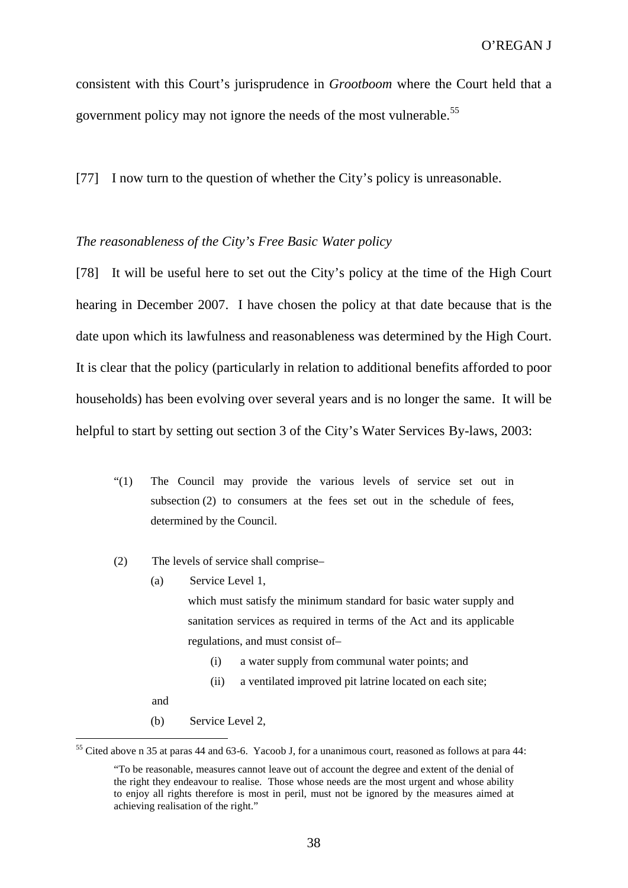consistent with this Court's jurisprudence in *Grootboom* where the Court held that a government policy may not ignore the needs of the most vulnerable.<sup>55</sup>

[77] I now turn to the question of whether the City's policy is unreasonable.

### *The reasonableness of the City's Free Basic Water policy*

[78] It will be useful here to set out the City's policy at the time of the High Court hearing in December 2007. I have chosen the policy at that date because that is the date upon which its lawfulness and reasonableness was determined by the High Court. It is clear that the policy (particularly in relation to additional benefits afforded to poor households) has been evolving over several years and is no longer the same. It will be helpful to start by setting out section 3 of the City's Water Services By-laws, 2003:

- "(1) The Council may provide the various levels of service set out in subsection (2) to consumers at the fees set out in the schedule of fees, determined by the Council.
- (2) The levels of service shall comprise–
	- (a) Service Level 1,

which must satisfy the minimum standard for basic water supply and sanitation services as required in terms of the Act and its applicable regulations, and must consist of–

- (i) a water supply from communal water points; and
- (ii) a ventilated improved pit latrine located on each site;
- and

 $\overline{a}$ 

(b) Service Level 2,

<sup>&</sup>lt;sup>55</sup> Cited above n 35 at paras 44 and 63-6. Yacoob J, for a unanimous court, reasoned as follows at para 44:

<sup>&</sup>quot;To be reasonable, measures cannot leave out of account the degree and extent of the denial of the right they endeavour to realise. Those whose needs are the most urgent and whose ability to enjoy all rights therefore is most in peril, must not be ignored by the measures aimed at achieving realisation of the right."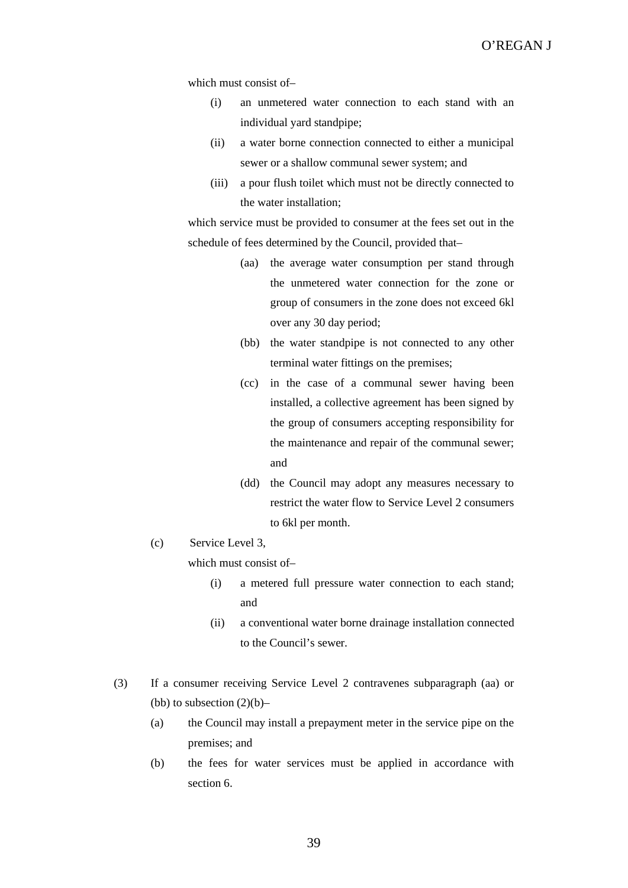which must consist of–

- (i) an unmetered water connection to each stand with an individual yard standpipe;
- (ii) a water borne connection connected to either a municipal sewer or a shallow communal sewer system; and
- (iii) a pour flush toilet which must not be directly connected to the water installation;

which service must be provided to consumer at the fees set out in the schedule of fees determined by the Council, provided that–

- (aa) the average water consumption per stand through the unmetered water connection for the zone or group of consumers in the zone does not exceed 6kl over any 30 day period;
- (bb) the water standpipe is not connected to any other terminal water fittings on the premises;
- (cc) in the case of a communal sewer having been installed, a collective agreement has been signed by the group of consumers accepting responsibility for the maintenance and repair of the communal sewer; and
- (dd) the Council may adopt any measures necessary to restrict the water flow to Service Level 2 consumers to 6kl per month.
- (c) Service Level 3,

which must consist of–

- (i) a metered full pressure water connection to each stand; and
- (ii) a conventional water borne drainage installation connected to the Council's sewer.
- (3) If a consumer receiving Service Level 2 contravenes subparagraph (aa) or (bb) to subsection  $(2)(b)$ –
	- (a) the Council may install a prepayment meter in the service pipe on the premises; and
	- (b) the fees for water services must be applied in accordance with section 6.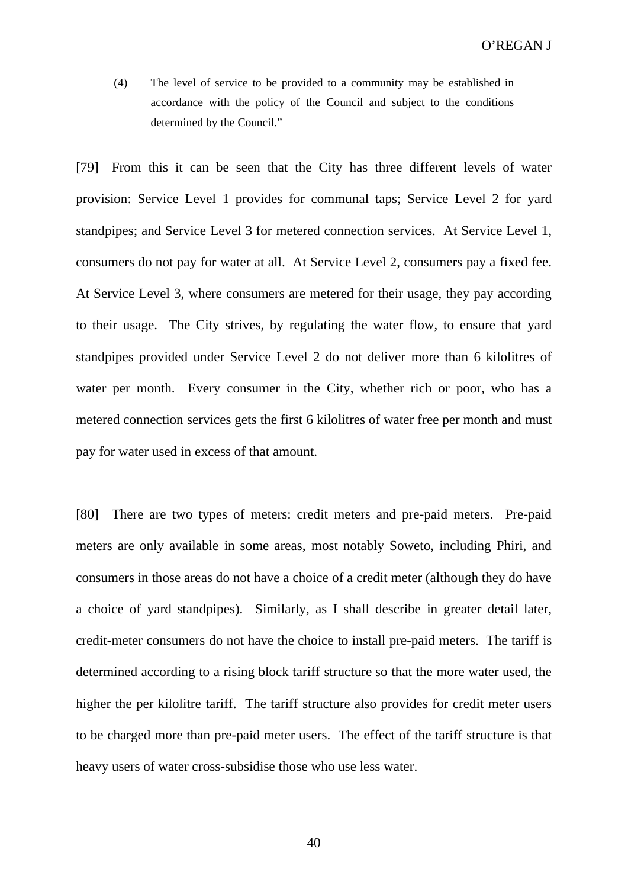(4) The level of service to be provided to a community may be established in accordance with the policy of the Council and subject to the conditions determined by the Council."

[79] From this it can be seen that the City has three different levels of water provision: Service Level 1 provides for communal taps; Service Level 2 for yard standpipes; and Service Level 3 for metered connection services. At Service Level 1, consumers do not pay for water at all. At Service Level 2, consumers pay a fixed fee. At Service Level 3, where consumers are metered for their usage, they pay according to their usage. The City strives, by regulating the water flow, to ensure that yard standpipes provided under Service Level 2 do not deliver more than 6 kilolitres of water per month. Every consumer in the City, whether rich or poor, who has a metered connection services gets the first 6 kilolitres of water free per month and must pay for water used in excess of that amount.

[80] There are two types of meters: credit meters and pre-paid meters. Pre-paid meters are only available in some areas, most notably Soweto, including Phiri, and consumers in those areas do not have a choice of a credit meter (although they do have a choice of yard standpipes). Similarly, as I shall describe in greater detail later, credit-meter consumers do not have the choice to install pre-paid meters. The tariff is determined according to a rising block tariff structure so that the more water used, the higher the per kilolitre tariff. The tariff structure also provides for credit meter users to be charged more than pre-paid meter users. The effect of the tariff structure is that heavy users of water cross-subsidise those who use less water.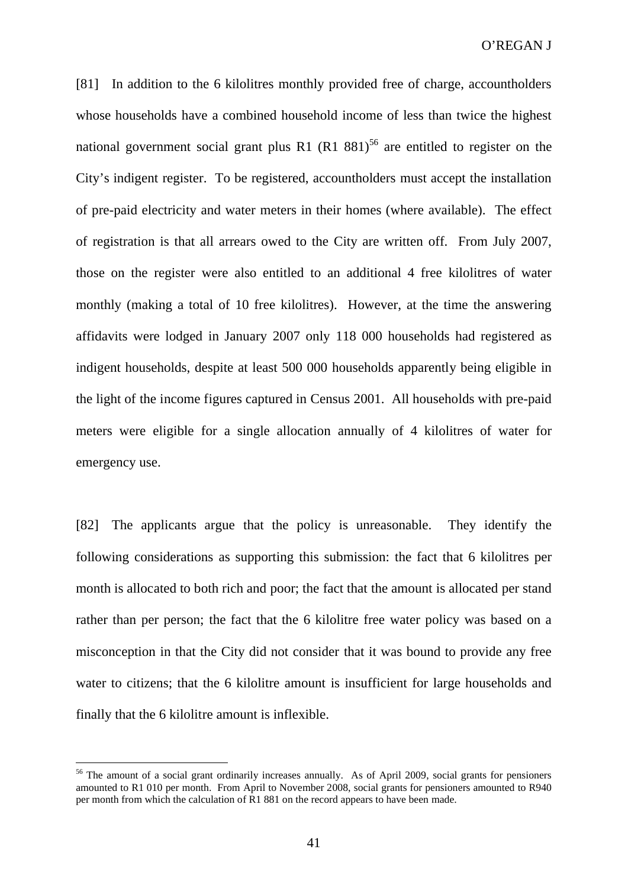[81] In addition to the 6 kilolitres monthly provided free of charge, accountholders whose households have a combined household income of less than twice the highest national government social grant plus R1  $(R1 881)^{56}$  are entitled to register on the City's indigent register. To be registered, accountholders must accept the installation of pre-paid electricity and water meters in their homes (where available). The effect of registration is that all arrears owed to the City are written off. From July 2007, those on the register were also entitled to an additional 4 free kilolitres of water monthly (making a total of 10 free kilolitres). However, at the time the answering affidavits were lodged in January 2007 only 118 000 households had registered as indigent households, despite at least 500 000 households apparently being eligible in the light of the income figures captured in Census 2001. All households with pre-paid meters were eligible for a single allocation annually of 4 kilolitres of water for emergency use.

[82] The applicants argue that the policy is unreasonable. They identify the following considerations as supporting this submission: the fact that 6 kilolitres per month is allocated to both rich and poor; the fact that the amount is allocated per stand rather than per person; the fact that the 6 kilolitre free water policy was based on a misconception in that the City did not consider that it was bound to provide any free water to citizens; that the 6 kilolitre amount is insufficient for large households and finally that the 6 kilolitre amount is inflexible.

<sup>&</sup>lt;sup>56</sup> The amount of a social grant ordinarily increases annually. As of April 2009, social grants for pensioners amounted to R1 010 per month. From April to November 2008, social grants for pensioners amounted to R940 per month from which the calculation of R1 881 on the record appears to have been made.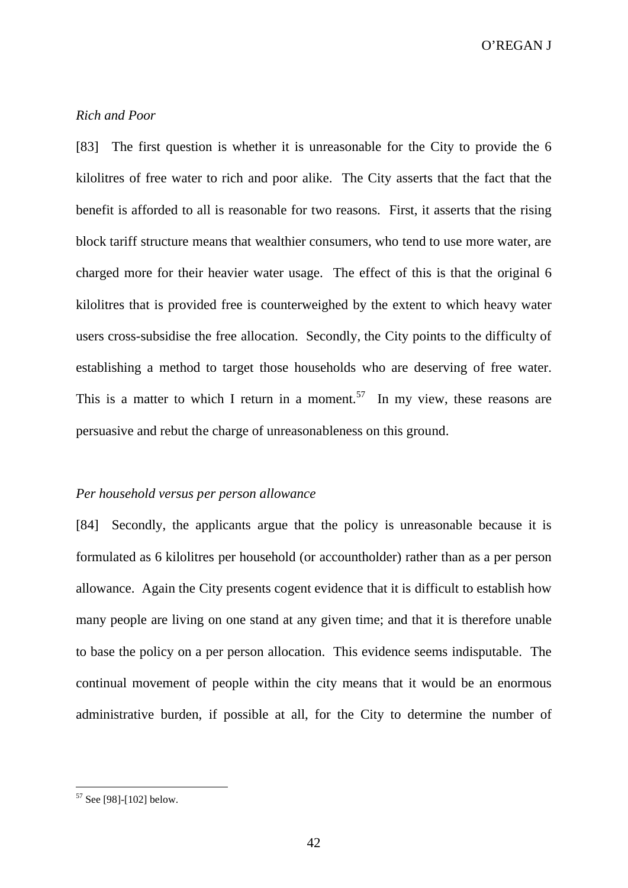# *Rich and Poor*

[83] The first question is whether it is unreasonable for the City to provide the 6 kilolitres of free water to rich and poor alike. The City asserts that the fact that the benefit is afforded to all is reasonable for two reasons. First, it asserts that the rising block tariff structure means that wealthier consumers, who tend to use more water, are charged more for their heavier water usage. The effect of this is that the original 6 kilolitres that is provided free is counterweighed by the extent to which heavy water users cross-subsidise the free allocation. Secondly, the City points to the difficulty of establishing a method to target those households who are deserving of free water. This is a matter to which I return in a moment.<sup>57</sup> In my view, these reasons are persuasive and rebut the charge of unreasonableness on this ground.

## *Per household versus per person allowance*

[84] Secondly, the applicants argue that the policy is unreasonable because it is formulated as 6 kilolitres per household (or accountholder) rather than as a per person allowance. Again the City presents cogent evidence that it is difficult to establish how many people are living on one stand at any given time; and that it is therefore unable to base the policy on a per person allocation. This evidence seems indisputable. The continual movement of people within the city means that it would be an enormous administrative burden, if possible at all, for the City to determine the number of

<sup>57</sup> See [98]-[102] below.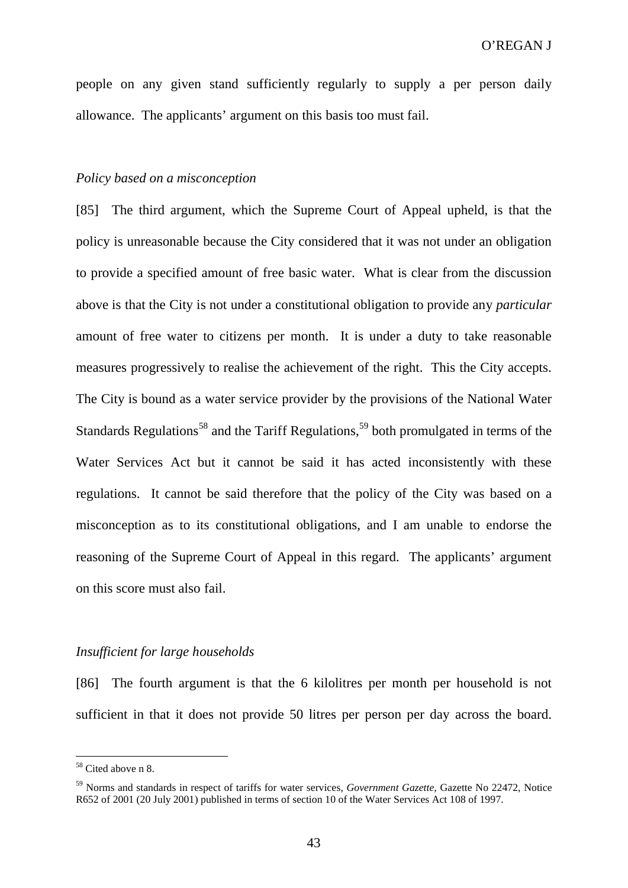people on any given stand sufficiently regularly to supply a per person daily allowance. The applicants' argument on this basis too must fail.

### *Policy based on a misconception*

[85] The third argument, which the Supreme Court of Appeal upheld, is that the policy is unreasonable because the City considered that it was not under an obligation to provide a specified amount of free basic water. What is clear from the discussion above is that the City is not under a constitutional obligation to provide any *particular* amount of free water to citizens per month. It is under a duty to take reasonable measures progressively to realise the achievement of the right. This the City accepts. The City is bound as a water service provider by the provisions of the National Water Standards Regulations<sup>58</sup> and the Tariff Regulations,<sup>59</sup> both promulgated in terms of the Water Services Act but it cannot be said it has acted inconsistently with these regulations. It cannot be said therefore that the policy of the City was based on a misconception as to its constitutional obligations, and I am unable to endorse the reasoning of the Supreme Court of Appeal in this regard. The applicants' argument on this score must also fail.

# *Insufficient for large households*

[86] The fourth argument is that the 6 kilolitres per month per household is not sufficient in that it does not provide 50 litres per person per day across the board.

<sup>58</sup> Cited above n 8.

<sup>59</sup> Norms and standards in respect of tariffs for water services, *Government Gazette,* Gazette No 22472, Notice R652 of 2001 (20 July 2001) published in terms of section 10 of the Water Services Act 108 of 1997.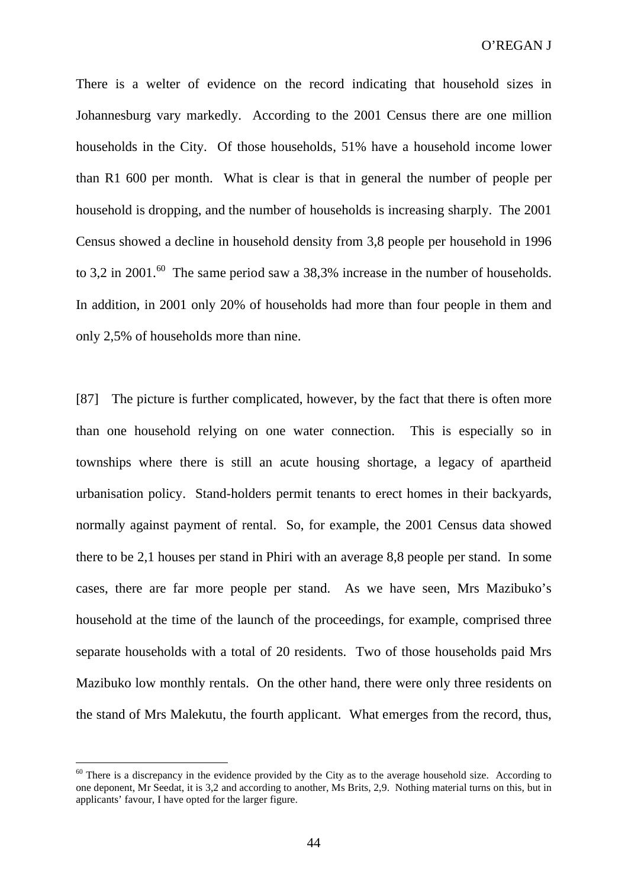There is a welter of evidence on the record indicating that household sizes in Johannesburg vary markedly. According to the 2001 Census there are one million households in the City. Of those households, 51% have a household income lower than R1 600 per month. What is clear is that in general the number of people per household is dropping, and the number of households is increasing sharply. The 2001 Census showed a decline in household density from 3,8 people per household in 1996 to 3,2 in 2001. $^{60}$  The same period saw a 38,3% increase in the number of households. In addition, in 2001 only 20% of households had more than four people in them and only 2,5% of households more than nine.

[87] The picture is further complicated, however, by the fact that there is often more than one household relying on one water connection. This is especially so in townships where there is still an acute housing shortage, a legacy of apartheid urbanisation policy. Stand-holders permit tenants to erect homes in their backyards, normally against payment of rental. So, for example, the 2001 Census data showed there to be 2,1 houses per stand in Phiri with an average 8,8 people per stand. In some cases, there are far more people per stand. As we have seen, Mrs Mazibuko's household at the time of the launch of the proceedings, for example, comprised three separate households with a total of 20 residents. Two of those households paid Mrs Mazibuko low monthly rentals. On the other hand, there were only three residents on the stand of Mrs Malekutu, the fourth applicant. What emerges from the record, thus,

<sup>&</sup>lt;sup>60</sup> There is a discrepancy in the evidence provided by the City as to the average household size. According to one deponent, Mr Seedat, it is 3,2 and according to another, Ms Brits, 2,9. Nothing material turns on this, but in applicants' favour, I have opted for the larger figure.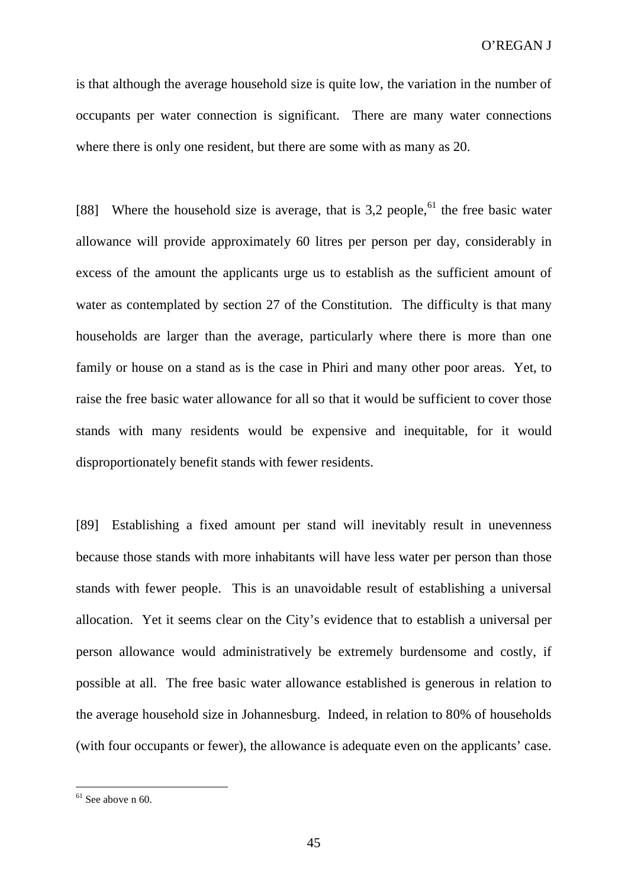is that although the average household size is quite low, the variation in the number of occupants per water connection is significant. There are many water connections where there is only one resident, but there are some with as many as 20.

[88] Where the household size is average, that is  $3.2$  people, <sup>61</sup> the free basic water allowance will provide approximately 60 litres per person per day, considerably in excess of the amount the applicants urge us to establish as the sufficient amount of water as contemplated by section 27 of the Constitution. The difficulty is that many households are larger than the average, particularly where there is more than one family or house on a stand as is the case in Phiri and many other poor areas. Yet, to raise the free basic water allowance for all so that it would be sufficient to cover those stands with many residents would be expensive and inequitable, for it would disproportionately benefit stands with fewer residents.

[89] Establishing a fixed amount per stand will inevitably result in unevenness because those stands with more inhabitants will have less water per person than those stands with fewer people. This is an unavoidable result of establishing a universal allocation. Yet it seems clear on the City's evidence that to establish a universal per person allowance would administratively be extremely burdensome and costly, if possible at all. The free basic water allowance established is generous in relation to the average household size in Johannesburg. Indeed, in relation to 80% of households (with four occupants or fewer), the allowance is adequate even on the applicants' case.

 $61$  See above n 60.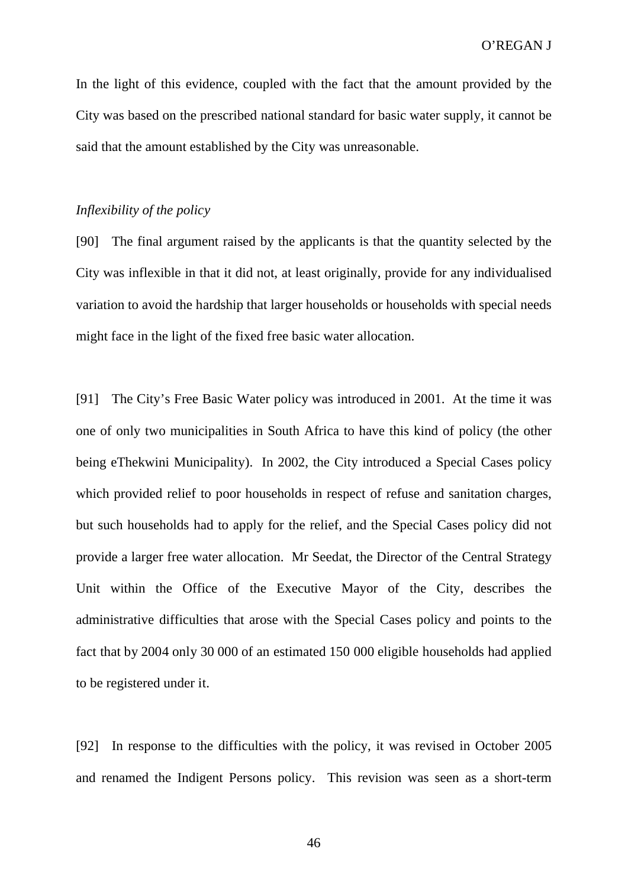In the light of this evidence, coupled with the fact that the amount provided by the City was based on the prescribed national standard for basic water supply, it cannot be said that the amount established by the City was unreasonable.

### *Inflexibility of the policy*

[90] The final argument raised by the applicants is that the quantity selected by the City was inflexible in that it did not, at least originally, provide for any individualised variation to avoid the hardship that larger households or households with special needs might face in the light of the fixed free basic water allocation.

[91] The City's Free Basic Water policy was introduced in 2001. At the time it was one of only two municipalities in South Africa to have this kind of policy (the other being eThekwini Municipality). In 2002, the City introduced a Special Cases policy which provided relief to poor households in respect of refuse and sanitation charges, but such households had to apply for the relief, and the Special Cases policy did not provide a larger free water allocation. Mr Seedat, the Director of the Central Strategy Unit within the Office of the Executive Mayor of the City, describes the administrative difficulties that arose with the Special Cases policy and points to the fact that by 2004 only 30 000 of an estimated 150 000 eligible households had applied to be registered under it.

[92] In response to the difficulties with the policy, it was revised in October 2005 and renamed the Indigent Persons policy. This revision was seen as a short-term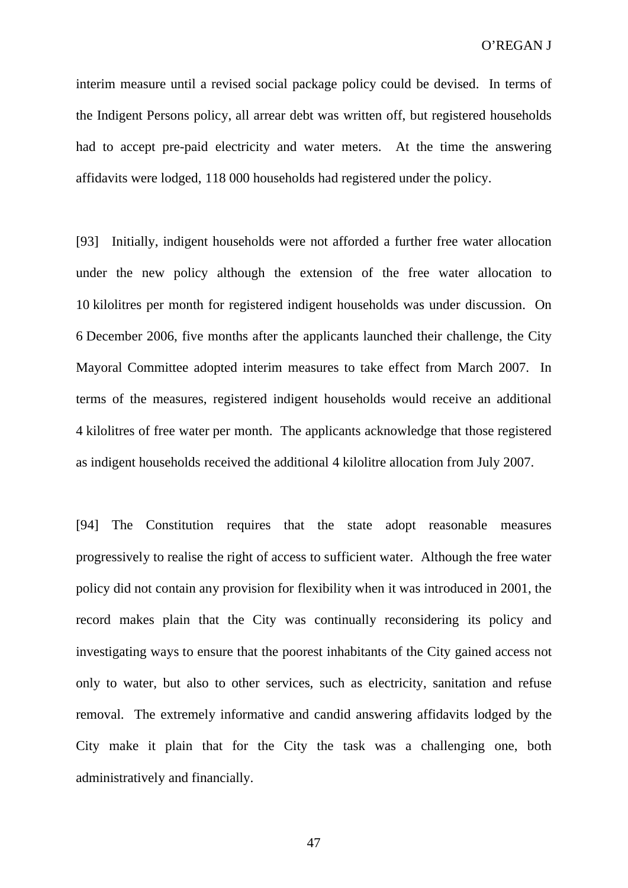interim measure until a revised social package policy could be devised. In terms of the Indigent Persons policy, all arrear debt was written off, but registered households had to accept pre-paid electricity and water meters. At the time the answering affidavits were lodged, 118 000 households had registered under the policy.

[93] Initially, indigent households were not afforded a further free water allocation under the new policy although the extension of the free water allocation to 10 kilolitres per month for registered indigent households was under discussion. On 6 December 2006, five months after the applicants launched their challenge, the City Mayoral Committee adopted interim measures to take effect from March 2007. In terms of the measures, registered indigent households would receive an additional 4 kilolitres of free water per month. The applicants acknowledge that those registered as indigent households received the additional 4 kilolitre allocation from July 2007.

[94] The Constitution requires that the state adopt reasonable measures progressively to realise the right of access to sufficient water. Although the free water policy did not contain any provision for flexibility when it was introduced in 2001, the record makes plain that the City was continually reconsidering its policy and investigating ways to ensure that the poorest inhabitants of the City gained access not only to water, but also to other services, such as electricity, sanitation and refuse removal. The extremely informative and candid answering affidavits lodged by the City make it plain that for the City the task was a challenging one, both administratively and financially.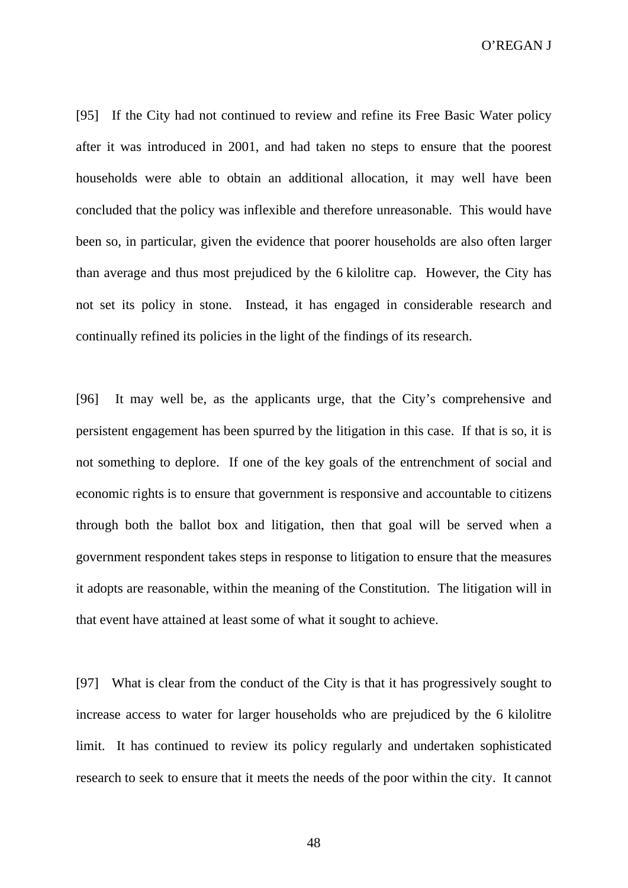[95] If the City had not continued to review and refine its Free Basic Water policy after it was introduced in 2001, and had taken no steps to ensure that the poorest households were able to obtain an additional allocation, it may well have been concluded that the policy was inflexible and therefore unreasonable. This would have been so, in particular, given the evidence that poorer households are also often larger than average and thus most prejudiced by the 6 kilolitre cap. However, the City has not set its policy in stone. Instead, it has engaged in considerable research and continually refined its policies in the light of the findings of its research.

[96] It may well be, as the applicants urge, that the City's comprehensive and persistent engagement has been spurred by the litigation in this case. If that is so, it is not something to deplore. If one of the key goals of the entrenchment of social and economic rights is to ensure that government is responsive and accountable to citizens through both the ballot box and litigation, then that goal will be served when a government respondent takes steps in response to litigation to ensure that the measures it adopts are reasonable, within the meaning of the Constitution. The litigation will in that event have attained at least some of what it sought to achieve.

[97] What is clear from the conduct of the City is that it has progressively sought to increase access to water for larger households who are prejudiced by the 6 kilolitre limit. It has continued to review its policy regularly and undertaken sophisticated research to seek to ensure that it meets the needs of the poor within the city. It cannot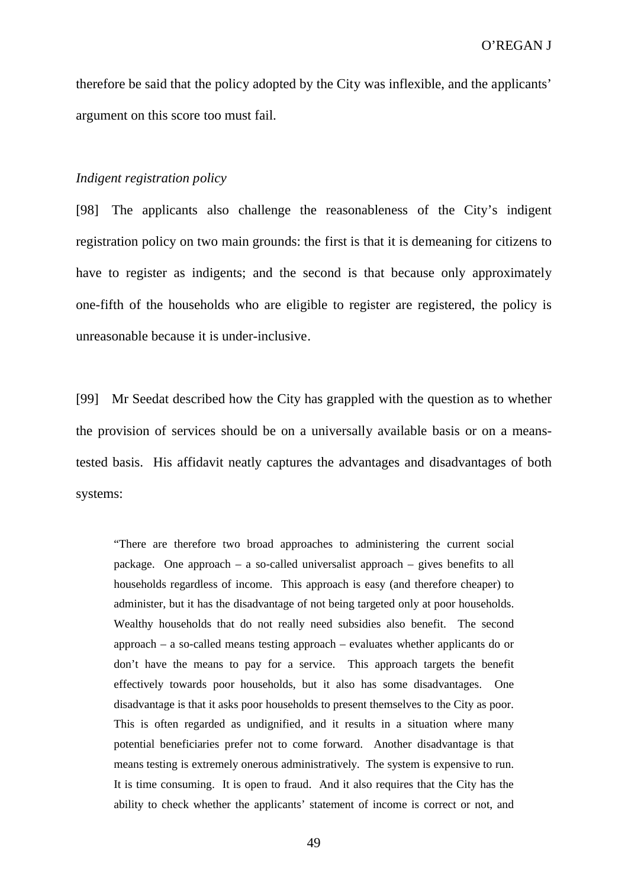therefore be said that the policy adopted by the City was inflexible, and the applicants' argument on this score too must fail.

### *Indigent registration policy*

[98] The applicants also challenge the reasonableness of the City's indigent registration policy on two main grounds: the first is that it is demeaning for citizens to have to register as indigents; and the second is that because only approximately one-fifth of the households who are eligible to register are registered, the policy is unreasonable because it is under-inclusive.

[99] Mr Seedat described how the City has grappled with the question as to whether the provision of services should be on a universally available basis or on a meanstested basis. His affidavit neatly captures the advantages and disadvantages of both systems:

"There are therefore two broad approaches to administering the current social package. One approach – a so-called universalist approach – gives benefits to all households regardless of income. This approach is easy (and therefore cheaper) to administer, but it has the disadvantage of not being targeted only at poor households. Wealthy households that do not really need subsidies also benefit. The second approach – a so-called means testing approach – evaluates whether applicants do or don't have the means to pay for a service. This approach targets the benefit effectively towards poor households, but it also has some disadvantages. One disadvantage is that it asks poor households to present themselves to the City as poor. This is often regarded as undignified, and it results in a situation where many potential beneficiaries prefer not to come forward. Another disadvantage is that means testing is extremely onerous administratively. The system is expensive to run. It is time consuming. It is open to fraud. And it also requires that the City has the ability to check whether the applicants' statement of income is correct or not, and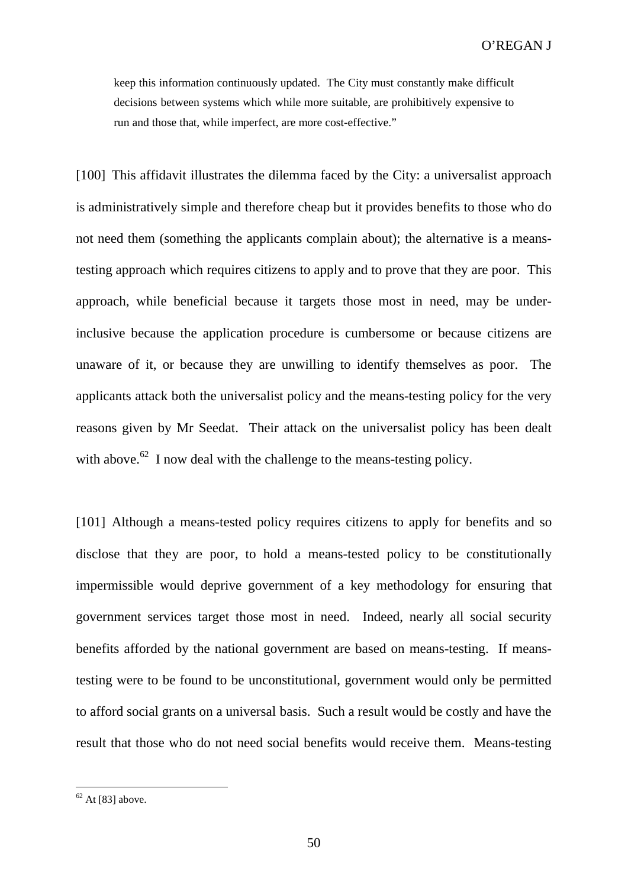keep this information continuously updated. The City must constantly make difficult decisions between systems which while more suitable, are prohibitively expensive to run and those that, while imperfect, are more cost-effective."

[100] This affidavit illustrates the dilemma faced by the City: a universalist approach is administratively simple and therefore cheap but it provides benefits to those who do not need them (something the applicants complain about); the alternative is a meanstesting approach which requires citizens to apply and to prove that they are poor. This approach, while beneficial because it targets those most in need, may be underinclusive because the application procedure is cumbersome or because citizens are unaware of it, or because they are unwilling to identify themselves as poor. The applicants attack both the universalist policy and the means-testing policy for the very reasons given by Mr Seedat. Their attack on the universalist policy has been dealt with above.<sup>62</sup> I now deal with the challenge to the means-testing policy.

[101] Although a means-tested policy requires citizens to apply for benefits and so disclose that they are poor, to hold a means-tested policy to be constitutionally impermissible would deprive government of a key methodology for ensuring that government services target those most in need. Indeed, nearly all social security benefits afforded by the national government are based on means-testing. If meanstesting were to be found to be unconstitutional, government would only be permitted to afford social grants on a universal basis. Such a result would be costly and have the result that those who do not need social benefits would receive them. Means-testing

 $62$  At [83] above.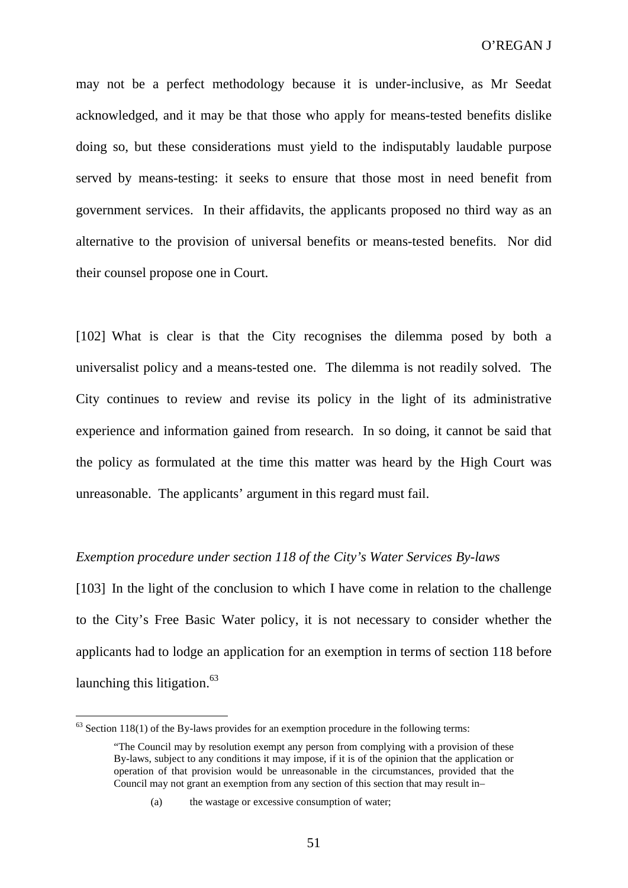may not be a perfect methodology because it is under-inclusive, as Mr Seedat acknowledged, and it may be that those who apply for means-tested benefits dislike doing so, but these considerations must yield to the indisputably laudable purpose served by means-testing: it seeks to ensure that those most in need benefit from government services. In their affidavits, the applicants proposed no third way as an alternative to the provision of universal benefits or means-tested benefits. Nor did their counsel propose one in Court.

[102] What is clear is that the City recognises the dilemma posed by both a universalist policy and a means-tested one. The dilemma is not readily solved. The City continues to review and revise its policy in the light of its administrative experience and information gained from research. In so doing, it cannot be said that the policy as formulated at the time this matter was heard by the High Court was unreasonable. The applicants' argument in this regard must fail.

#### *Exemption procedure under section 118 of the City's Water Services By-laws*

[103] In the light of the conclusion to which I have come in relation to the challenge to the City's Free Basic Water policy, it is not necessary to consider whether the applicants had to lodge an application for an exemption in terms of section 118 before launching this litigation. $^{63}$ 

 $63$  Section 118(1) of the By-laws provides for an exemption procedure in the following terms:

<sup>&</sup>quot;The Council may by resolution exempt any person from complying with a provision of these By-laws, subject to any conditions it may impose, if it is of the opinion that the application or operation of that provision would be unreasonable in the circumstances, provided that the Council may not grant an exemption from any section of this section that may result in–

<sup>(</sup>a) the wastage or excessive consumption of water;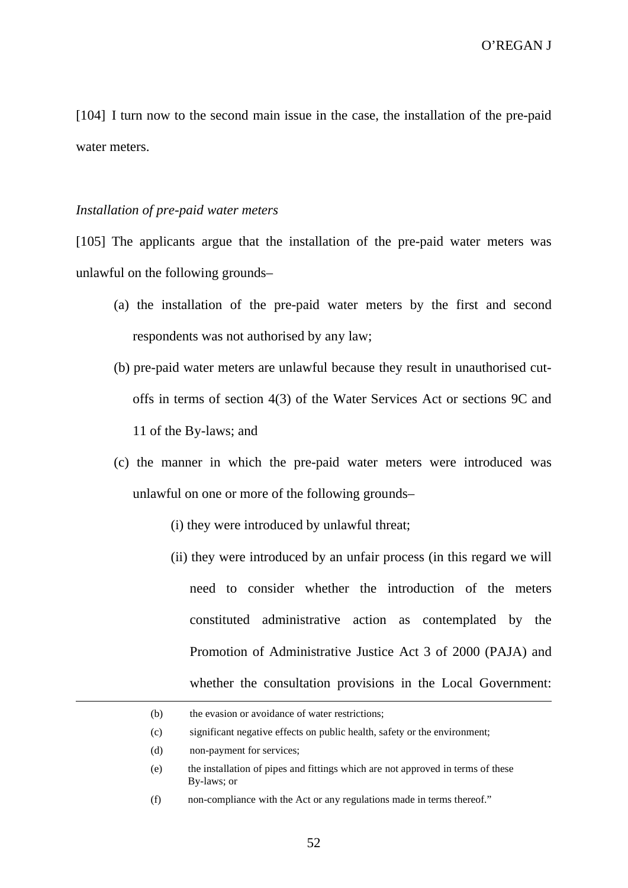[104] I turn now to the second main issue in the case, the installation of the pre-paid water meters.

#### *Installation of pre-paid water meters*

[105] The applicants argue that the installation of the pre-paid water meters was unlawful on the following grounds–

- (a) the installation of the pre-paid water meters by the first and second respondents was not authorised by any law;
- (b) pre-paid water meters are unlawful because they result in unauthorised cutoffs in terms of section 4(3) of the Water Services Act or sections 9C and 11 of the By-laws; and
- (c) the manner in which the pre-paid water meters were introduced was unlawful on one or more of the following grounds–
	- (i) they were introduced by unlawful threat;
	- (ii) they were introduced by an unfair process (in this regard we will need to consider whether the introduction of the meters constituted administrative action as contemplated by the Promotion of Administrative Justice Act 3 of 2000 (PAJA) and whether the consultation provisions in the Local Government:

 <sup>(</sup>b) the evasion or avoidance of water restrictions;

<sup>(</sup>c) significant negative effects on public health, safety or the environment;

<sup>(</sup>d) non-payment for services;

<sup>(</sup>e) the installation of pipes and fittings which are not approved in terms of these By-laws; or

<sup>(</sup>f) non-compliance with the Act or any regulations made in terms thereof."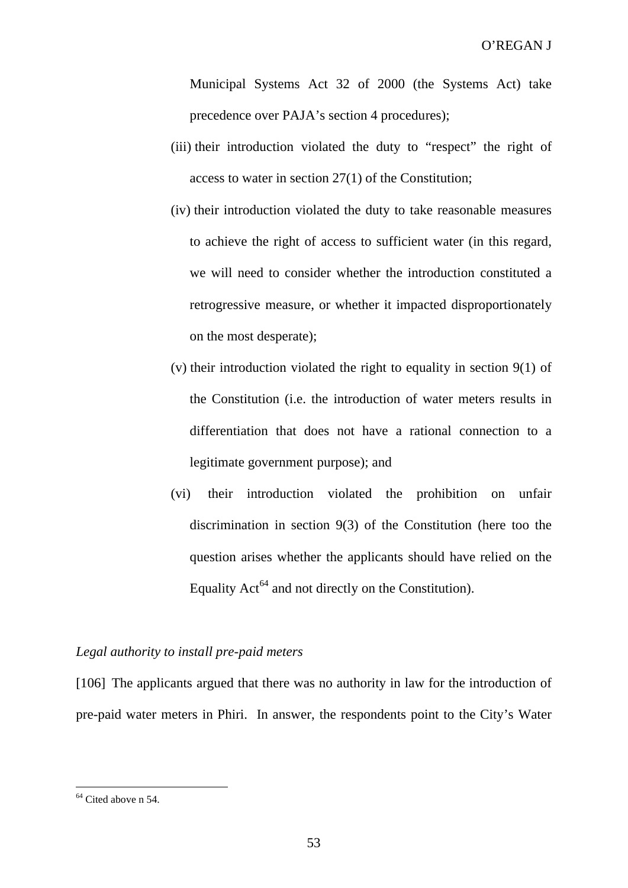Municipal Systems Act 32 of 2000 (the Systems Act) take precedence over PAJA's section 4 procedures);

- (iii) their introduction violated the duty to "respect" the right of access to water in section 27(1) of the Constitution;
- (iv) their introduction violated the duty to take reasonable measures to achieve the right of access to sufficient water (in this regard, we will need to consider whether the introduction constituted a retrogressive measure, or whether it impacted disproportionately on the most desperate);
- (v) their introduction violated the right to equality in section 9(1) of the Constitution (i.e. the introduction of water meters results in differentiation that does not have a rational connection to a legitimate government purpose); and
- (vi) their introduction violated the prohibition on unfair discrimination in section 9(3) of the Constitution (here too the question arises whether the applicants should have relied on the Equality  $Act^{64}$  and not directly on the Constitution).

## *Legal authority to install pre-paid meters*

[106] The applicants argued that there was no authority in law for the introduction of pre-paid water meters in Phiri. In answer, the respondents point to the City's Water

<sup>&</sup>lt;sup>64</sup> Cited above n 54.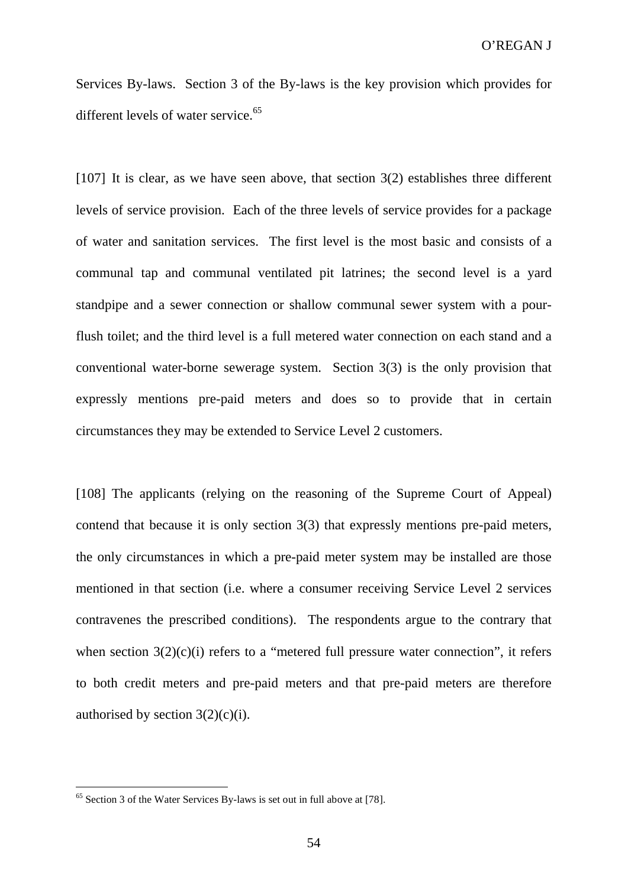Services By-laws. Section 3 of the By-laws is the key provision which provides for different levels of water service.<sup>65</sup>

[107] It is clear, as we have seen above, that section  $3(2)$  establishes three different levels of service provision. Each of the three levels of service provides for a package of water and sanitation services. The first level is the most basic and consists of a communal tap and communal ventilated pit latrines; the second level is a yard standpipe and a sewer connection or shallow communal sewer system with a pourflush toilet; and the third level is a full metered water connection on each stand and a conventional water-borne sewerage system. Section 3(3) is the only provision that expressly mentions pre-paid meters and does so to provide that in certain circumstances they may be extended to Service Level 2 customers.

[108] The applicants (relying on the reasoning of the Supreme Court of Appeal) contend that because it is only section 3(3) that expressly mentions pre-paid meters, the only circumstances in which a pre-paid meter system may be installed are those mentioned in that section (i.e. where a consumer receiving Service Level 2 services contravenes the prescribed conditions). The respondents argue to the contrary that when section  $3(2)(c)(i)$  refers to a "metered full pressure water connection", it refers to both credit meters and pre-paid meters and that pre-paid meters are therefore authorised by section  $3(2)(c)(i)$ .

 $65$  Section 3 of the Water Services By-laws is set out in full above at [78].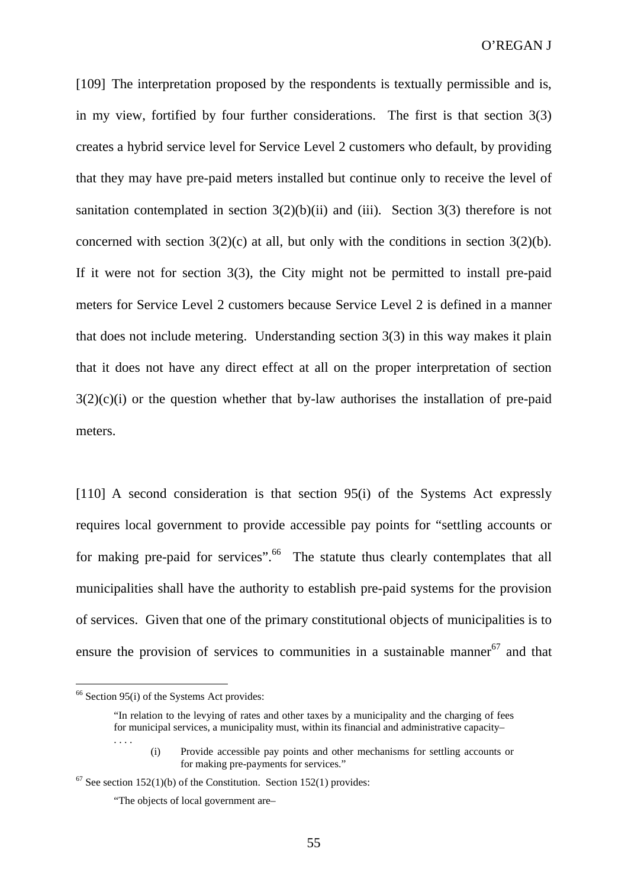[109] The interpretation proposed by the respondents is textually permissible and is, in my view, fortified by four further considerations. The first is that section 3(3) creates a hybrid service level for Service Level 2 customers who default, by providing that they may have pre-paid meters installed but continue only to receive the level of sanitation contemplated in section  $3(2)(b)(ii)$  and (iii). Section  $3(3)$  therefore is not concerned with section  $3(2)(c)$  at all, but only with the conditions in section  $3(2)(b)$ . If it were not for section 3(3), the City might not be permitted to install pre-paid meters for Service Level 2 customers because Service Level 2 is defined in a manner that does not include metering. Understanding section 3(3) in this way makes it plain that it does not have any direct effect at all on the proper interpretation of section  $3(2)(c)(i)$  or the question whether that by-law authorises the installation of pre-paid meters.

[110] A second consideration is that section 95(i) of the Systems Act expressly requires local government to provide accessible pay points for "settling accounts or for making pre-paid for services".<sup>66</sup> The statute thus clearly contemplates that all municipalities shall have the authority to establish pre-paid systems for the provision of services. Given that one of the primary constitutional objects of municipalities is to ensure the provision of services to communities in a sustainable manner<sup>67</sup> and that

. . . .

 $66$  Section 95(i) of the Systems Act provides:

<sup>&</sup>quot;In relation to the levying of rates and other taxes by a municipality and the charging of fees for municipal services, a municipality must, within its financial and administrative capacity–

<sup>(</sup>i) Provide accessible pay points and other mechanisms for settling accounts or for making pre-payments for services."

 $67$  See section 152(1)(b) of the Constitution. Section 152(1) provides:

<sup>&</sup>quot;The objects of local government are–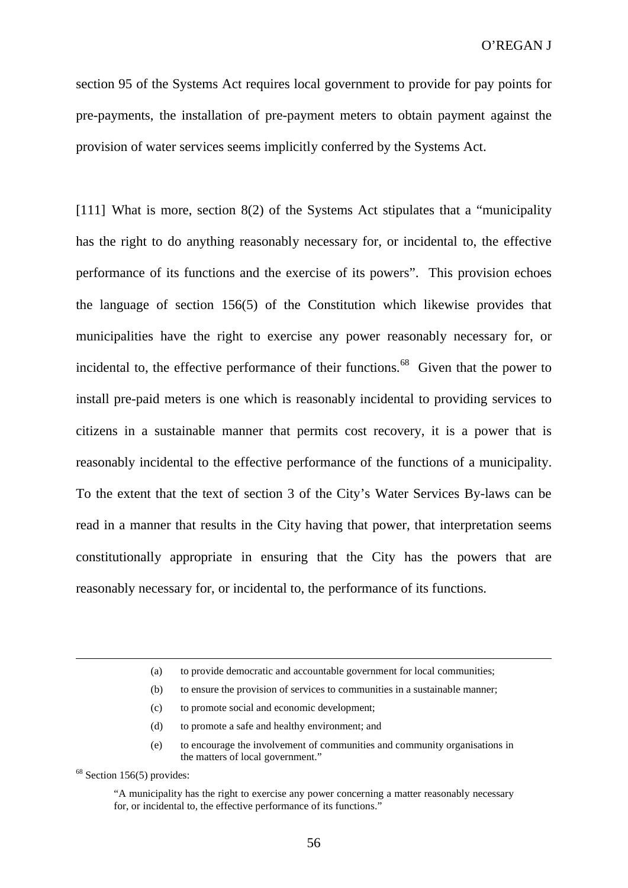section 95 of the Systems Act requires local government to provide for pay points for pre-payments, the installation of pre-payment meters to obtain payment against the provision of water services seems implicitly conferred by the Systems Act.

[111] What is more, section 8(2) of the Systems Act stipulates that a "municipality has the right to do anything reasonably necessary for, or incidental to, the effective performance of its functions and the exercise of its powers". This provision echoes the language of section 156(5) of the Constitution which likewise provides that municipalities have the right to exercise any power reasonably necessary for, or incidental to, the effective performance of their functions.<sup>68</sup> Given that the power to install pre-paid meters is one which is reasonably incidental to providing services to citizens in a sustainable manner that permits cost recovery, it is a power that is reasonably incidental to the effective performance of the functions of a municipality. To the extent that the text of section 3 of the City's Water Services By-laws can be read in a manner that results in the City having that power, that interpretation seems constitutionally appropriate in ensuring that the City has the powers that are reasonably necessary for, or incidental to, the performance of its functions.

- (c) to promote social and economic development;
- (d) to promote a safe and healthy environment; and
- (e) to encourage the involvement of communities and community organisations in the matters of local government."

 $68$  Section 156(5) provides:

 <sup>(</sup>a) to provide democratic and accountable government for local communities;

<sup>(</sup>b) to ensure the provision of services to communities in a sustainable manner;

<sup>&</sup>quot;A municipality has the right to exercise any power concerning a matter reasonably necessary for, or incidental to, the effective performance of its functions."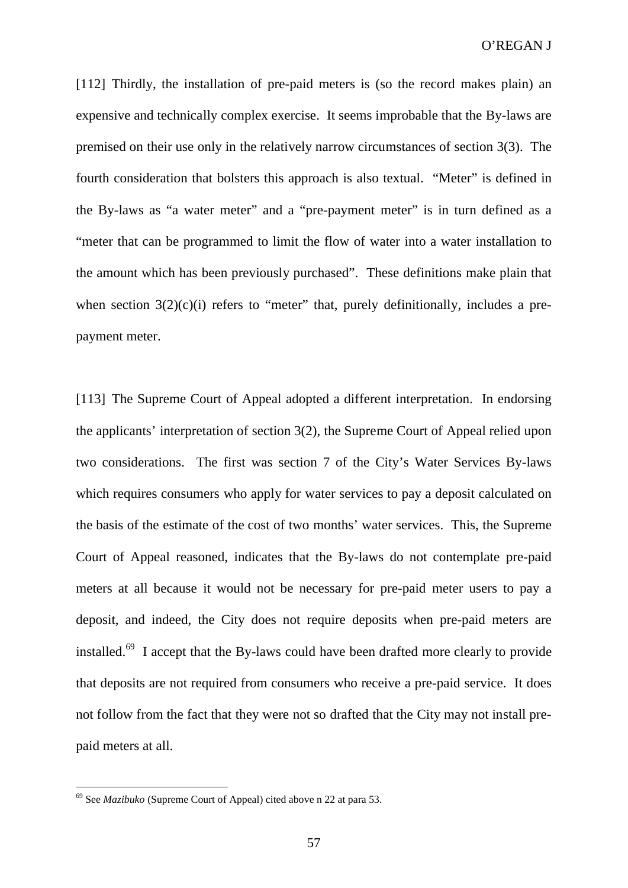[112] Thirdly, the installation of pre-paid meters is (so the record makes plain) an expensive and technically complex exercise. It seems improbable that the By-laws are premised on their use only in the relatively narrow circumstances of section 3(3). The fourth consideration that bolsters this approach is also textual. "Meter" is defined in the By-laws as "a water meter" and a "pre-payment meter" is in turn defined as a "meter that can be programmed to limit the flow of water into a water installation to the amount which has been previously purchased". These definitions make plain that when section  $3(2)(c)(i)$  refers to "meter" that, purely definitionally, includes a prepayment meter.

[113] The Supreme Court of Appeal adopted a different interpretation. In endorsing the applicants' interpretation of section 3(2), the Supreme Court of Appeal relied upon two considerations. The first was section 7 of the City's Water Services By-laws which requires consumers who apply for water services to pay a deposit calculated on the basis of the estimate of the cost of two months' water services. This, the Supreme Court of Appeal reasoned, indicates that the By-laws do not contemplate pre-paid meters at all because it would not be necessary for pre-paid meter users to pay a deposit, and indeed, the City does not require deposits when pre-paid meters are installed.<sup>69</sup> I accept that the By-laws could have been drafted more clearly to provide that deposits are not required from consumers who receive a pre-paid service. It does not follow from the fact that they were not so drafted that the City may not install prepaid meters at all.

<sup>69</sup> See *Mazibuko* (Supreme Court of Appeal) cited above n 22 at para 53.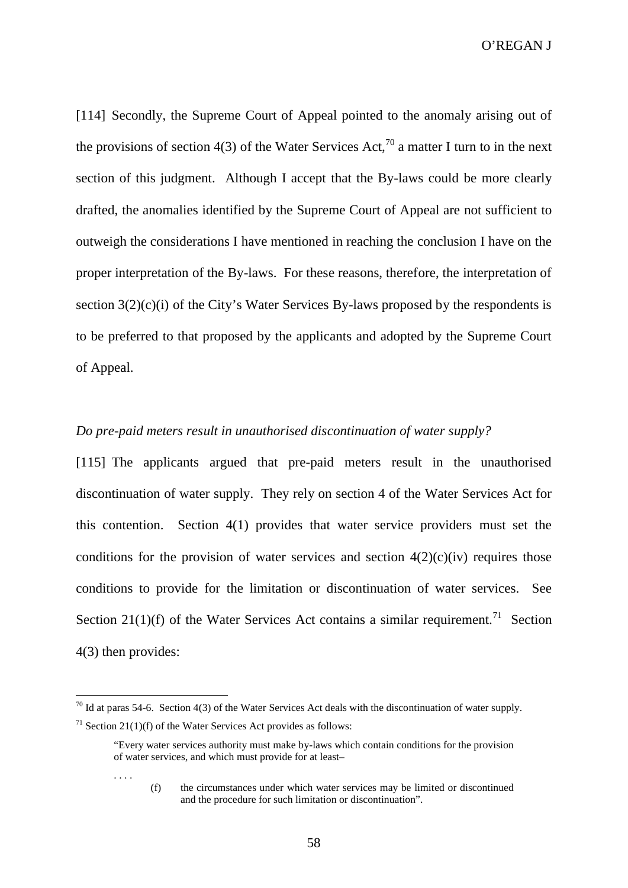[114] Secondly, the Supreme Court of Appeal pointed to the anomaly arising out of the provisions of section 4(3) of the Water Services Act,<sup>70</sup> a matter I turn to in the next section of this judgment. Although I accept that the By-laws could be more clearly drafted, the anomalies identified by the Supreme Court of Appeal are not sufficient to outweigh the considerations I have mentioned in reaching the conclusion I have on the proper interpretation of the By-laws. For these reasons, therefore, the interpretation of section 3(2)(c)(i) of the City's Water Services By-laws proposed by the respondents is to be preferred to that proposed by the applicants and adopted by the Supreme Court of Appeal.

# *Do pre-paid meters result in unauthorised discontinuation of water supply?*

[115] The applicants argued that pre-paid meters result in the unauthorised discontinuation of water supply. They rely on section 4 of the Water Services Act for this contention. Section 4(1) provides that water service providers must set the conditions for the provision of water services and section  $4(2)(c)(iv)$  requires those conditions to provide for the limitation or discontinuation of water services. See Section 21(1)(f) of the Water Services Act contains a similar requirement.<sup>71</sup> Section 4(3) then provides:

. . . .

 $70$  Id at paras 54-6. Section 4(3) of the Water Services Act deals with the discontinuation of water supply.

 $71$  Section 21(1)(f) of the Water Services Act provides as follows:

<sup>&</sup>quot;Every water services authority must make by-laws which contain conditions for the provision of water services, and which must provide for at least–

<sup>(</sup>f) the circumstances under which water services may be limited or discontinued and the procedure for such limitation or discontinuation".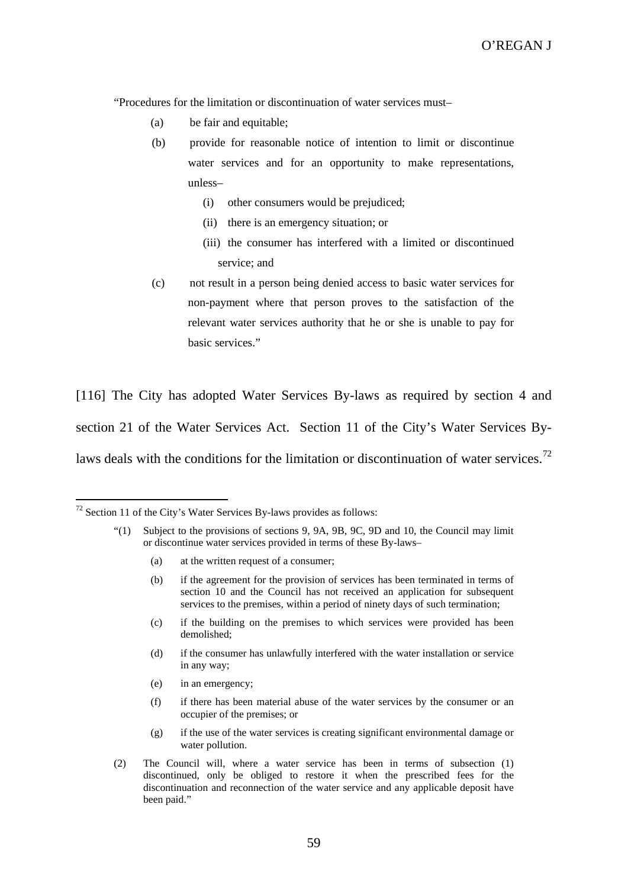"Procedures for the limitation or discontinuation of water services must–

- (a) be fair and equitable;
- (b) provide for reasonable notice of intention to limit or discontinue water services and for an opportunity to make representations, unless–
	- (i) other consumers would be prejudiced;
	- (ii) there is an emergency situation; or
	- (iii) the consumer has interfered with a limited or discontinued service; and
- (c) not result in a person being denied access to basic water services for non-payment where that person proves to the satisfaction of the relevant water services authority that he or she is unable to pay for basic services."

[116] The City has adopted Water Services By-laws as required by section 4 and section 21 of the Water Services Act. Section 11 of the City's Water Services Bylaws deals with the conditions for the limitation or discontinuation of water services.<sup>72</sup>

- (a) at the written request of a consumer;
- (b) if the agreement for the provision of services has been terminated in terms of section 10 and the Council has not received an application for subsequent services to the premises, within a period of ninety days of such termination;
- (c) if the building on the premises to which services were provided has been demolished;
- (d) if the consumer has unlawfully interfered with the water installation or service in any way;
- (e) in an emergency;
- (f) if there has been material abuse of the water services by the consumer or an occupier of the premises; or
- (g) if the use of the water services is creating significant environmental damage or water pollution.
- (2) The Council will, where a water service has been in terms of subsection (1) discontinued, only be obliged to restore it when the prescribed fees for the discontinuation and reconnection of the water service and any applicable deposit have been paid."

 $72$  Section 11 of the City's Water Services By-laws provides as follows:

<sup>&</sup>quot;(1) Subject to the provisions of sections 9, 9A, 9B, 9C, 9D and 10, the Council may limit or discontinue water services provided in terms of these By-laws–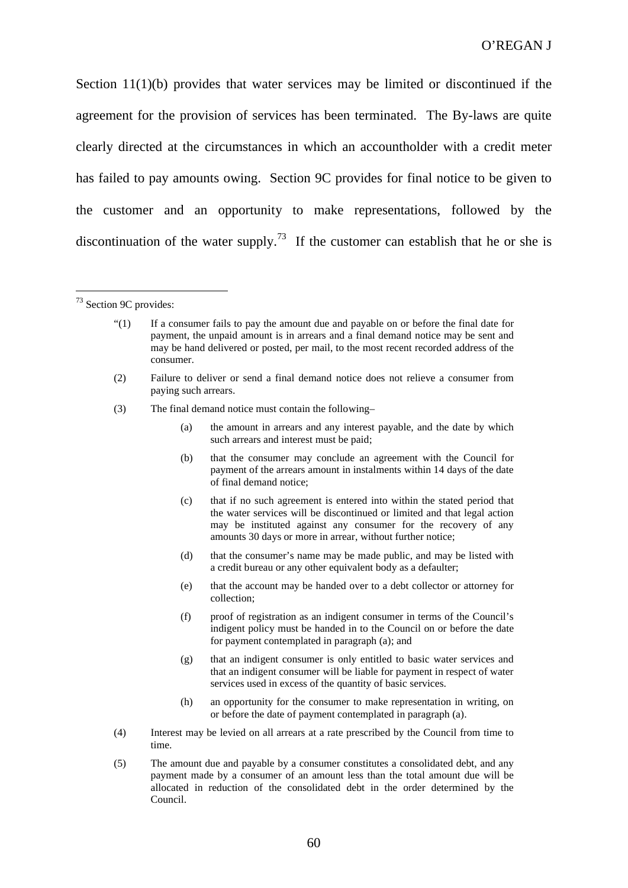Section 11(1)(b) provides that water services may be limited or discontinued if the agreement for the provision of services has been terminated. The By-laws are quite clearly directed at the circumstances in which an accountholder with a credit meter has failed to pay amounts owing. Section 9C provides for final notice to be given to the customer and an opportunity to make representations, followed by the discontinuation of the water supply.<sup>73</sup> If the customer can establish that he or she is

-

- (3) The final demand notice must contain the following–
	- (a) the amount in arrears and any interest payable, and the date by which such arrears and interest must be paid;
	- (b) that the consumer may conclude an agreement with the Council for payment of the arrears amount in instalments within 14 days of the date of final demand notice;
	- (c) that if no such agreement is entered into within the stated period that the water services will be discontinued or limited and that legal action may be instituted against any consumer for the recovery of any amounts 30 days or more in arrear, without further notice;
	- (d) that the consumer's name may be made public, and may be listed with a credit bureau or any other equivalent body as a defaulter;
	- (e) that the account may be handed over to a debt collector or attorney for collection;
	- (f) proof of registration as an indigent consumer in terms of the Council's indigent policy must be handed in to the Council on or before the date for payment contemplated in paragraph (a); and
	- (g) that an indigent consumer is only entitled to basic water services and that an indigent consumer will be liable for payment in respect of water services used in excess of the quantity of basic services.
	- (h) an opportunity for the consumer to make representation in writing, on or before the date of payment contemplated in paragraph (a).
- (4) Interest may be levied on all arrears at a rate prescribed by the Council from time to time.
- (5) The amount due and payable by a consumer constitutes a consolidated debt, and any payment made by a consumer of an amount less than the total amount due will be allocated in reduction of the consolidated debt in the order determined by the Council.

 $73$  Section 9C provides:

<sup>&</sup>quot;(1) If a consumer fails to pay the amount due and payable on or before the final date for payment, the unpaid amount is in arrears and a final demand notice may be sent and may be hand delivered or posted, per mail, to the most recent recorded address of the consumer.

<sup>(2)</sup> Failure to deliver or send a final demand notice does not relieve a consumer from paying such arrears.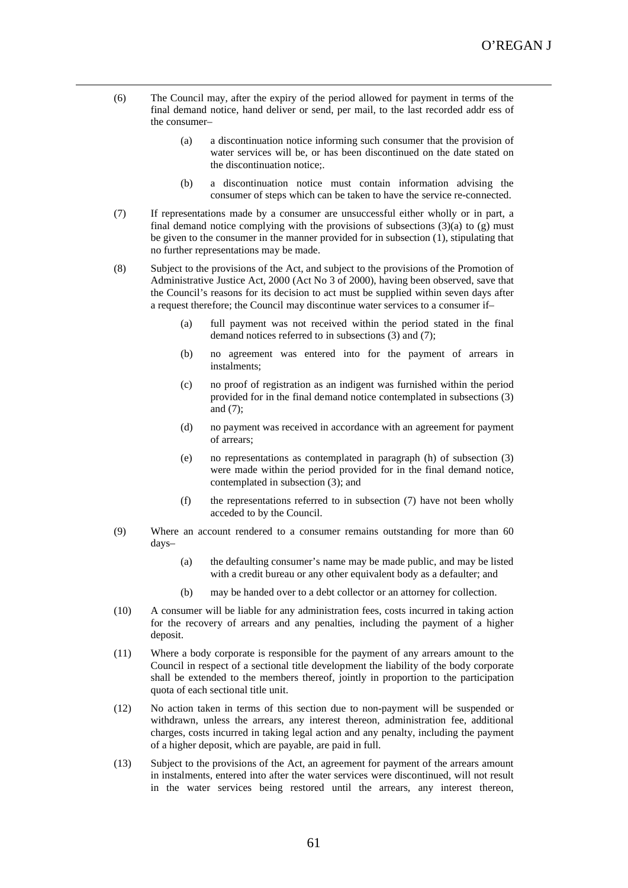- (6) The Council may, after the expiry of the period allowed for payment in terms of the final demand notice, hand deliver or send, per mail, to the last recorded addr ess of the consumer–
	- (a) a discontinuation notice informing such consumer that the provision of water services will be, or has been discontinued on the date stated on the discontinuation notice;.
	- (b) a discontinuation notice must contain information advising the consumer of steps which can be taken to have the service re-connected.
- (7) If representations made by a consumer are unsuccessful either wholly or in part, a final demand notice complying with the provisions of subsections  $(3)(a)$  to  $(g)$  must be given to the consumer in the manner provided for in subsection (1), stipulating that no further representations may be made.
- (8) Subject to the provisions of the Act, and subject to the provisions of the Promotion of Administrative Justice Act, 2000 (Act No 3 of 2000), having been observed, save that the Council's reasons for its decision to act must be supplied within seven days after a request therefore; the Council may discontinue water services to a consumer if–
	- (a) full payment was not received within the period stated in the final demand notices referred to in subsections (3) and (7);
	- (b) no agreement was entered into for the payment of arrears in instalments;
	- (c) no proof of registration as an indigent was furnished within the period provided for in the final demand notice contemplated in subsections (3) and (7);
	- (d) no payment was received in accordance with an agreement for payment of arrears;
	- (e) no representations as contemplated in paragraph (h) of subsection (3) were made within the period provided for in the final demand notice, contemplated in subsection (3); and
	- (f) the representations referred to in subsection (7) have not been wholly acceded to by the Council.
- (9) Where an account rendered to a consumer remains outstanding for more than 60 days–
	- (a) the defaulting consumer's name may be made public, and may be listed with a credit bureau or any other equivalent body as a defaulter; and
	- (b) may be handed over to a debt collector or an attorney for collection.
- (10) A consumer will be liable for any administration fees, costs incurred in taking action for the recovery of arrears and any penalties, including the payment of a higher deposit.
- (11) Where a body corporate is responsible for the payment of any arrears amount to the Council in respect of a sectional title development the liability of the body corporate shall be extended to the members thereof, jointly in proportion to the participation quota of each sectional title unit.
- (12) No action taken in terms of this section due to non-payment will be suspended or withdrawn, unless the arrears, any interest thereon, administration fee, additional charges, costs incurred in taking legal action and any penalty, including the payment of a higher deposit, which are payable, are paid in full.
- (13) Subject to the provisions of the Act, an agreement for payment of the arrears amount in instalments, entered into after the water services were discontinued, will not result in the water services being restored until the arrears, any interest thereon,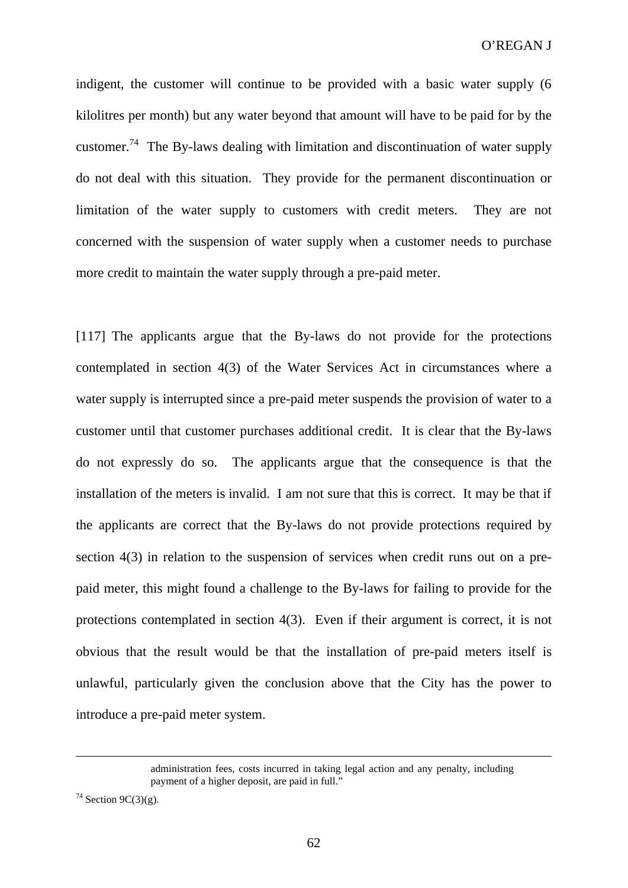indigent, the customer will continue to be provided with a basic water supply (6 kilolitres per month) but any water beyond that amount will have to be paid for by the customer.<sup>74</sup> The By-laws dealing with limitation and discontinuation of water supply do not deal with this situation. They provide for the permanent discontinuation or limitation of the water supply to customers with credit meters. They are not concerned with the suspension of water supply when a customer needs to purchase more credit to maintain the water supply through a pre-paid meter.

[117] The applicants argue that the By-laws do not provide for the protections contemplated in section 4(3) of the Water Services Act in circumstances where a water supply is interrupted since a pre-paid meter suspends the provision of water to a customer until that customer purchases additional credit. It is clear that the By-laws do not expressly do so. The applicants argue that the consequence is that the installation of the meters is invalid. I am not sure that this is correct. It may be that if the applicants are correct that the By-laws do not provide protections required by section 4(3) in relation to the suspension of services when credit runs out on a prepaid meter, this might found a challenge to the By-laws for failing to provide for the protections contemplated in section 4(3). Even if their argument is correct, it is not obvious that the result would be that the installation of pre-paid meters itself is unlawful, particularly given the conclusion above that the City has the power to introduce a pre-paid meter system.

administration fees, costs incurred in taking legal action and any penalty, including payment of a higher deposit, are paid in full."

 $74$  Section 9C(3)(g).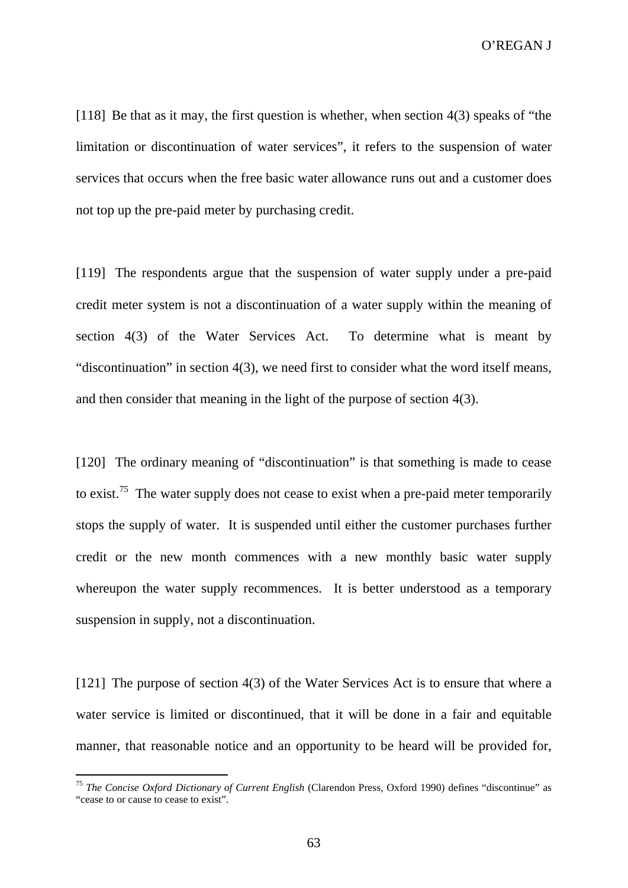[118] Be that as it may, the first question is whether, when section 4(3) speaks of "the limitation or discontinuation of water services", it refers to the suspension of water services that occurs when the free basic water allowance runs out and a customer does not top up the pre-paid meter by purchasing credit.

[119] The respondents argue that the suspension of water supply under a pre-paid credit meter system is not a discontinuation of a water supply within the meaning of section 4(3) of the Water Services Act. To determine what is meant by "discontinuation" in section 4(3), we need first to consider what the word itself means, and then consider that meaning in the light of the purpose of section 4(3).

[120] The ordinary meaning of "discontinuation" is that something is made to cease to exist.<sup>75</sup> The water supply does not cease to exist when a pre-paid meter temporarily stops the supply of water. It is suspended until either the customer purchases further credit or the new month commences with a new monthly basic water supply whereupon the water supply recommences. It is better understood as a temporary suspension in supply, not a discontinuation.

[121] The purpose of section 4(3) of the Water Services Act is to ensure that where a water service is limited or discontinued, that it will be done in a fair and equitable manner, that reasonable notice and an opportunity to be heard will be provided for,

<sup>75</sup> *The Concise Oxford Dictionary of Current English* (Clarendon Press, Oxford 1990) defines "discontinue" as "cease to or cause to cease to exist".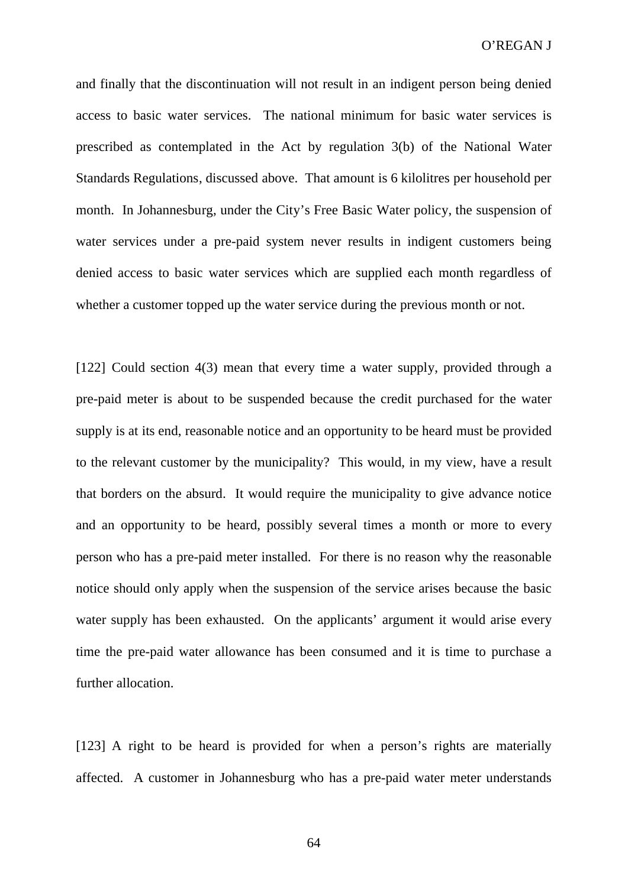and finally that the discontinuation will not result in an indigent person being denied access to basic water services. The national minimum for basic water services is prescribed as contemplated in the Act by regulation 3(b) of the National Water Standards Regulations, discussed above. That amount is 6 kilolitres per household per month. In Johannesburg, under the City's Free Basic Water policy, the suspension of water services under a pre-paid system never results in indigent customers being denied access to basic water services which are supplied each month regardless of whether a customer topped up the water service during the previous month or not.

[122] Could section 4(3) mean that every time a water supply, provided through a pre-paid meter is about to be suspended because the credit purchased for the water supply is at its end, reasonable notice and an opportunity to be heard must be provided to the relevant customer by the municipality? This would, in my view, have a result that borders on the absurd. It would require the municipality to give advance notice and an opportunity to be heard, possibly several times a month or more to every person who has a pre-paid meter installed. For there is no reason why the reasonable notice should only apply when the suspension of the service arises because the basic water supply has been exhausted. On the applicants' argument it would arise every time the pre-paid water allowance has been consumed and it is time to purchase a further allocation.

[123] A right to be heard is provided for when a person's rights are materially affected. A customer in Johannesburg who has a pre-paid water meter understands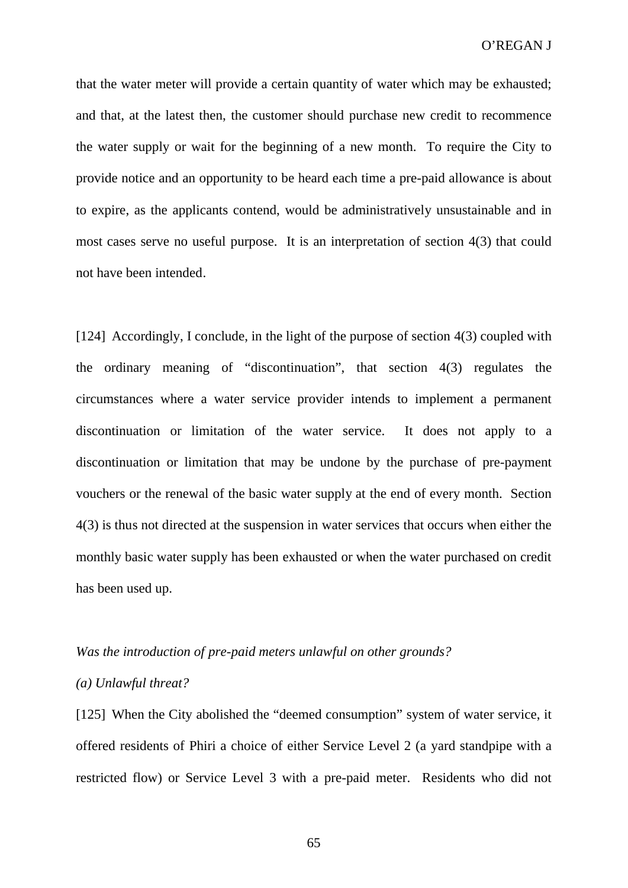that the water meter will provide a certain quantity of water which may be exhausted; and that, at the latest then, the customer should purchase new credit to recommence the water supply or wait for the beginning of a new month. To require the City to provide notice and an opportunity to be heard each time a pre-paid allowance is about to expire, as the applicants contend, would be administratively unsustainable and in most cases serve no useful purpose. It is an interpretation of section 4(3) that could not have been intended.

[124] Accordingly, I conclude, in the light of the purpose of section 4(3) coupled with the ordinary meaning of "discontinuation", that section 4(3) regulates the circumstances where a water service provider intends to implement a permanent discontinuation or limitation of the water service. It does not apply to a discontinuation or limitation that may be undone by the purchase of pre-payment vouchers or the renewal of the basic water supply at the end of every month. Section 4(3) is thus not directed at the suspension in water services that occurs when either the monthly basic water supply has been exhausted or when the water purchased on credit has been used up.

# *Was the introduction of pre-paid meters unlawful on other grounds?*

#### *(a) Unlawful threat?*

[125] When the City abolished the "deemed consumption" system of water service, it offered residents of Phiri a choice of either Service Level 2 (a yard standpipe with a restricted flow) or Service Level 3 with a pre-paid meter. Residents who did not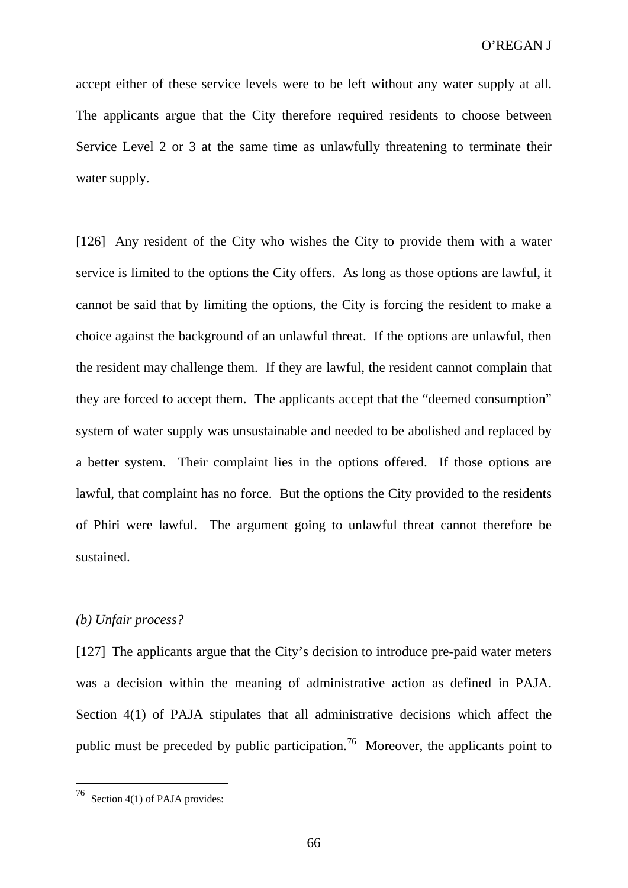accept either of these service levels were to be left without any water supply at all. The applicants argue that the City therefore required residents to choose between Service Level 2 or 3 at the same time as unlawfully threatening to terminate their water supply.

[126] Any resident of the City who wishes the City to provide them with a water service is limited to the options the City offers. As long as those options are lawful, it cannot be said that by limiting the options, the City is forcing the resident to make a choice against the background of an unlawful threat. If the options are unlawful, then the resident may challenge them. If they are lawful, the resident cannot complain that they are forced to accept them. The applicants accept that the "deemed consumption" system of water supply was unsustainable and needed to be abolished and replaced by a better system. Their complaint lies in the options offered. If those options are lawful, that complaint has no force. But the options the City provided to the residents of Phiri were lawful. The argument going to unlawful threat cannot therefore be sustained.

# *(b) Unfair process?*

[127] The applicants argue that the City's decision to introduce pre-paid water meters was a decision within the meaning of administrative action as defined in PAJA. Section 4(1) of PAJA stipulates that all administrative decisions which affect the public must be preceded by public participation.<sup>76</sup> Moreover, the applicants point to

 $76$  Section 4(1) of PAJA provides: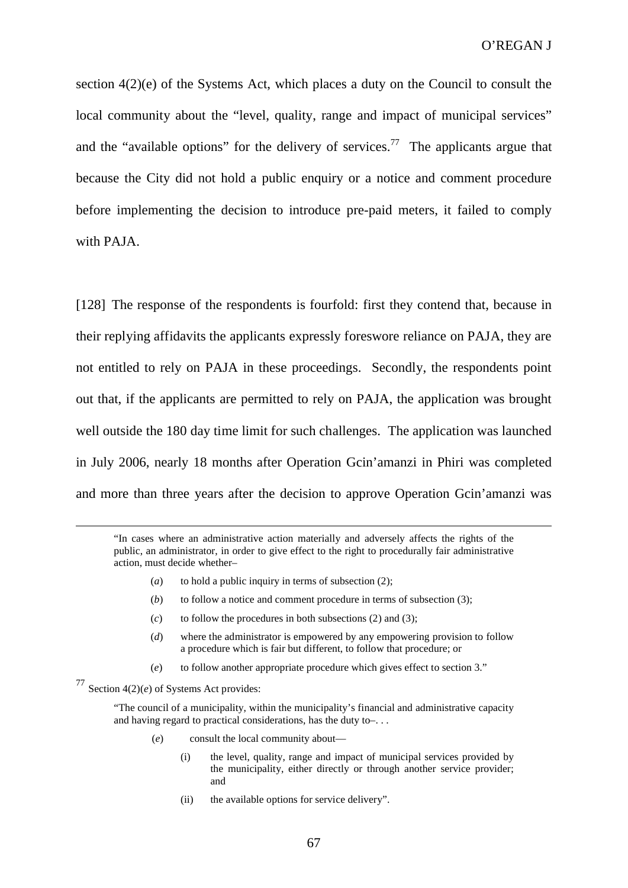section 4(2)(e) of the Systems Act, which places a duty on the Council to consult the local community about the "level, quality, range and impact of municipal services" and the "available options" for the delivery of services.<sup>77</sup> The applicants argue that because the City did not hold a public enquiry or a notice and comment procedure before implementing the decision to introduce pre-paid meters, it failed to comply with PAJA.

[128] The response of the respondents is fourfold: first they contend that, because in their replying affidavits the applicants expressly foreswore reliance on PAJA, they are not entitled to rely on PAJA in these proceedings. Secondly, the respondents point out that, if the applicants are permitted to rely on PAJA, the application was brought well outside the 180 day time limit for such challenges. The application was launched in July 2006, nearly 18 months after Operation Gcin'amanzi in Phiri was completed and more than three years after the decision to approve Operation Gcin'amanzi was

 "In cases where an administrative action materially and adversely affects the rights of the public, an administrator, in order to give effect to the right to procedurally fair administrative action, must decide whether–

- (*a*) to hold a public inquiry in terms of subsection (2);
- (*b*) to follow a notice and comment procedure in terms of subsection (3);
- $(c)$  to follow the procedures in both subsections (2) and (3);
- (*d*) where the administrator is empowered by any empowering provision to follow a procedure which is fair but different, to follow that procedure; or
- (*e*) to follow another appropriate procedure which gives effect to section 3."

<sup>77</sup> Section 4(2)(*e*) of Systems Act provides:

"The council of a municipality, within the municipality's financial and administrative capacity and having regard to practical considerations, has the duty to–. . .

- (*e*) consult the local community about—
	- (i) the level, quality, range and impact of municipal services provided by the municipality, either directly or through another service provider; and
	- (ii) the available options for service delivery".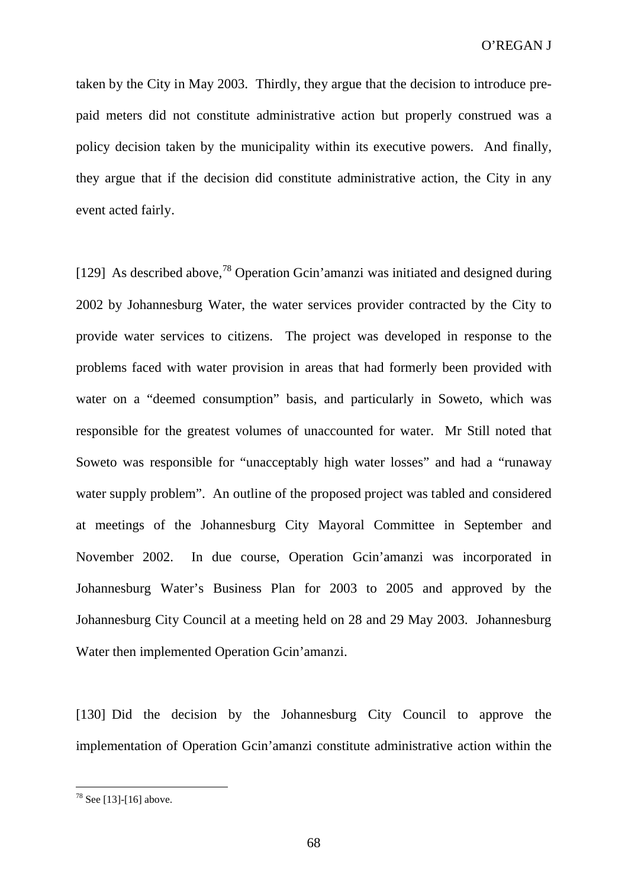taken by the City in May 2003. Thirdly, they argue that the decision to introduce prepaid meters did not constitute administrative action but properly construed was a policy decision taken by the municipality within its executive powers. And finally, they argue that if the decision did constitute administrative action, the City in any event acted fairly.

[129] As described above,<sup>78</sup> Operation Gcin'amanzi was initiated and designed during 2002 by Johannesburg Water, the water services provider contracted by the City to provide water services to citizens. The project was developed in response to the problems faced with water provision in areas that had formerly been provided with water on a "deemed consumption" basis, and particularly in Soweto, which was responsible for the greatest volumes of unaccounted for water. Mr Still noted that Soweto was responsible for "unacceptably high water losses" and had a "runaway water supply problem". An outline of the proposed project was tabled and considered at meetings of the Johannesburg City Mayoral Committee in September and November 2002. In due course, Operation Gcin'amanzi was incorporated in Johannesburg Water's Business Plan for 2003 to 2005 and approved by the Johannesburg City Council at a meeting held on 28 and 29 May 2003. Johannesburg Water then implemented Operation Gcin'amanzi.

[130] Did the decision by the Johannesburg City Council to approve the implementation of Operation Gcin'amanzi constitute administrative action within the

<sup>78</sup> See [13]-[16] above.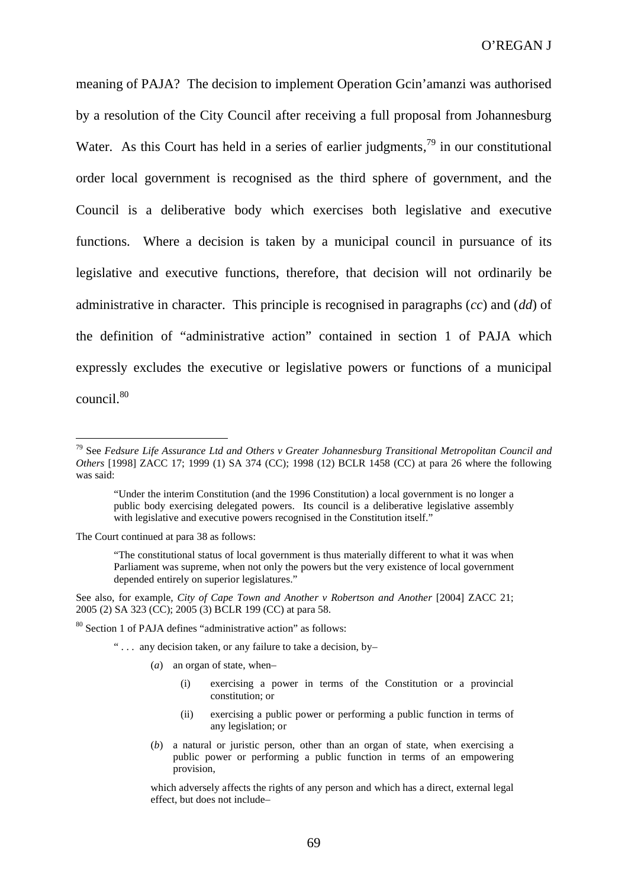meaning of PAJA? The decision to implement Operation Gcin'amanzi was authorised by a resolution of the City Council after receiving a full proposal from Johannesburg Water. As this Court has held in a series of earlier judgments,<sup>79</sup> in our constitutional order local government is recognised as the third sphere of government, and the Council is a deliberative body which exercises both legislative and executive functions. Where a decision is taken by a municipal council in pursuance of its legislative and executive functions, therefore, that decision will not ordinarily be administrative in character. This principle is recognised in paragraphs (*cc*) and (*dd*) of the definition of "administrative action" contained in section 1 of PAJA which expressly excludes the executive or legislative powers or functions of a municipal council.<sup>80</sup>

The Court continued at para 38 as follows:

 $\overline{a}$ 

"The constitutional status of local government is thus materially different to what it was when Parliament was supreme, when not only the powers but the very existence of local government depended entirely on superior legislatures."

80 Section 1 of PAJA defines "administrative action" as follows:

- " $\ldots$  any decision taken, or any failure to take a decision, by-
	- (*a*) an organ of state, when–
		- (i) exercising a power in terms of the Constitution or a provincial constitution; or
		- (ii) exercising a public power or performing a public function in terms of any legislation; or
	- (*b*) a natural or juristic person, other than an organ of state, when exercising a public power or performing a public function in terms of an empowering provision,

which adversely affects the rights of any person and which has a direct, external legal effect, but does not include–

<sup>79</sup> See *Fedsure Life Assurance Ltd and Others v Greater Johannesburg Transitional Metropolitan Council and Others* [1998] ZACC 17; 1999 (1) SA 374 (CC); 1998 (12) BCLR 1458 (CC) at para 26 where the following was said:

<sup>&</sup>quot;Under the interim Constitution (and the 1996 Constitution) a local government is no longer a public body exercising delegated powers. Its council is a deliberative legislative assembly with legislative and executive powers recognised in the Constitution itself."

See also, for example, *City of Cape Town and Another v Robertson and Another* [2004] ZACC 21; 2005 (2) SA 323 (CC); 2005 (3) BCLR 199 (CC) at para 58.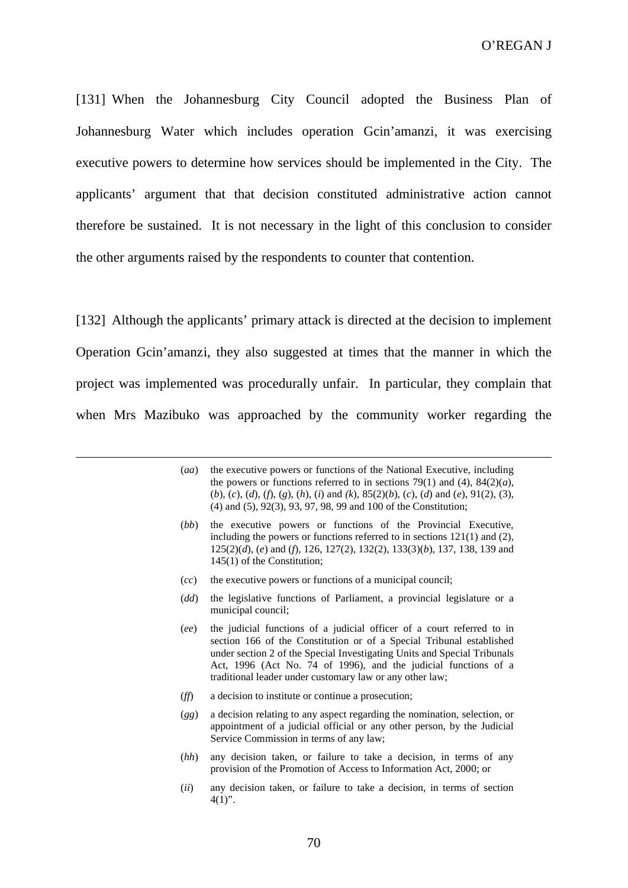[131] When the Johannesburg City Council adopted the Business Plan of Johannesburg Water which includes operation Gcin'amanzi, it was exercising executive powers to determine how services should be implemented in the City. The applicants' argument that that decision constituted administrative action cannot therefore be sustained. It is not necessary in the light of this conclusion to consider the other arguments raised by the respondents to counter that contention.

[132] Although the applicants' primary attack is directed at the decision to implement Operation Gcin'amanzi, they also suggested at times that the manner in which the project was implemented was procedurally unfair. In particular, they complain that when Mrs Mazibuko was approached by the community worker regarding the

- (*cc*) the executive powers or functions of a municipal council;
- (*dd*) the legislative functions of Parliament, a provincial legislature or a municipal council;
- (*ee*) the judicial functions of a judicial officer of a court referred to in section 166 of the Constitution or of a Special Tribunal established under section 2 of the Special Investigating Units and Special Tribunals Act, 1996 (Act No. 74 of 1996), and the judicial functions of a traditional leader under customary law or any other law;
- (*ff*) a decision to institute or continue a prosecution;
- (*gg*) a decision relating to any aspect regarding the nomination, selection, or appointment of a judicial official or any other person, by the Judicial Service Commission in terms of any law;
- (*hh*) any decision taken, or failure to take a decision, in terms of any provision of the Promotion of Access to Information Act, 2000; or
- (*ii*) any decision taken, or failure to take a decision, in terms of section  $4(1)$ ".

 <sup>(</sup>*aa*) the executive powers or functions of the National Executive, including the powers or functions referred to in sections 79(1) and (4),  $84(2)(a)$ , (*b*), (*c*), (*d*), (*f*), (*g*), (*h*), (*i*) and *(k*), 85(2)(*b*), (*c*), (*d*) and (*e*), 91(2), (3), (4) and (5), 92(3), 93, 97, 98, 99 and 100 of the Constitution;

<sup>(</sup>*bb*) the executive powers or functions of the Provincial Executive, including the powers or functions referred to in sections 121(1) and (2), 125(2)(*d*), (*e*) and (*f*), 126, 127(2), 132(2), 133(3)(*b*), 137, 138, 139 and 145(1) of the Constitution;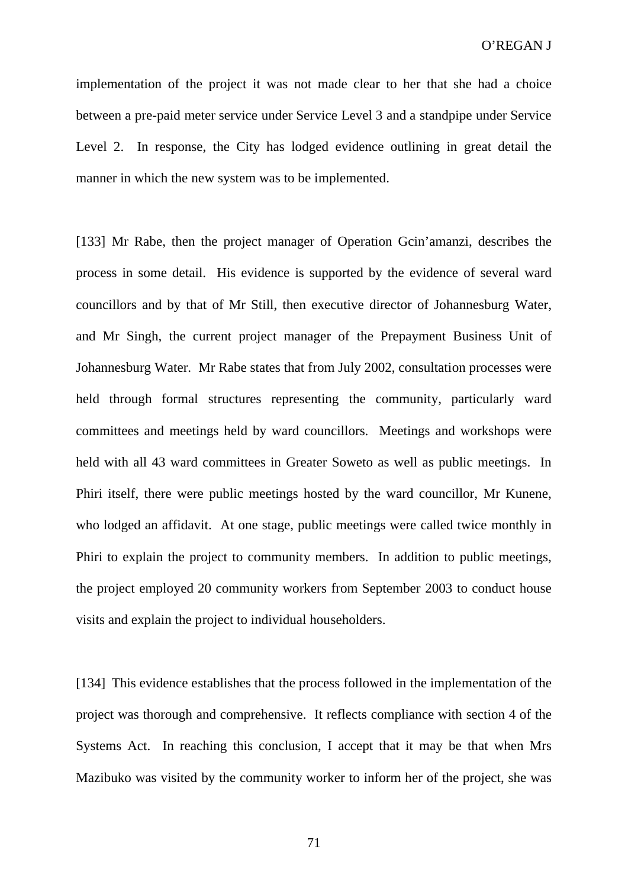implementation of the project it was not made clear to her that she had a choice between a pre-paid meter service under Service Level 3 and a standpipe under Service Level 2. In response, the City has lodged evidence outlining in great detail the manner in which the new system was to be implemented.

[133] Mr Rabe, then the project manager of Operation Gcin'amanzi, describes the process in some detail. His evidence is supported by the evidence of several ward councillors and by that of Mr Still, then executive director of Johannesburg Water, and Mr Singh, the current project manager of the Prepayment Business Unit of Johannesburg Water. Mr Rabe states that from July 2002, consultation processes were held through formal structures representing the community, particularly ward committees and meetings held by ward councillors. Meetings and workshops were held with all 43 ward committees in Greater Soweto as well as public meetings. In Phiri itself, there were public meetings hosted by the ward councillor, Mr Kunene, who lodged an affidavit. At one stage, public meetings were called twice monthly in Phiri to explain the project to community members. In addition to public meetings, the project employed 20 community workers from September 2003 to conduct house visits and explain the project to individual householders.

[134] This evidence establishes that the process followed in the implementation of the project was thorough and comprehensive. It reflects compliance with section 4 of the Systems Act. In reaching this conclusion, I accept that it may be that when Mrs Mazibuko was visited by the community worker to inform her of the project, she was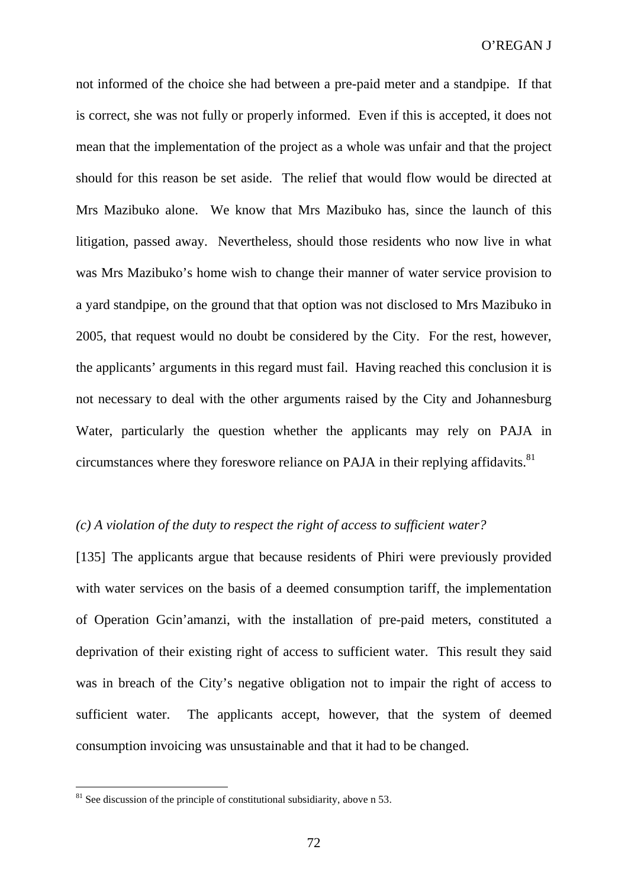not informed of the choice she had between a pre-paid meter and a standpipe. If that is correct, she was not fully or properly informed. Even if this is accepted, it does not mean that the implementation of the project as a whole was unfair and that the project should for this reason be set aside. The relief that would flow would be directed at Mrs Mazibuko alone. We know that Mrs Mazibuko has, since the launch of this litigation, passed away. Nevertheless, should those residents who now live in what was Mrs Mazibuko's home wish to change their manner of water service provision to a yard standpipe, on the ground that that option was not disclosed to Mrs Mazibuko in 2005, that request would no doubt be considered by the City. For the rest, however, the applicants' arguments in this regard must fail. Having reached this conclusion it is not necessary to deal with the other arguments raised by the City and Johannesburg Water, particularly the question whether the applicants may rely on PAJA in circumstances where they foreswore reliance on PAJA in their replying affidavits. $81$ 

# *(c) A violation of the duty to respect the right of access to sufficient water?*

[135] The applicants argue that because residents of Phiri were previously provided with water services on the basis of a deemed consumption tariff, the implementation of Operation Gcin'amanzi, with the installation of pre-paid meters, constituted a deprivation of their existing right of access to sufficient water. This result they said was in breach of the City's negative obligation not to impair the right of access to sufficient water. The applicants accept, however, that the system of deemed consumption invoicing was unsustainable and that it had to be changed.

 $81$  See discussion of the principle of constitutional subsidiarity, above n 53.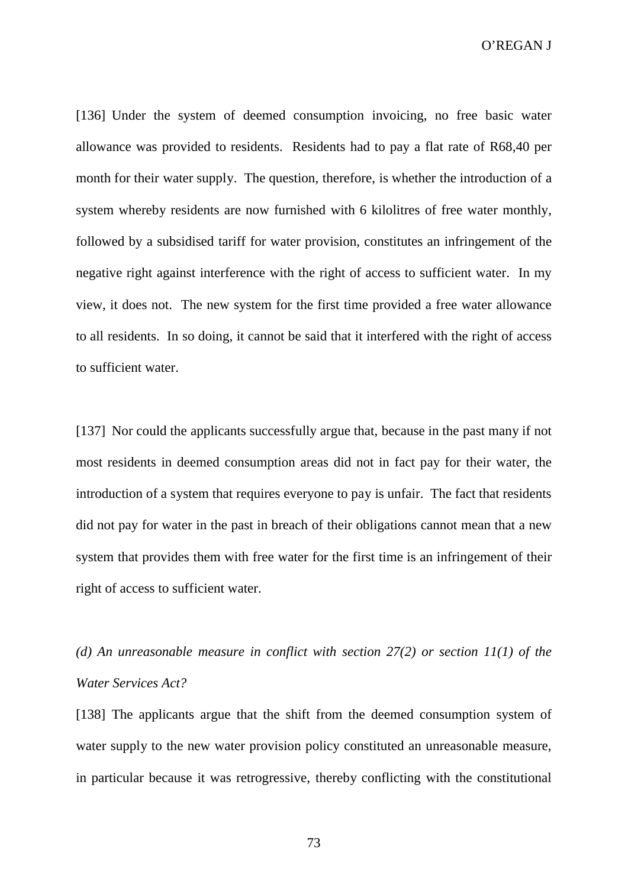O'REGAN J

[136] Under the system of deemed consumption invoicing, no free basic water allowance was provided to residents. Residents had to pay a flat rate of R68,40 per month for their water supply. The question, therefore, is whether the introduction of a system whereby residents are now furnished with 6 kilolitres of free water monthly, followed by a subsidised tariff for water provision, constitutes an infringement of the negative right against interference with the right of access to sufficient water. In my view, it does not. The new system for the first time provided a free water allowance to all residents. In so doing, it cannot be said that it interfered with the right of access to sufficient water.

[137] Nor could the applicants successfully argue that, because in the past many if not most residents in deemed consumption areas did not in fact pay for their water, the introduction of a system that requires everyone to pay is unfair. The fact that residents did not pay for water in the past in breach of their obligations cannot mean that a new system that provides them with free water for the first time is an infringement of their right of access to sufficient water.

*(d) An unreasonable measure in conflict with section 27(2) or section 11(1) of the Water Services Act?*

[138] The applicants argue that the shift from the deemed consumption system of water supply to the new water provision policy constituted an unreasonable measure, in particular because it was retrogressive, thereby conflicting with the constitutional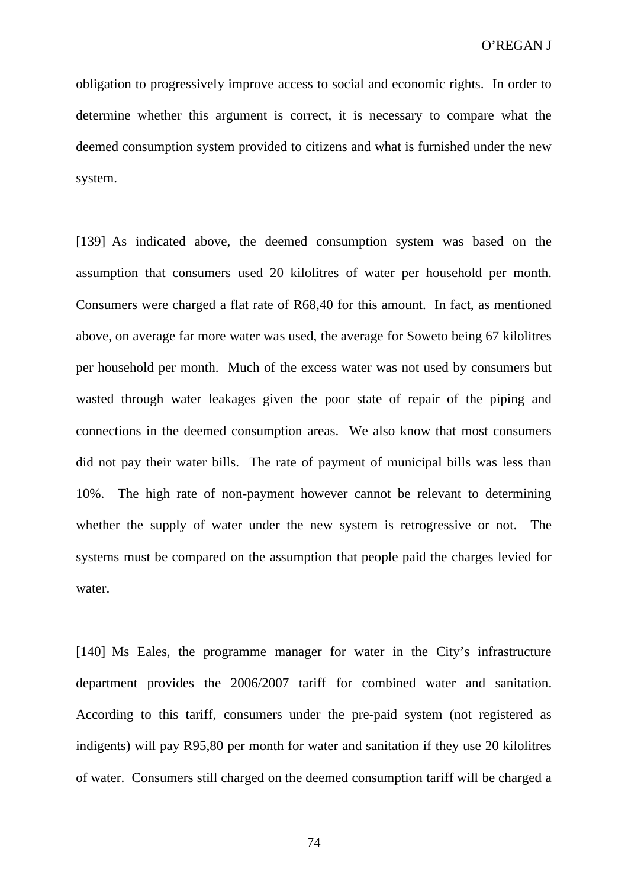obligation to progressively improve access to social and economic rights. In order to determine whether this argument is correct, it is necessary to compare what the deemed consumption system provided to citizens and what is furnished under the new system.

[139] As indicated above, the deemed consumption system was based on the assumption that consumers used 20 kilolitres of water per household per month. Consumers were charged a flat rate of R68,40 for this amount. In fact, as mentioned above, on average far more water was used, the average for Soweto being 67 kilolitres per household per month. Much of the excess water was not used by consumers but wasted through water leakages given the poor state of repair of the piping and connections in the deemed consumption areas. We also know that most consumers did not pay their water bills. The rate of payment of municipal bills was less than 10%. The high rate of non-payment however cannot be relevant to determining whether the supply of water under the new system is retrogressive or not. The systems must be compared on the assumption that people paid the charges levied for water.

[140] Ms Eales, the programme manager for water in the City's infrastructure department provides the 2006/2007 tariff for combined water and sanitation. According to this tariff, consumers under the pre-paid system (not registered as indigents) will pay R95,80 per month for water and sanitation if they use 20 kilolitres of water. Consumers still charged on the deemed consumption tariff will be charged a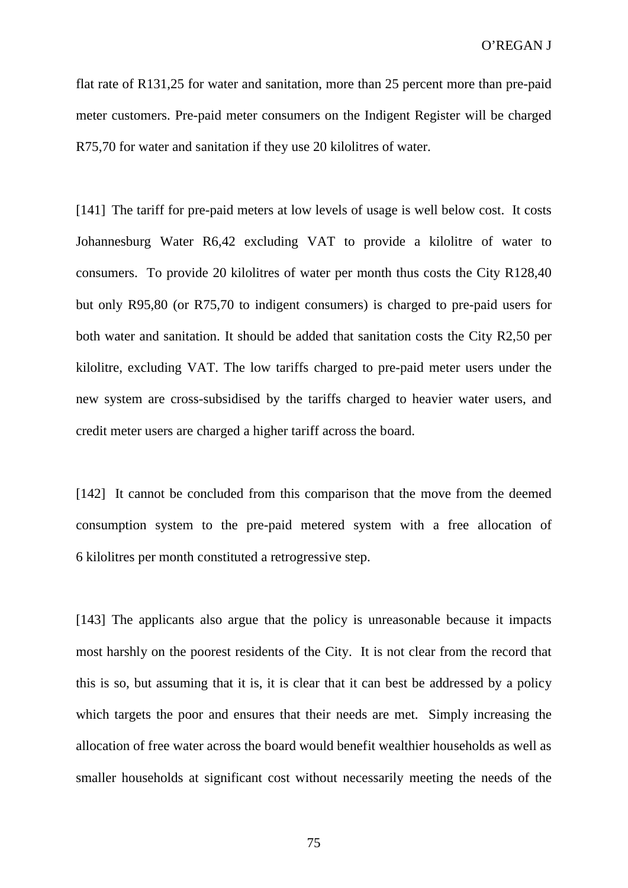flat rate of R131,25 for water and sanitation, more than 25 percent more than pre-paid meter customers. Pre-paid meter consumers on the Indigent Register will be charged R75,70 for water and sanitation if they use 20 kilolitres of water.

[141] The tariff for pre-paid meters at low levels of usage is well below cost. It costs Johannesburg Water R6,42 excluding VAT to provide a kilolitre of water to consumers. To provide 20 kilolitres of water per month thus costs the City R128,40 but only R95,80 (or R75,70 to indigent consumers) is charged to pre-paid users for both water and sanitation. It should be added that sanitation costs the City R2,50 per kilolitre, excluding VAT. The low tariffs charged to pre-paid meter users under the new system are cross-subsidised by the tariffs charged to heavier water users, and credit meter users are charged a higher tariff across the board.

[142] It cannot be concluded from this comparison that the move from the deemed consumption system to the pre-paid metered system with a free allocation of 6 kilolitres per month constituted a retrogressive step.

[143] The applicants also argue that the policy is unreasonable because it impacts most harshly on the poorest residents of the City. It is not clear from the record that this is so, but assuming that it is, it is clear that it can best be addressed by a policy which targets the poor and ensures that their needs are met. Simply increasing the allocation of free water across the board would benefit wealthier households as well as smaller households at significant cost without necessarily meeting the needs of the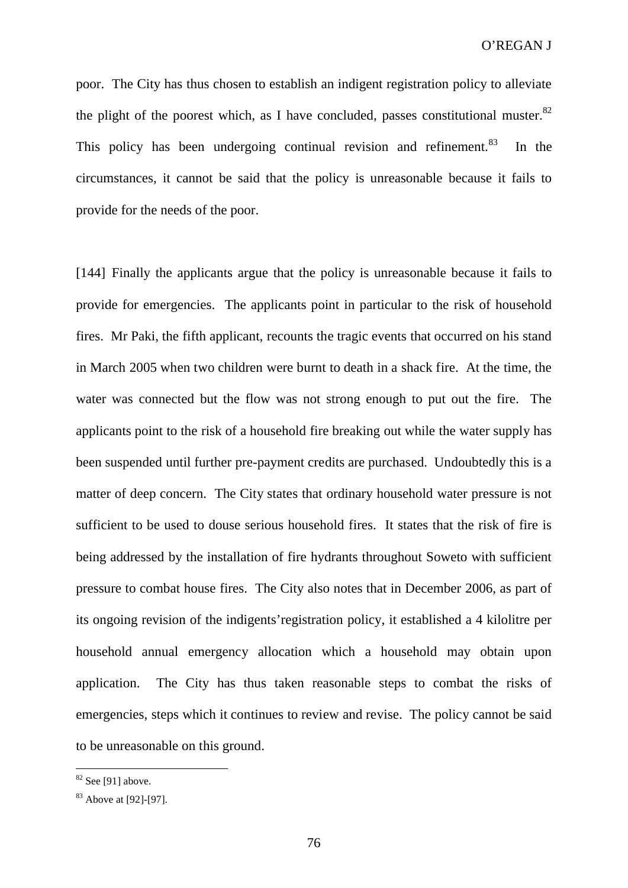poor. The City has thus chosen to establish an indigent registration policy to alleviate the plight of the poorest which, as I have concluded, passes constitutional muster. $82$ This policy has been undergoing continual revision and refinement.  $83$  In the circumstances, it cannot be said that the policy is unreasonable because it fails to provide for the needs of the poor.

[144] Finally the applicants argue that the policy is unreasonable because it fails to provide for emergencies. The applicants point in particular to the risk of household fires. Mr Paki, the fifth applicant, recounts the tragic events that occurred on his stand in March 2005 when two children were burnt to death in a shack fire. At the time, the water was connected but the flow was not strong enough to put out the fire. The applicants point to the risk of a household fire breaking out while the water supply has been suspended until further pre-payment credits are purchased. Undoubtedly this is a matter of deep concern. The City states that ordinary household water pressure is not sufficient to be used to douse serious household fires. It states that the risk of fire is being addressed by the installation of fire hydrants throughout Soweto with sufficient pressure to combat house fires. The City also notes that in December 2006, as part of its ongoing revision of the indigents'registration policy, it established a 4 kilolitre per household annual emergency allocation which a household may obtain upon application. The City has thus taken reasonable steps to combat the risks of emergencies, steps which it continues to review and revise. The policy cannot be said to be unreasonable on this ground.

 $82$  See [91] above.

<sup>83</sup> Above at [92]-[97].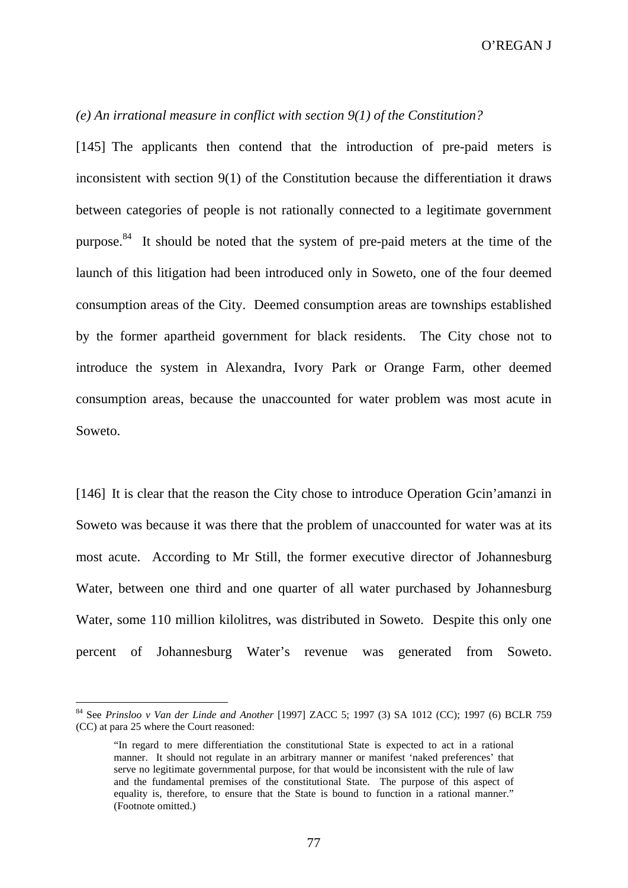O'REGAN J

#### *(e) An irrational measure in conflict with section 9(1) of the Constitution?*

[145] The applicants then contend that the introduction of pre-paid meters is inconsistent with section 9(1) of the Constitution because the differentiation it draws between categories of people is not rationally connected to a legitimate government purpose.84 It should be noted that the system of pre-paid meters at the time of the launch of this litigation had been introduced only in Soweto, one of the four deemed consumption areas of the City. Deemed consumption areas are townships established by the former apartheid government for black residents. The City chose not to introduce the system in Alexandra, Ivory Park or Orange Farm, other deemed consumption areas, because the unaccounted for water problem was most acute in Soweto.

[146] It is clear that the reason the City chose to introduce Operation Gcin'amanzi in Soweto was because it was there that the problem of unaccounted for water was at its most acute. According to Mr Still, the former executive director of Johannesburg Water, between one third and one quarter of all water purchased by Johannesburg Water, some 110 million kilolitres, was distributed in Soweto. Despite this only one percent of Johannesburg Water's revenue was generated from Soweto.

<sup>84</sup> See *Prinsloo v Van der Linde and Another* [1997] ZACC 5; 1997 (3) SA 1012 (CC); 1997 (6) BCLR 759 (CC) at para 25 where the Court reasoned:

<sup>&</sup>quot;In regard to mere differentiation the constitutional State is expected to act in a rational manner. It should not regulate in an arbitrary manner or manifest 'naked preferences' that serve no legitimate governmental purpose, for that would be inconsistent with the rule of law and the fundamental premises of the constitutional State. The purpose of this aspect of equality is, therefore, to ensure that the State is bound to function in a rational manner." (Footnote omitted.)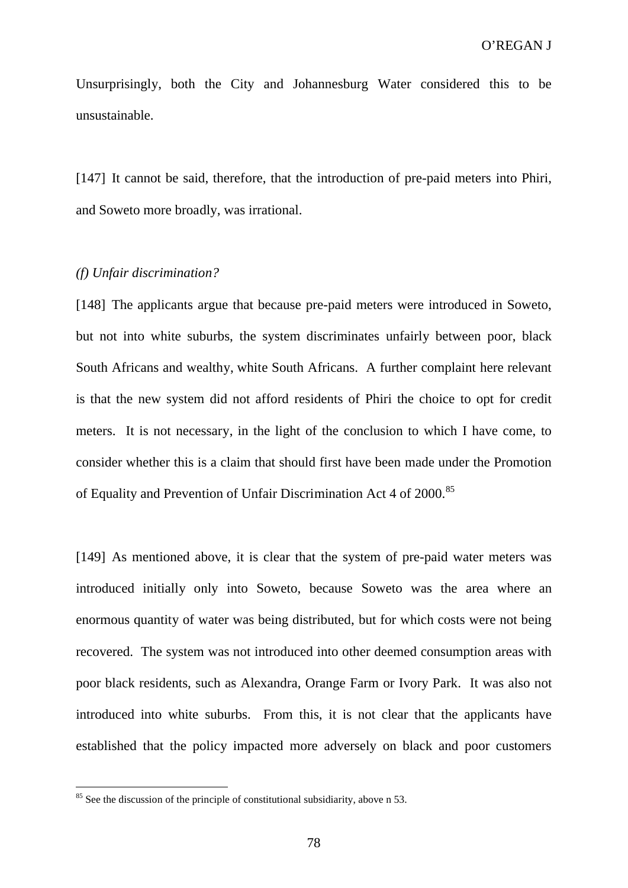Unsurprisingly, both the City and Johannesburg Water considered this to be unsustainable.

[147] It cannot be said, therefore, that the introduction of pre-paid meters into Phiri, and Soweto more broadly, was irrational.

## *(f) Unfair discrimination?*

[148] The applicants argue that because pre-paid meters were introduced in Soweto, but not into white suburbs, the system discriminates unfairly between poor, black South Africans and wealthy, white South Africans. A further complaint here relevant is that the new system did not afford residents of Phiri the choice to opt for credit meters. It is not necessary, in the light of the conclusion to which I have come, to consider whether this is a claim that should first have been made under the Promotion of Equality and Prevention of Unfair Discrimination Act 4 of 2000.<sup>85</sup>

[149] As mentioned above, it is clear that the system of pre-paid water meters was introduced initially only into Soweto, because Soweto was the area where an enormous quantity of water was being distributed, but for which costs were not being recovered. The system was not introduced into other deemed consumption areas with poor black residents, such as Alexandra, Orange Farm or Ivory Park. It was also not introduced into white suburbs. From this, it is not clear that the applicants have established that the policy impacted more adversely on black and poor customers

 $85$  See the discussion of the principle of constitutional subsidiarity, above n 53.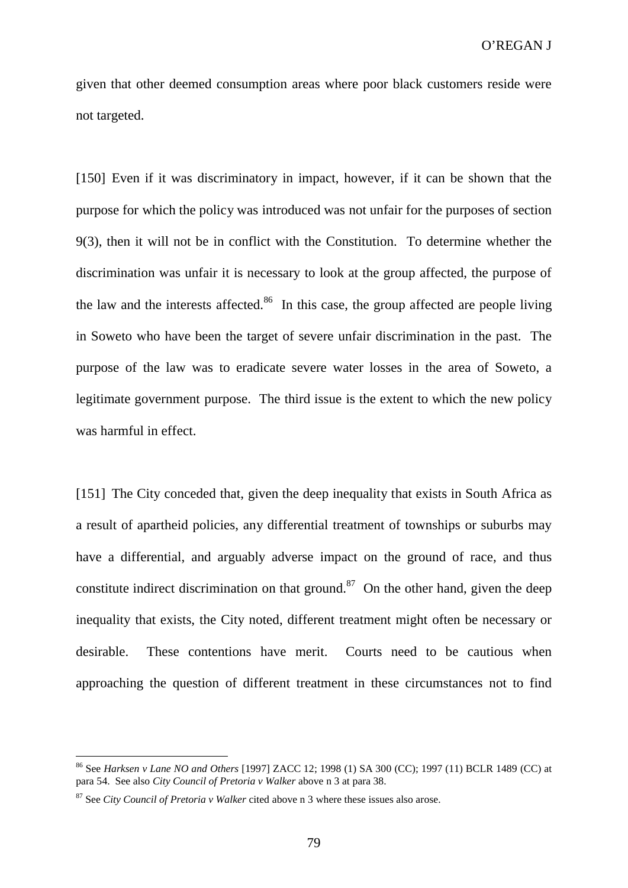given that other deemed consumption areas where poor black customers reside were not targeted.

[150] Even if it was discriminatory in impact, however, if it can be shown that the purpose for which the policy was introduced was not unfair for the purposes of section 9(3), then it will not be in conflict with the Constitution. To determine whether the discrimination was unfair it is necessary to look at the group affected, the purpose of the law and the interests affected.<sup>86</sup> In this case, the group affected are people living in Soweto who have been the target of severe unfair discrimination in the past. The purpose of the law was to eradicate severe water losses in the area of Soweto, a legitimate government purpose. The third issue is the extent to which the new policy was harmful in effect.

[151] The City conceded that, given the deep inequality that exists in South Africa as a result of apartheid policies, any differential treatment of townships or suburbs may have a differential, and arguably adverse impact on the ground of race, and thus constitute indirect discrimination on that ground.<sup>87</sup> On the other hand, given the deep inequality that exists, the City noted, different treatment might often be necessary or desirable. These contentions have merit. Courts need to be cautious when approaching the question of different treatment in these circumstances not to find

<sup>86</sup> See *Harksen v Lane NO and Others* [1997] ZACC 12; 1998 (1) SA 300 (CC); 1997 (11) BCLR 1489 (CC) at para 54. See also *City Council of Pretoria v Walker* above n 3 at para 38.

<sup>87</sup> See *City Council of Pretoria v Walker* cited above n 3 where these issues also arose.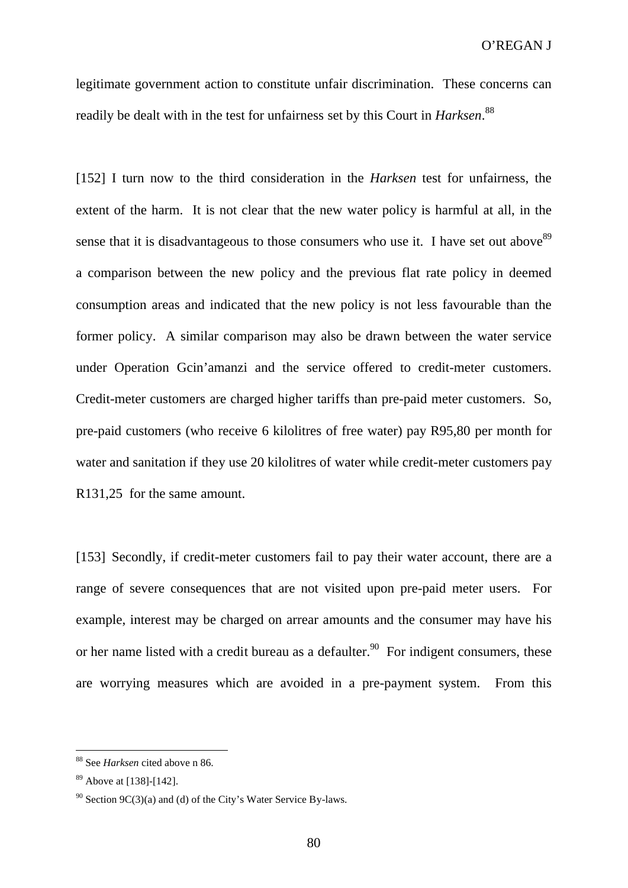legitimate government action to constitute unfair discrimination. These concerns can readily be dealt with in the test for unfairness set by this Court in *Harksen*. 88

[152] I turn now to the third consideration in the *Harksen* test for unfairness, the extent of the harm. It is not clear that the new water policy is harmful at all, in the sense that it is disadvantageous to those consumers who use it. I have set out above  $89$ a comparison between the new policy and the previous flat rate policy in deemed consumption areas and indicated that the new policy is not less favourable than the former policy. A similar comparison may also be drawn between the water service under Operation Gcin'amanzi and the service offered to credit-meter customers. Credit-meter customers are charged higher tariffs than pre-paid meter customers. So, pre-paid customers (who receive 6 kilolitres of free water) pay R95,80 per month for water and sanitation if they use 20 kilolitres of water while credit-meter customers pay R131,25 for the same amount.

[153] Secondly, if credit-meter customers fail to pay their water account, there are a range of severe consequences that are not visited upon pre-paid meter users. For example, interest may be charged on arrear amounts and the consumer may have his or her name listed with a credit bureau as a defaulter.<sup>90</sup> For indigent consumers, these are worrying measures which are avoided in a pre-payment system. From this

<sup>88</sup> See *Harksen* cited above n 86.

<sup>89</sup> Above at [138]-[142].

 $90$  Section 9C(3)(a) and (d) of the City's Water Service By-laws.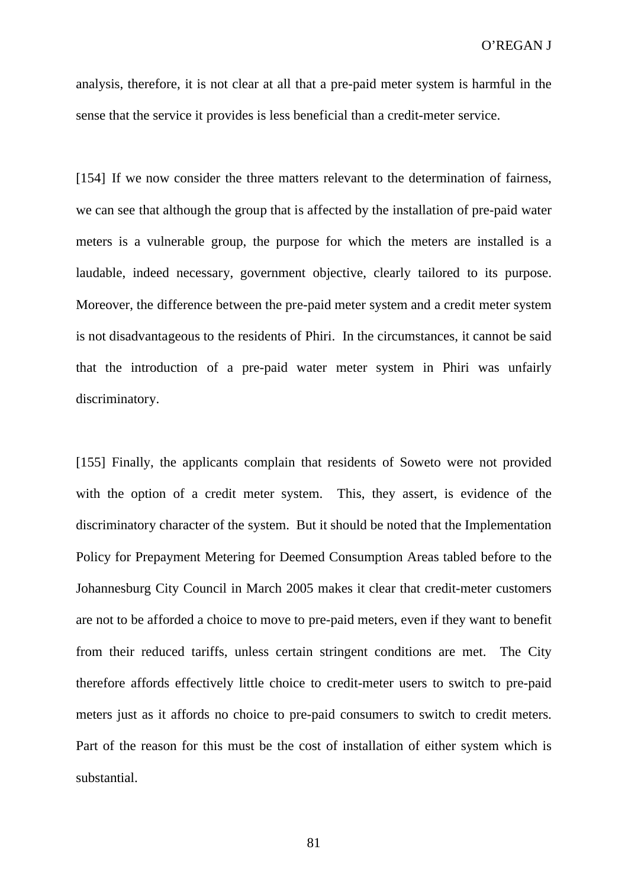analysis, therefore, it is not clear at all that a pre-paid meter system is harmful in the sense that the service it provides is less beneficial than a credit-meter service.

[154] If we now consider the three matters relevant to the determination of fairness, we can see that although the group that is affected by the installation of pre-paid water meters is a vulnerable group, the purpose for which the meters are installed is a laudable, indeed necessary, government objective, clearly tailored to its purpose. Moreover, the difference between the pre-paid meter system and a credit meter system is not disadvantageous to the residents of Phiri. In the circumstances, it cannot be said that the introduction of a pre-paid water meter system in Phiri was unfairly discriminatory.

[155] Finally, the applicants complain that residents of Soweto were not provided with the option of a credit meter system. This, they assert, is evidence of the discriminatory character of the system. But it should be noted that the Implementation Policy for Prepayment Metering for Deemed Consumption Areas tabled before to the Johannesburg City Council in March 2005 makes it clear that credit-meter customers are not to be afforded a choice to move to pre-paid meters, even if they want to benefit from their reduced tariffs, unless certain stringent conditions are met. The City therefore affords effectively little choice to credit-meter users to switch to pre-paid meters just as it affords no choice to pre-paid consumers to switch to credit meters. Part of the reason for this must be the cost of installation of either system which is substantial.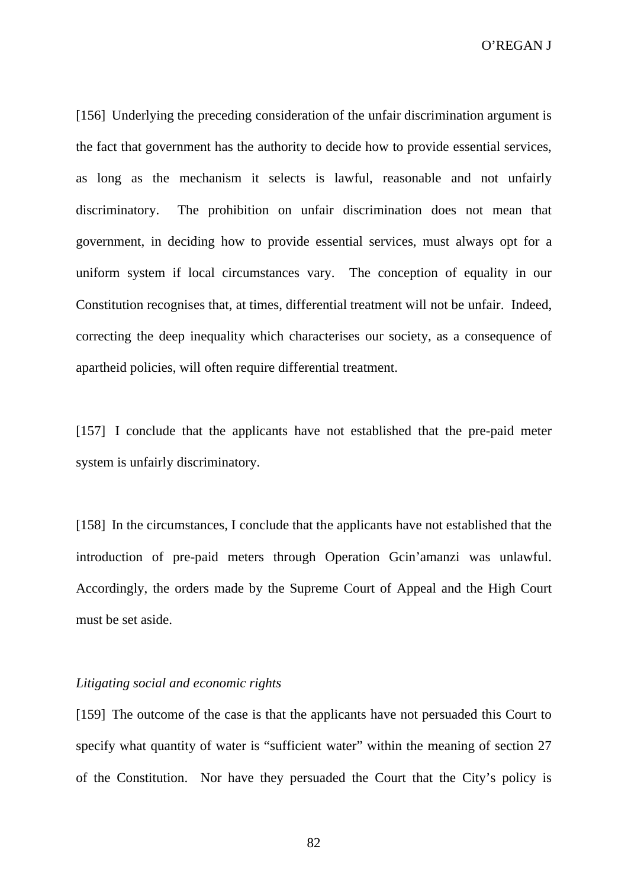O'REGAN J

[156] Underlying the preceding consideration of the unfair discrimination argument is the fact that government has the authority to decide how to provide essential services, as long as the mechanism it selects is lawful, reasonable and not unfairly discriminatory. The prohibition on unfair discrimination does not mean that government, in deciding how to provide essential services, must always opt for a uniform system if local circumstances vary. The conception of equality in our Constitution recognises that, at times, differential treatment will not be unfair. Indeed, correcting the deep inequality which characterises our society, as a consequence of apartheid policies, will often require differential treatment.

[157] I conclude that the applicants have not established that the pre-paid meter system is unfairly discriminatory.

[158] In the circumstances, I conclude that the applicants have not established that the introduction of pre-paid meters through Operation Gcin'amanzi was unlawful. Accordingly, the orders made by the Supreme Court of Appeal and the High Court must be set aside.

### *Litigating social and economic rights*

[159] The outcome of the case is that the applicants have not persuaded this Court to specify what quantity of water is "sufficient water" within the meaning of section 27 of the Constitution. Nor have they persuaded the Court that the City's policy is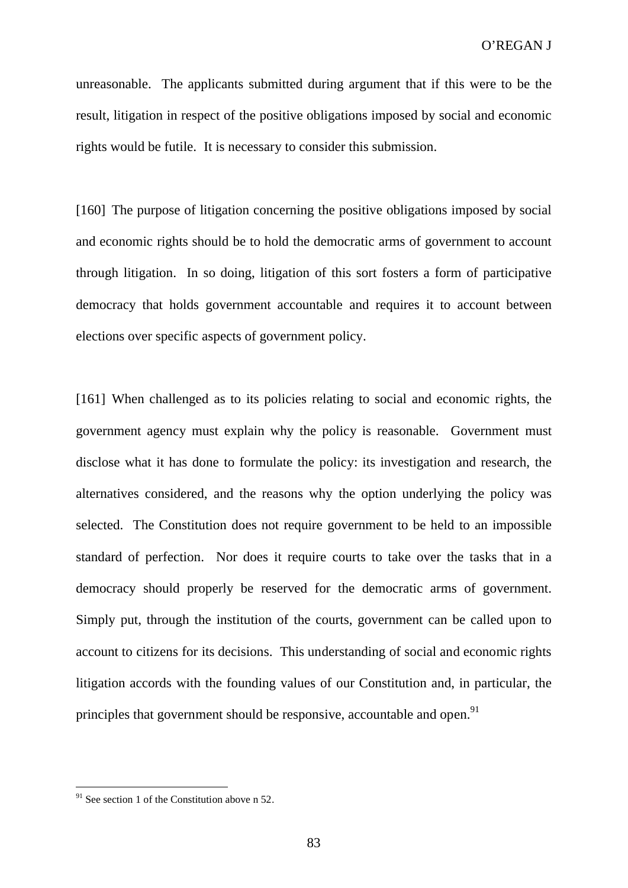unreasonable. The applicants submitted during argument that if this were to be the result, litigation in respect of the positive obligations imposed by social and economic rights would be futile. It is necessary to consider this submission.

[160] The purpose of litigation concerning the positive obligations imposed by social and economic rights should be to hold the democratic arms of government to account through litigation. In so doing, litigation of this sort fosters a form of participative democracy that holds government accountable and requires it to account between elections over specific aspects of government policy.

[161] When challenged as to its policies relating to social and economic rights, the government agency must explain why the policy is reasonable. Government must disclose what it has done to formulate the policy: its investigation and research, the alternatives considered, and the reasons why the option underlying the policy was selected. The Constitution does not require government to be held to an impossible standard of perfection. Nor does it require courts to take over the tasks that in a democracy should properly be reserved for the democratic arms of government. Simply put, through the institution of the courts, government can be called upon to account to citizens for its decisions. This understanding of social and economic rights litigation accords with the founding values of our Constitution and, in particular, the principles that government should be responsive, accountable and open.<sup>91</sup>

 $91$  See section 1 of the Constitution above n 52.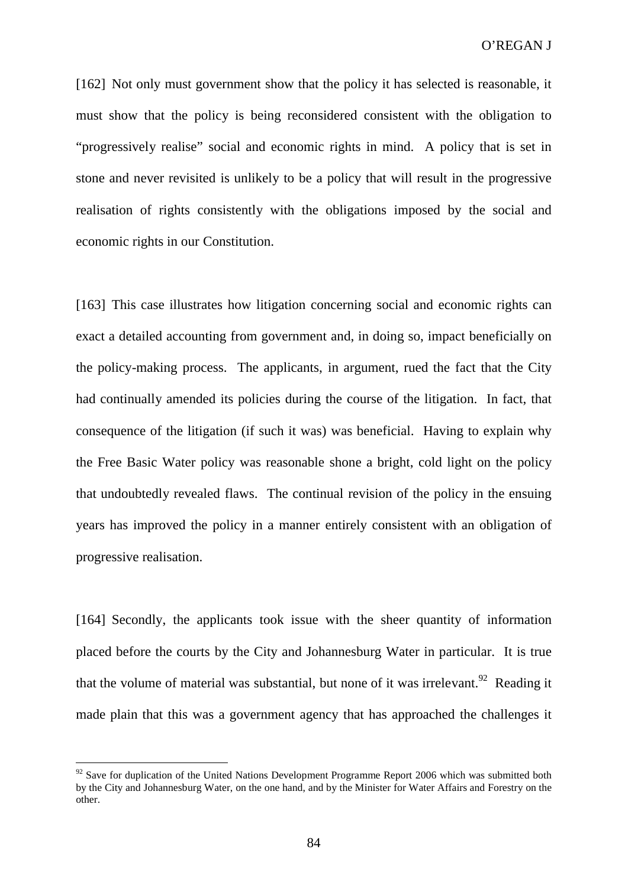[162] Not only must government show that the policy it has selected is reasonable, it must show that the policy is being reconsidered consistent with the obligation to "progressively realise" social and economic rights in mind. A policy that is set in stone and never revisited is unlikely to be a policy that will result in the progressive realisation of rights consistently with the obligations imposed by the social and economic rights in our Constitution.

[163] This case illustrates how litigation concerning social and economic rights can exact a detailed accounting from government and, in doing so, impact beneficially on the policy-making process. The applicants, in argument, rued the fact that the City had continually amended its policies during the course of the litigation. In fact, that consequence of the litigation (if such it was) was beneficial. Having to explain why the Free Basic Water policy was reasonable shone a bright, cold light on the policy that undoubtedly revealed flaws. The continual revision of the policy in the ensuing years has improved the policy in a manner entirely consistent with an obligation of progressive realisation.

[164] Secondly, the applicants took issue with the sheer quantity of information placed before the courts by the City and Johannesburg Water in particular. It is true that the volume of material was substantial, but none of it was irrelevant.<sup>92</sup> Reading it made plain that this was a government agency that has approached the challenges it

 $92$  Save for duplication of the United Nations Development Programme Report 2006 which was submitted both by the City and Johannesburg Water, on the one hand, and by the Minister for Water Affairs and Forestry on the other.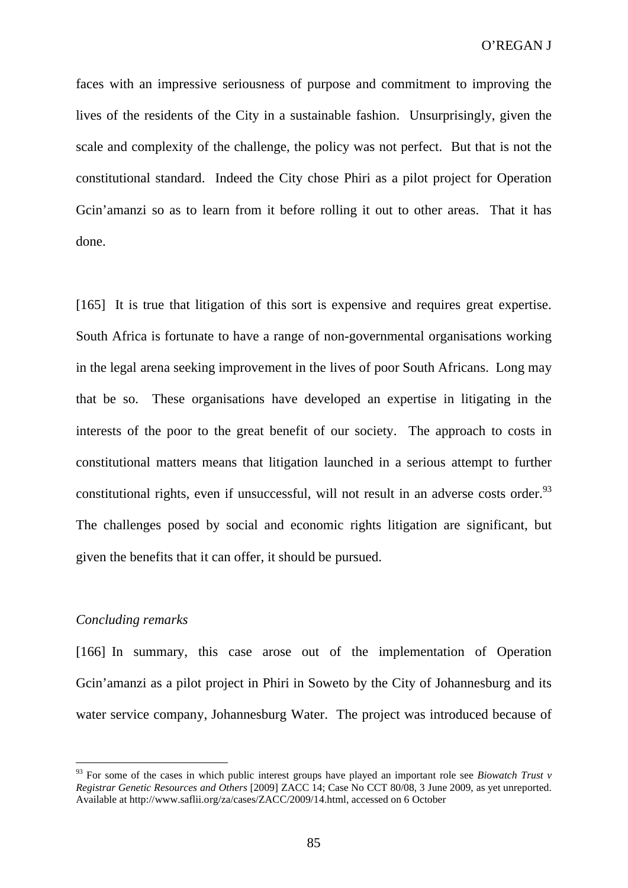faces with an impressive seriousness of purpose and commitment to improving the lives of the residents of the City in a sustainable fashion. Unsurprisingly, given the scale and complexity of the challenge, the policy was not perfect. But that is not the constitutional standard. Indeed the City chose Phiri as a pilot project for Operation Gcin'amanzi so as to learn from it before rolling it out to other areas. That it has done.

[165] It is true that litigation of this sort is expensive and requires great expertise. South Africa is fortunate to have a range of non-governmental organisations working in the legal arena seeking improvement in the lives of poor South Africans. Long may that be so. These organisations have developed an expertise in litigating in the interests of the poor to the great benefit of our society. The approach to costs in constitutional matters means that litigation launched in a serious attempt to further constitutional rights, even if unsuccessful, will not result in an adverse costs order.  $93$ The challenges posed by social and economic rights litigation are significant, but given the benefits that it can offer, it should be pursued.

### *Concluding remarks*

 $\overline{a}$ 

[166] In summary, this case arose out of the implementation of Operation Gcin'amanzi as a pilot project in Phiri in Soweto by the City of Johannesburg and its water service company, Johannesburg Water. The project was introduced because of

<sup>&</sup>lt;sup>93</sup> For some of the cases in which public interest groups have played an important role see *Biowatch Trust v Registrar Genetic Resources and Others* [2009] ZACC 14; Case No CCT 80/08, 3 June 2009, as yet unreported. Available at http://www.saflii.org/za/cases/ZACC/2009/14.html, accessed on 6 October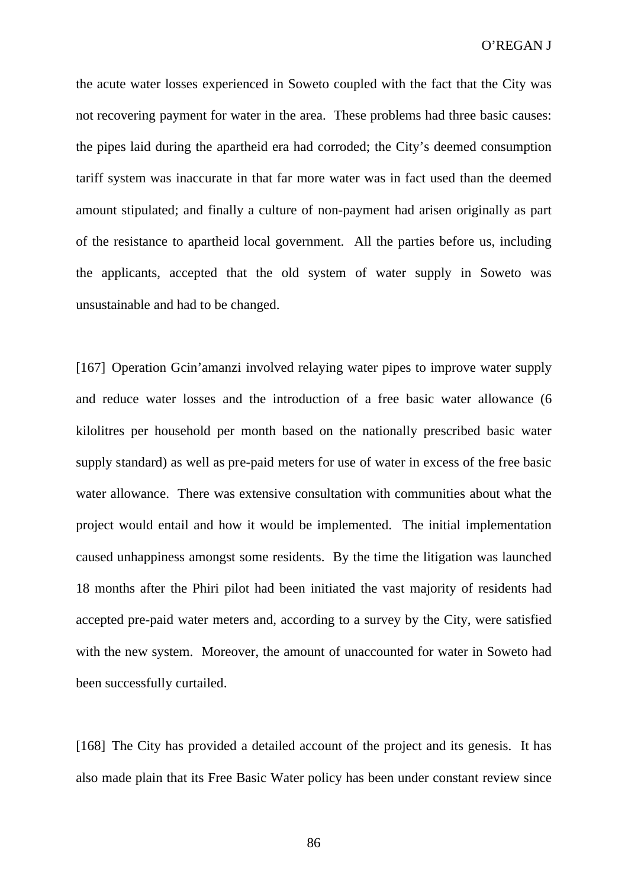the acute water losses experienced in Soweto coupled with the fact that the City was not recovering payment for water in the area. These problems had three basic causes: the pipes laid during the apartheid era had corroded; the City's deemed consumption tariff system was inaccurate in that far more water was in fact used than the deemed amount stipulated; and finally a culture of non-payment had arisen originally as part of the resistance to apartheid local government. All the parties before us, including the applicants, accepted that the old system of water supply in Soweto was unsustainable and had to be changed.

[167] Operation Gcin'amanzi involved relaying water pipes to improve water supply and reduce water losses and the introduction of a free basic water allowance (6 kilolitres per household per month based on the nationally prescribed basic water supply standard) as well as pre-paid meters for use of water in excess of the free basic water allowance. There was extensive consultation with communities about what the project would entail and how it would be implemented. The initial implementation caused unhappiness amongst some residents. By the time the litigation was launched 18 months after the Phiri pilot had been initiated the vast majority of residents had accepted pre-paid water meters and, according to a survey by the City, were satisfied with the new system. Moreover, the amount of unaccounted for water in Soweto had been successfully curtailed.

[168] The City has provided a detailed account of the project and its genesis. It has also made plain that its Free Basic Water policy has been under constant review since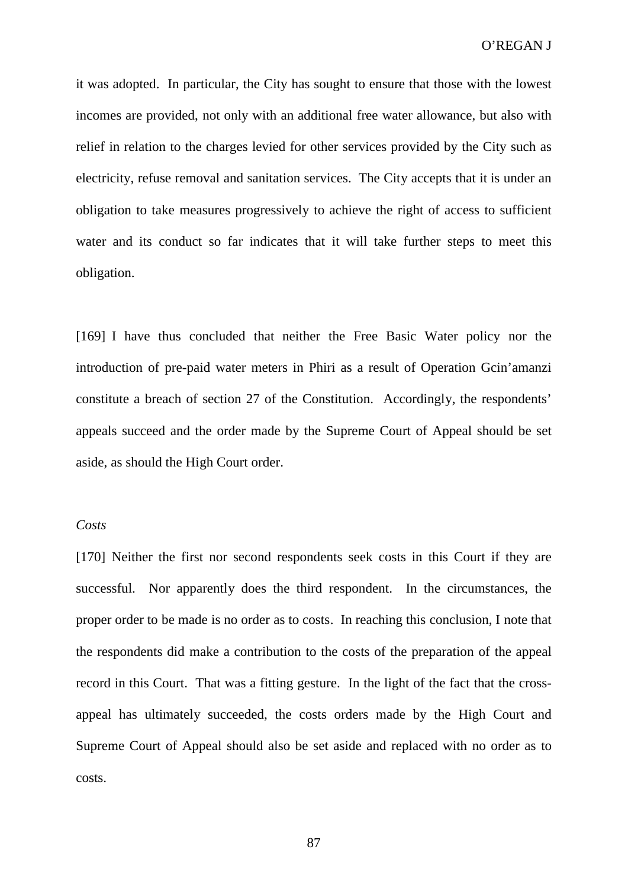it was adopted. In particular, the City has sought to ensure that those with the lowest incomes are provided, not only with an additional free water allowance, but also with relief in relation to the charges levied for other services provided by the City such as electricity, refuse removal and sanitation services. The City accepts that it is under an obligation to take measures progressively to achieve the right of access to sufficient water and its conduct so far indicates that it will take further steps to meet this obligation.

[169] I have thus concluded that neither the Free Basic Water policy nor the introduction of pre-paid water meters in Phiri as a result of Operation Gcin'amanzi constitute a breach of section 27 of the Constitution. Accordingly, the respondents' appeals succeed and the order made by the Supreme Court of Appeal should be set aside, as should the High Court order.

### *Costs*

[170] Neither the first nor second respondents seek costs in this Court if they are successful. Nor apparently does the third respondent. In the circumstances, the proper order to be made is no order as to costs. In reaching this conclusion, I note that the respondents did make a contribution to the costs of the preparation of the appeal record in this Court. That was a fitting gesture. In the light of the fact that the crossappeal has ultimately succeeded, the costs orders made by the High Court and Supreme Court of Appeal should also be set aside and replaced with no order as to costs.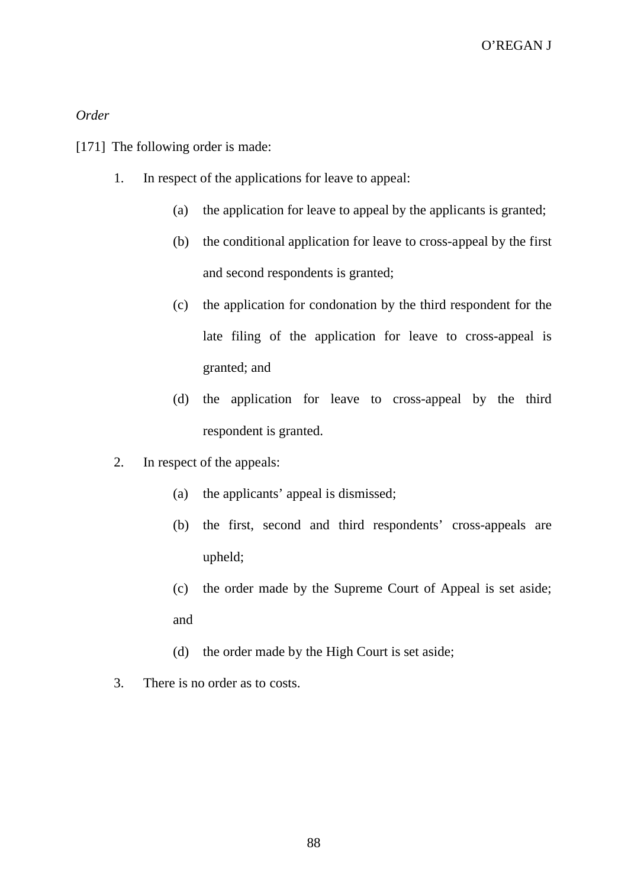# *Order*

[171] The following order is made:

- 1. In respect of the applications for leave to appeal:
	- (a) the application for leave to appeal by the applicants is granted;
	- (b) the conditional application for leave to cross-appeal by the first and second respondents is granted;
	- (c) the application for condonation by the third respondent for the late filing of the application for leave to cross-appeal is granted; and
	- (d) the application for leave to cross-appeal by the third respondent is granted.
- 2. In respect of the appeals:
	- (a) the applicants' appeal is dismissed;
	- (b) the first, second and third respondents' cross-appeals are upheld;
	- (c) the order made by the Supreme Court of Appeal is set aside; and
	- (d) the order made by the High Court is set aside;
- 3. There is no order as to costs.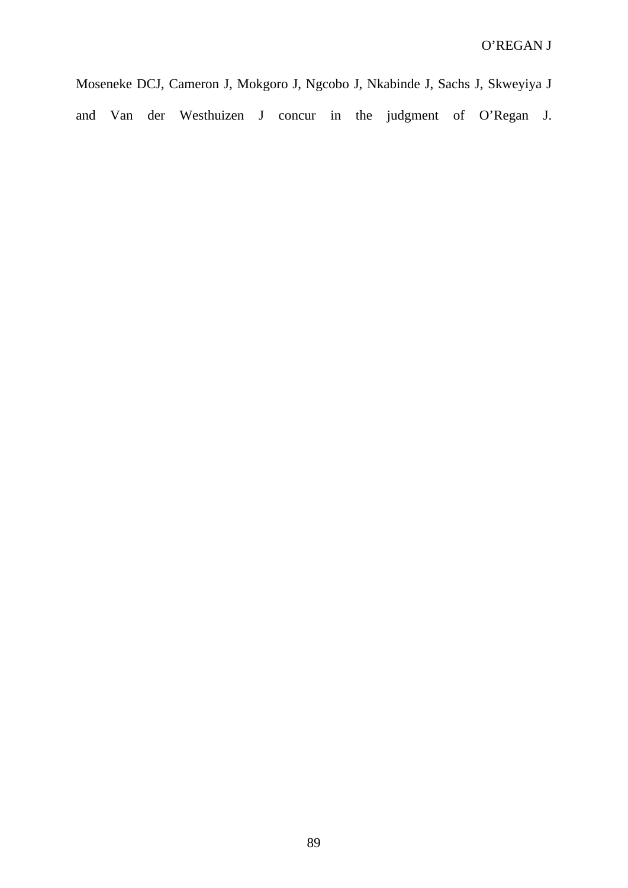Moseneke DCJ, Cameron J, Mokgoro J, Ngcobo J, Nkabinde J, Sachs J, Skweyiya J

and Van der Westhuizen J concur in the judgment of O'Regan J.